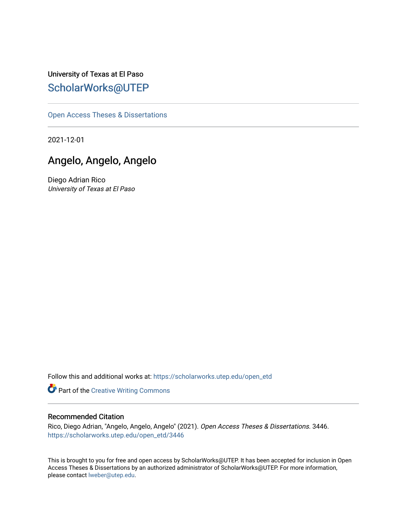University of Texas at El Paso [ScholarWorks@UTEP](https://scholarworks.utep.edu/)

[Open Access Theses & Dissertations](https://scholarworks.utep.edu/open_etd) 

2021-12-01

# Angelo, Angelo, Angelo

Diego Adrian Rico University of Texas at El Paso

Follow this and additional works at: [https://scholarworks.utep.edu/open\\_etd](https://scholarworks.utep.edu/open_etd?utm_source=scholarworks.utep.edu%2Fopen_etd%2F3446&utm_medium=PDF&utm_campaign=PDFCoverPages)

Part of the [Creative Writing Commons](http://network.bepress.com/hgg/discipline/574?utm_source=scholarworks.utep.edu%2Fopen_etd%2F3446&utm_medium=PDF&utm_campaign=PDFCoverPages) 

#### Recommended Citation

Rico, Diego Adrian, "Angelo, Angelo, Angelo" (2021). Open Access Theses & Dissertations. 3446. [https://scholarworks.utep.edu/open\\_etd/3446](https://scholarworks.utep.edu/open_etd/3446?utm_source=scholarworks.utep.edu%2Fopen_etd%2F3446&utm_medium=PDF&utm_campaign=PDFCoverPages) 

This is brought to you for free and open access by ScholarWorks@UTEP. It has been accepted for inclusion in Open Access Theses & Dissertations by an authorized administrator of ScholarWorks@UTEP. For more information, please contact [lweber@utep.edu.](mailto:lweber@utep.edu)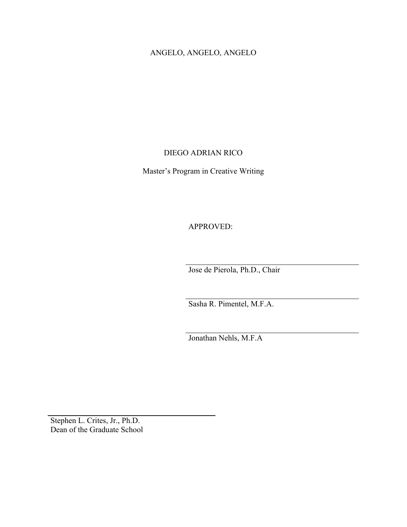## ANGELO, ANGELO, ANGELO

#### DIEGO ADRIAN RICO

Master's Program in Creative Writing

APPROVED:

Jose de Pierola, Ph.D., Chair

Sasha R. Pimentel, M.F.A.

Jonathan Nehls, M.F.A

Stephen L. Crites, Jr., Ph.D. Dean of the Graduate School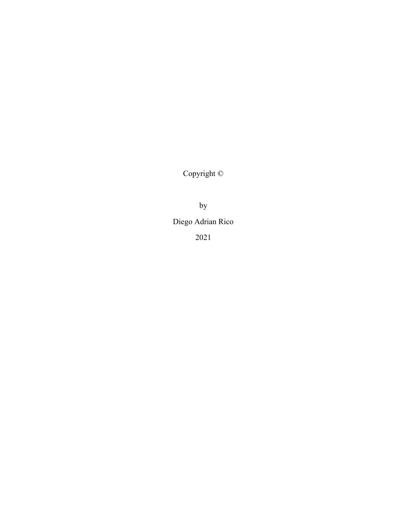Copyright ©

by

Diego Adrian Rico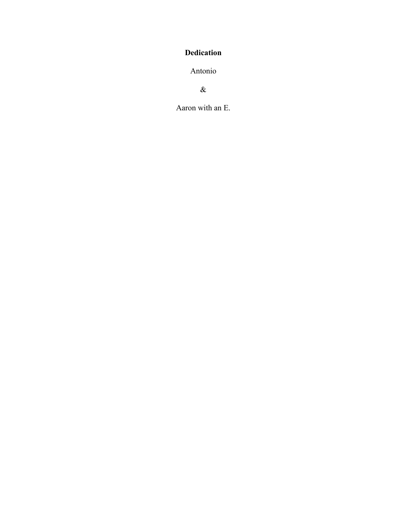## <span id="page-3-0"></span>**Dedication**

Antonio

 $\&$ 

Aaron with an E.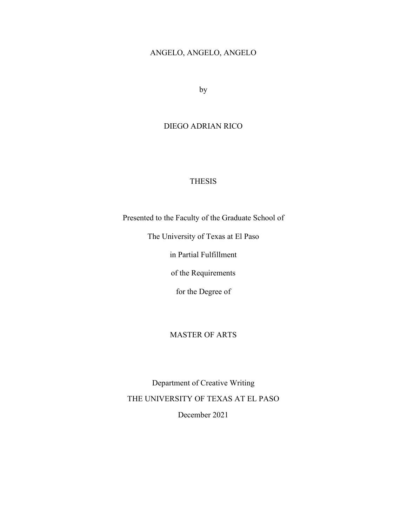## ANGELO, ANGELO, ANGELO

by

#### DIEGO ADRIAN RICO

## THESIS

Presented to the Faculty of the Graduate School of

The University of Texas at El Paso

in Partial Fulfillment

of the Requirements

for the Degree of

## MASTER OF ARTS

Department of Creative Writing THE UNIVERSITY OF TEXAS AT EL PASO December 2021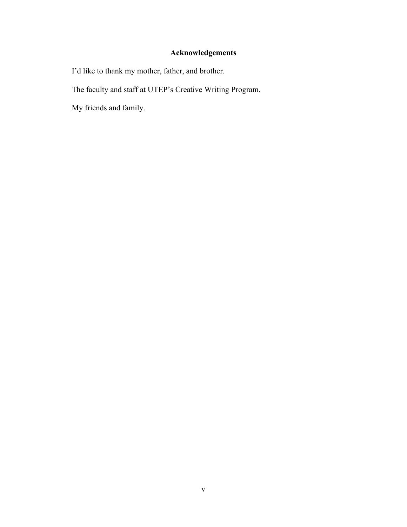# **Acknowledgements**

<span id="page-5-0"></span>I'd like to thank my mother, father, and brother.

The faculty and staff at UTEP's Creative Writing Program.

My friends and family.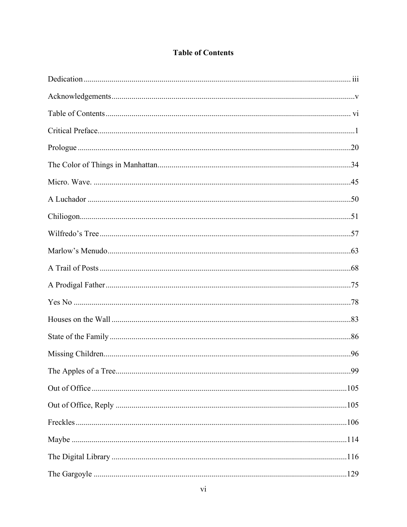# **Table of Contents**

<span id="page-6-0"></span>

| .99 |
|-----|
|     |
|     |
|     |
|     |
|     |
|     |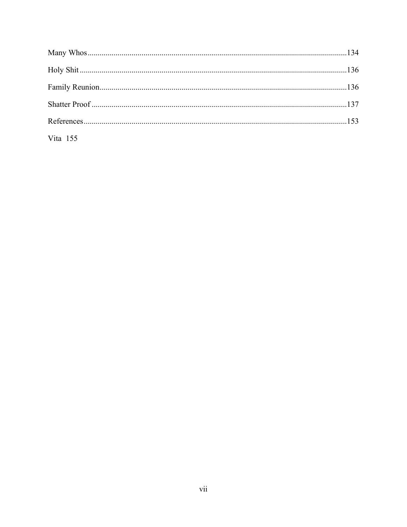| Vita $155$ |  |
|------------|--|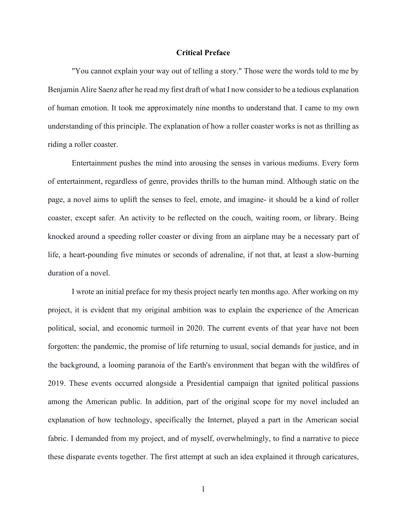#### **Critical Preface**

<span id="page-8-0"></span>"You cannot explain your way out of telling a story." Those were the words told to me by Benjamin Alire Saenz after he read my first draft of what I now consider to be a tedious explanation of human emotion. It took me approximately nine months to understand that. I came to my own understanding of this principle. The explanation of how a roller coaster works is not as thrilling as riding a roller coaster.

Entertainment pushes the mind into arousing the senses in various mediums. Every form of entertainment, regardless of genre, provides thrills to the human mind. Although static on the page, a novel aims to uplift the senses to feel, emote, and imagine- it should be a kind of roller coaster, except safer. An activity to be reflected on the couch, waiting room, or library. Being knocked around a speeding roller coaster or diving from an airplane may be a necessary part of life, a heart-pounding five minutes or seconds of adrenaline, if not that, at least a slow-burning duration of a novel.

I wrote an initial preface for my thesis project nearly ten months ago. After working on my project, it is evident that my original ambition was to explain the experience of the American political, social, and economic turmoil in 2020. The current events of that year have not been forgotten: the pandemic, the promise of life returning to usual, social demands for justice, and in the background, a looming paranoia of the Earth's environment that began with the wildfires of 2019. These events occurred alongside a Presidential campaign that ignited political passions among the American public. In addition, part of the original scope for my novel included an explanation of how technology, specifically the Internet, played a part in the American social fabric. I demanded from my project, and of myself, overwhelmingly, to find a narrative to piece these disparate events together. The first attempt at such an idea explained it through caricatures,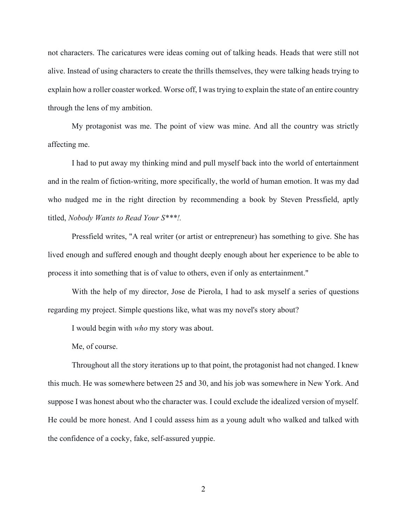not characters. The caricatures were ideas coming out of talking heads. Heads that were still not alive. Instead of using characters to create the thrills themselves, they were talking heads trying to explain how a roller coaster worked. Worse off, I was trying to explain the state of an entire country through the lens of my ambition.

My protagonist was me. The point of view was mine. And all the country was strictly affecting me.

I had to put away my thinking mind and pull myself back into the world of entertainment and in the realm of fiction-writing, more specifically, the world of human emotion. It was my dad who nudged me in the right direction by recommending a book by Steven Pressfield, aptly titled, *Nobody Wants to Read Your S\*\*\*!.*

Pressfield writes, "A real writer (or artist or entrepreneur) has something to give. She has lived enough and suffered enough and thought deeply enough about her experience to be able to process it into something that is of value to others, even if only as entertainment."

With the help of my director, Jose de Pierola, I had to ask myself a series of questions regarding my project. Simple questions like, what was my novel's story about?

I would begin with *who* my story was about.

Me, of course.

Throughout all the story iterations up to that point, the protagonist had not changed. I knew this much. He was somewhere between 25 and 30, and his job was somewhere in New York. And suppose I was honest about who the character was. I could exclude the idealized version of myself. He could be more honest. And I could assess him as a young adult who walked and talked with the confidence of a cocky, fake, self-assured yuppie.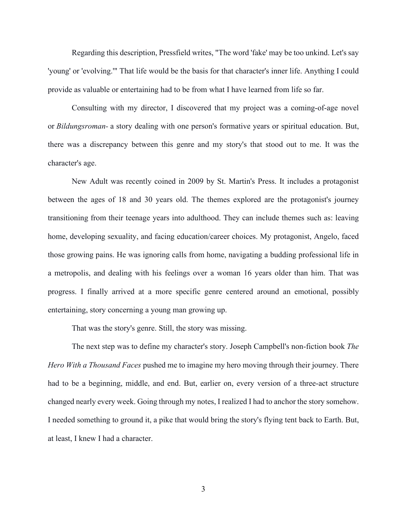Regarding this description, Pressfield writes, "The word 'fake' may be too unkind. Let's say 'young' or 'evolving.'" That life would be the basis for that character's inner life. Anything I could provide as valuable or entertaining had to be from what I have learned from life so far.

Consulting with my director, I discovered that my project was a coming-of-age novel or *Bildungsroman-* a story dealing with one person's formative years or spiritual education. But, there was a discrepancy between this genre and my story's that stood out to me. It was the character's age.

New Adult was recently coined in 2009 by St. Martin's Press. It includes a protagonist between the ages of 18 and 30 years old. The themes explored are the protagonist's journey transitioning from their teenage years into adulthood. They can include themes such as: leaving home, developing sexuality, and facing education/career choices. My protagonist, Angelo, faced those growing pains. He was ignoring calls from home, navigating a budding professional life in a metropolis, and dealing with his feelings over a woman 16 years older than him. That was progress. I finally arrived at a more specific genre centered around an emotional, possibly entertaining, story concerning a young man growing up.

That was the story's genre. Still, the story was missing.

The next step was to define my character's story. Joseph Campbell's non-fiction book *The Hero With a Thousand Faces* pushed me to imagine my hero moving through their journey. There had to be a beginning, middle, and end. But, earlier on, every version of a three-act structure changed nearly every week. Going through my notes, I realized I had to anchor the story somehow. I needed something to ground it, a pike that would bring the story's flying tent back to Earth. But, at least, I knew I had a character.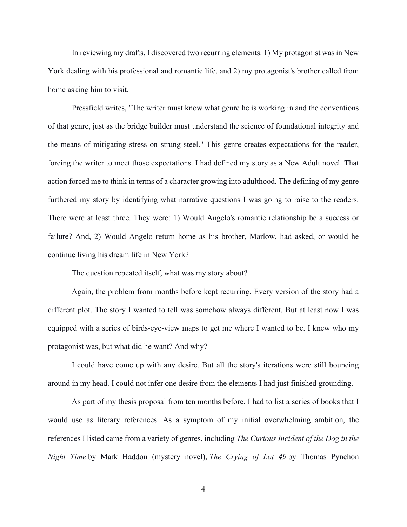In reviewing my drafts, I discovered two recurring elements. 1) My protagonist was in New York dealing with his professional and romantic life, and 2) my protagonist's brother called from home asking him to visit.

Pressfield writes, "The writer must know what genre he is working in and the conventions of that genre, just as the bridge builder must understand the science of foundational integrity and the means of mitigating stress on strung steel." This genre creates expectations for the reader, forcing the writer to meet those expectations. I had defined my story as a New Adult novel. That action forced me to think in terms of a character growing into adulthood. The defining of my genre furthered my story by identifying what narrative questions I was going to raise to the readers. There were at least three. They were: 1) Would Angelo's romantic relationship be a success or failure? And, 2) Would Angelo return home as his brother, Marlow, had asked, or would he continue living his dream life in New York?

The question repeated itself, what was my story about?

Again, the problem from months before kept recurring. Every version of the story had a different plot. The story I wanted to tell was somehow always different. But at least now I was equipped with a series of birds-eye-view maps to get me where I wanted to be. I knew who my protagonist was, but what did he want? And why?

I could have come up with any desire. But all the story's iterations were still bouncing around in my head. I could not infer one desire from the elements I had just finished grounding.

As part of my thesis proposal from ten months before, I had to list a series of books that I would use as literary references. As a symptom of my initial overwhelming ambition, the references I listed came from a variety of genres, including *The Curious Incident of the Dog in the Night Time* by Mark Haddon (mystery novel), *The Crying of Lot 49* by Thomas Pynchon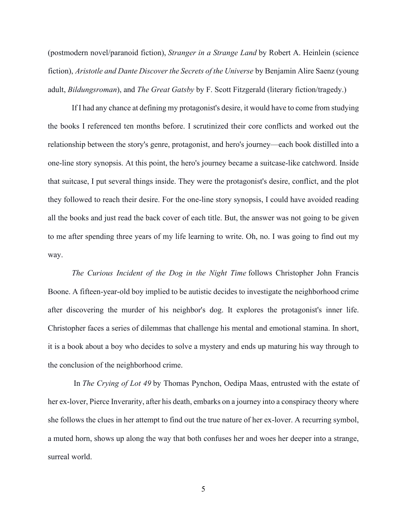(postmodern novel/paranoid fiction), *Stranger in a Strange Land* by Robert A. Heinlein (science fiction), *Aristotle and Dante Discover the Secrets of the Universe* by Benjamin Alire Saenz (young adult, *Bildungsroman*), and *The Great Gatsby* by F. Scott Fitzgerald (literary fiction/tragedy.)

If I had any chance at defining my protagonist's desire, it would have to come from studying the books I referenced ten months before. I scrutinized their core conflicts and worked out the relationship between the story's genre, protagonist, and hero's journey—each book distilled into a one-line story synopsis. At this point, the hero's journey became a suitcase-like catchword. Inside that suitcase, I put several things inside. They were the protagonist's desire, conflict, and the plot they followed to reach their desire. For the one-line story synopsis, I could have avoided reading all the books and just read the back cover of each title. But, the answer was not going to be given to me after spending three years of my life learning to write. Oh, no. I was going to find out my way.

*The Curious Incident of the Dog in the Night Time* follows Christopher John Francis Boone. A fifteen-year-old boy implied to be autistic decides to investigate the neighborhood crime after discovering the murder of his neighbor's dog. It explores the protagonist's inner life. Christopher faces a series of dilemmas that challenge his mental and emotional stamina. In short, it is a book about a boy who decides to solve a mystery and ends up maturing his way through to the conclusion of the neighborhood crime.

In *The Crying of Lot 49* by Thomas Pynchon, Oedipa Maas, entrusted with the estate of her ex-lover, Pierce Inverarity, after his death, embarks on a journey into a conspiracy theory where she follows the clues in her attempt to find out the true nature of her ex-lover. A recurring symbol, a muted horn, shows up along the way that both confuses her and woes her deeper into a strange, surreal world.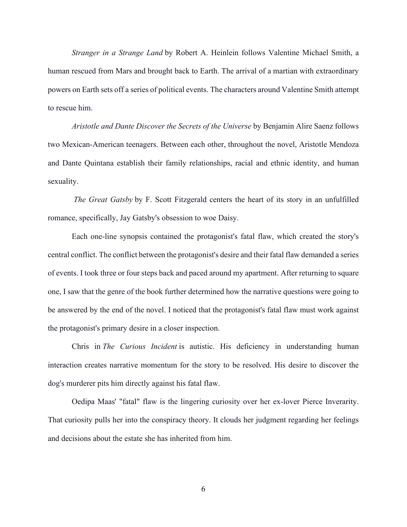*Stranger in a Strange Land* by Robert A. Heinlein follows Valentine Michael Smith, a human rescued from Mars and brought back to Earth. The arrival of a martian with extraordinary powers on Earth sets off a series of political events. The characters around Valentine Smith attempt to rescue him.

*Aristotle and Dante Discover the Secrets of the Universe* by Benjamin Alire Saenz follows two Mexican-American teenagers. Between each other, throughout the novel, Aristotle Mendoza and Dante Quintana establish their family relationships, racial and ethnic identity, and human sexuality.

*The Great Gatsby* by F. Scott Fitzgerald centers the heart of its story in an unfulfilled romance, specifically, Jay Gatsby's obsession to woe Daisy.

Each one-line synopsis contained the protagonist's fatal flaw, which created the story's central conflict. The conflict between the protagonist's desire and their fatal flaw demanded a series of events. I took three or four steps back and paced around my apartment. After returning to square one, I saw that the genre of the book further determined how the narrative questions were going to be answered by the end of the novel. I noticed that the protagonist's fatal flaw must work against the protagonist's primary desire in a closer inspection.

Chris in *The Curious Incident* is autistic. His deficiency in understanding human interaction creates narrative momentum for the story to be resolved. His desire to discover the dog's murderer pits him directly against his fatal flaw.

Oedipa Maas' "fatal" flaw is the lingering curiosity over her ex-lover Pierce Inverarity. That curiosity pulls her into the conspiracy theory. It clouds her judgment regarding her feelings and decisions about the estate she has inherited from him.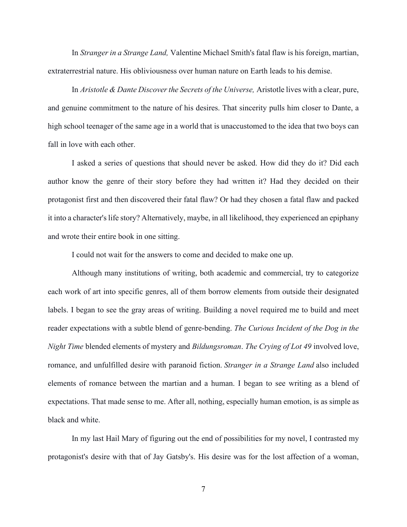In *Stranger in a Strange Land,* Valentine Michael Smith's fatal flaw is his foreign, martian, extraterrestrial nature. His obliviousness over human nature on Earth leads to his demise.

In *Aristotle & Dante Discover the Secrets of the Universe,* Aristotle lives with a clear, pure, and genuine commitment to the nature of his desires. That sincerity pulls him closer to Dante, a high school teenager of the same age in a world that is unaccustomed to the idea that two boys can fall in love with each other.

I asked a series of questions that should never be asked. How did they do it? Did each author know the genre of their story before they had written it? Had they decided on their protagonist first and then discovered their fatal flaw? Or had they chosen a fatal flaw and packed it into a character's life story? Alternatively, maybe, in all likelihood, they experienced an epiphany and wrote their entire book in one sitting.

I could not wait for the answers to come and decided to make one up.

Although many institutions of writing, both academic and commercial, try to categorize each work of art into specific genres, all of them borrow elements from outside their designated labels. I began to see the gray areas of writing. Building a novel required me to build and meet reader expectations with a subtle blend of genre-bending. *The Curious Incident of the Dog in the Night Time* blended elements of mystery and *Bildungsroman*. *The Crying of Lot 49* involved love, romance, and unfulfilled desire with paranoid fiction. *Stranger in a Strange Land* also included elements of romance between the martian and a human. I began to see writing as a blend of expectations. That made sense to me. After all, nothing, especially human emotion, is as simple as black and white.

In my last Hail Mary of figuring out the end of possibilities for my novel, I contrasted my protagonist's desire with that of Jay Gatsby's. His desire was for the lost affection of a woman,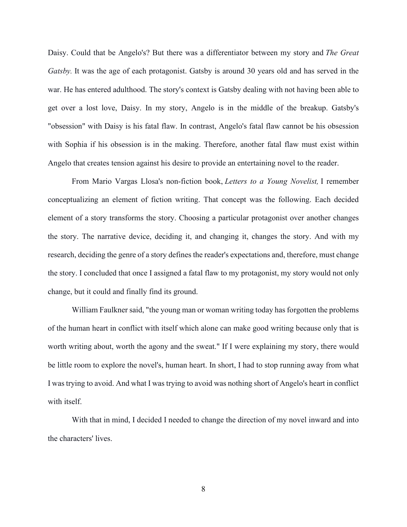Daisy. Could that be Angelo's? But there was a differentiator between my story and *The Great Gatsby.* It was the age of each protagonist. Gatsby is around 30 years old and has served in the war. He has entered adulthood. The story's context is Gatsby dealing with not having been able to get over a lost love, Daisy. In my story, Angelo is in the middle of the breakup. Gatsby's "obsession" with Daisy is his fatal flaw. In contrast, Angelo's fatal flaw cannot be his obsession with Sophia if his obsession is in the making. Therefore, another fatal flaw must exist within Angelo that creates tension against his desire to provide an entertaining novel to the reader.

From Mario Vargas Llosa's non-fiction book, *Letters to a Young Novelist,* I remember conceptualizing an element of fiction writing. That concept was the following. Each decided element of a story transforms the story. Choosing a particular protagonist over another changes the story. The narrative device, deciding it, and changing it, changes the story. And with my research, deciding the genre of a story defines the reader's expectations and, therefore, must change the story. I concluded that once I assigned a fatal flaw to my protagonist, my story would not only change, but it could and finally find its ground.

William Faulkner said, "the young man or woman writing today has forgotten the problems of the human heart in conflict with itself which alone can make good writing because only that is worth writing about, worth the agony and the sweat." If I were explaining my story, there would be little room to explore the novel's, human heart. In short, I had to stop running away from what I was trying to avoid. And what I was trying to avoid was nothing short of Angelo's heart in conflict with itself.

With that in mind, I decided I needed to change the direction of my novel inward and into the characters' lives.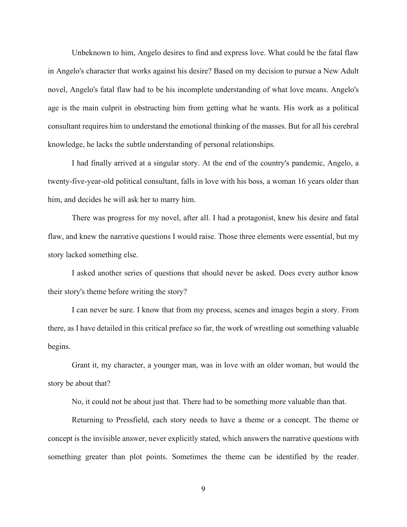Unbeknown to him, Angelo desires to find and express love. What could be the fatal flaw in Angelo's character that works against his desire? Based on my decision to pursue a New Adult novel, Angelo's fatal flaw had to be his incomplete understanding of what love means. Angelo's age is the main culprit in obstructing him from getting what he wants. His work as a political consultant requires him to understand the emotional thinking of the masses. But for all his cerebral knowledge, he lacks the subtle understanding of personal relationships.

I had finally arrived at a singular story. At the end of the country's pandemic, Angelo, a twenty-five-year-old political consultant, falls in love with his boss, a woman 16 years older than him, and decides he will ask her to marry him.

There was progress for my novel, after all. I had a protagonist, knew his desire and fatal flaw, and knew the narrative questions I would raise. Those three elements were essential, but my story lacked something else.

I asked another series of questions that should never be asked. Does every author know their story's theme before writing the story?

I can never be sure. I know that from my process, scenes and images begin a story. From there, as I have detailed in this critical preface so far, the work of wrestling out something valuable begins.

Grant it, my character, a younger man, was in love with an older woman, but would the story be about that?

No, it could not be about just that. There had to be something more valuable than that.

Returning to Pressfield, each story needs to have a theme or a concept. The theme or concept is the invisible answer, never explicitly stated, which answers the narrative questions with something greater than plot points. Sometimes the theme can be identified by the reader.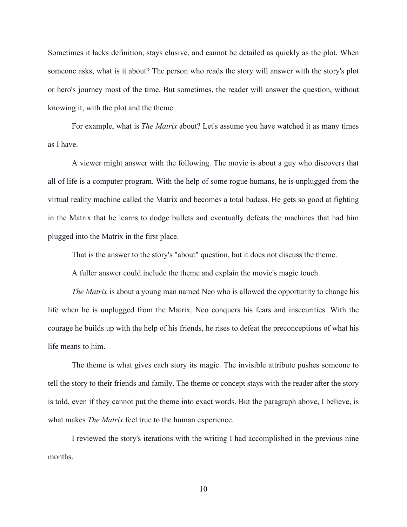Sometimes it lacks definition, stays elusive, and cannot be detailed as quickly as the plot. When someone asks, what is it about? The person who reads the story will answer with the story's plot or hero's journey most of the time. But sometimes, the reader will answer the question, without knowing it, with the plot and the theme.

For example, what is *The Matrix* about? Let's assume you have watched it as many times as I have.

A viewer might answer with the following. The movie is about a guy who discovers that all of life is a computer program. With the help of some rogue humans, he is unplugged from the virtual reality machine called the Matrix and becomes a total badass. He gets so good at fighting in the Matrix that he learns to dodge bullets and eventually defeats the machines that had him plugged into the Matrix in the first place.

That is the answer to the story's "about" question, but it does not discuss the theme.

A fuller answer could include the theme and explain the movie's magic touch.

*The Matrix* is about a young man named Neo who is allowed the opportunity to change his life when he is unplugged from the Matrix. Neo conquers his fears and insecurities. With the courage he builds up with the help of his friends, he rises to defeat the preconceptions of what his life means to him.

The theme is what gives each story its magic. The invisible attribute pushes someone to tell the story to their friends and family. The theme or concept stays with the reader after the story is told, even if they cannot put the theme into exact words. But the paragraph above, I believe, is what makes *The Matrix* feel true to the human experience.

I reviewed the story's iterations with the writing I had accomplished in the previous nine months.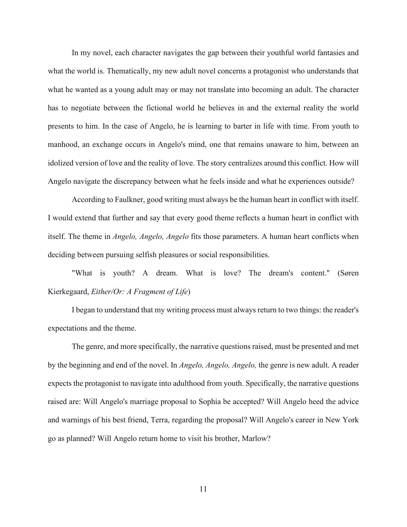In my novel, each character navigates the gap between their youthful world fantasies and what the world is. Thematically, my new adult novel concerns a protagonist who understands that what he wanted as a young adult may or may not translate into becoming an adult. The character has to negotiate between the fictional world he believes in and the external reality the world presents to him. In the case of Angelo, he is learning to barter in life with time. From youth to manhood, an exchange occurs in Angelo's mind, one that remains unaware to him, between an idolized version of love and the reality of love. The story centralizes around this conflict. How will Angelo navigate the discrepancy between what he feels inside and what he experiences outside?

According to Faulkner, good writing must always be the human heart in conflict with itself. I would extend that further and say that every good theme reflects a human heart in conflict with itself. The theme in *Angelo, Angelo, Angelo* fits those parameters. A human heart conflicts when deciding between pursuing selfish pleasures or social responsibilities.

"What is youth? A dream. What is love? The dream's content." (Søren Kierkegaard, *Either/Or: A Fragment of Life*)

I began to understand that my writing process must always return to two things: the reader's expectations and the theme.

The genre, and more specifically, the narrative questions raised, must be presented and met by the beginning and end of the novel. In *Angelo, Angelo, Angelo,* the genre is new adult. A reader expects the protagonist to navigate into adulthood from youth. Specifically, the narrative questions raised are: Will Angelo's marriage proposal to Sophia be accepted? Will Angelo heed the advice and warnings of his best friend, Terra, regarding the proposal? Will Angelo's career in New York go as planned? Will Angelo return home to visit his brother, Marlow?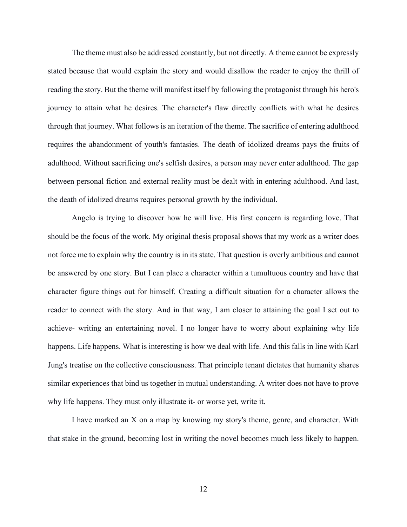The theme must also be addressed constantly, but not directly. A theme cannot be expressly stated because that would explain the story and would disallow the reader to enjoy the thrill of reading the story. But the theme will manifest itself by following the protagonist through his hero's journey to attain what he desires. The character's flaw directly conflicts with what he desires through that journey. What follows is an iteration of the theme. The sacrifice of entering adulthood requires the abandonment of youth's fantasies. The death of idolized dreams pays the fruits of adulthood. Without sacrificing one's selfish desires, a person may never enter adulthood. The gap between personal fiction and external reality must be dealt with in entering adulthood. And last, the death of idolized dreams requires personal growth by the individual.

Angelo is trying to discover how he will live. His first concern is regarding love. That should be the focus of the work. My original thesis proposal shows that my work as a writer does not force me to explain why the country is in its state. That question is overly ambitious and cannot be answered by one story. But I can place a character within a tumultuous country and have that character figure things out for himself. Creating a difficult situation for a character allows the reader to connect with the story. And in that way, I am closer to attaining the goal I set out to achieve- writing an entertaining novel. I no longer have to worry about explaining why life happens. Life happens. What is interesting is how we deal with life. And this falls in line with Karl Jung's treatise on the collective consciousness. That principle tenant dictates that humanity shares similar experiences that bind us together in mutual understanding. A writer does not have to prove why life happens. They must only illustrate it- or worse yet, write it.

I have marked an X on a map by knowing my story's theme, genre, and character. With that stake in the ground, becoming lost in writing the novel becomes much less likely to happen.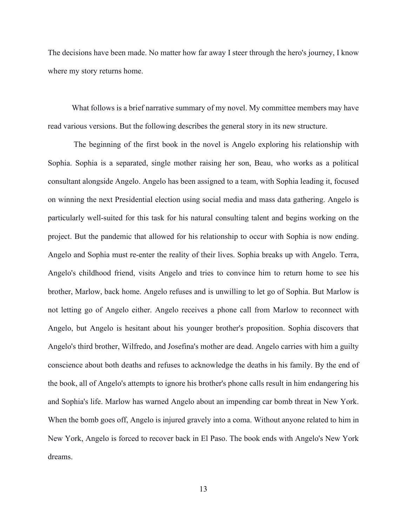The decisions have been made. No matter how far away I steer through the hero's journey, I know where my story returns home.

What follows is a brief narrative summary of my novel. My committee members may have read various versions. But the following describes the general story in its new structure.

The beginning of the first book in the novel is Angelo exploring his relationship with Sophia. Sophia is a separated, single mother raising her son, Beau, who works as a political consultant alongside Angelo. Angelo has been assigned to a team, with Sophia leading it, focused on winning the next Presidential election using social media and mass data gathering. Angelo is particularly well-suited for this task for his natural consulting talent and begins working on the project. But the pandemic that allowed for his relationship to occur with Sophia is now ending. Angelo and Sophia must re-enter the reality of their lives. Sophia breaks up with Angelo. Terra, Angelo's childhood friend, visits Angelo and tries to convince him to return home to see his brother, Marlow, back home. Angelo refuses and is unwilling to let go of Sophia. But Marlow is not letting go of Angelo either. Angelo receives a phone call from Marlow to reconnect with Angelo, but Angelo is hesitant about his younger brother's proposition. Sophia discovers that Angelo's third brother, Wilfredo, and Josefina's mother are dead. Angelo carries with him a guilty conscience about both deaths and refuses to acknowledge the deaths in his family. By the end of the book, all of Angelo's attempts to ignore his brother's phone calls result in him endangering his and Sophia's life. Marlow has warned Angelo about an impending car bomb threat in New York. When the bomb goes off, Angelo is injured gravely into a coma. Without anyone related to him in New York, Angelo is forced to recover back in El Paso. The book ends with Angelo's New York dreams.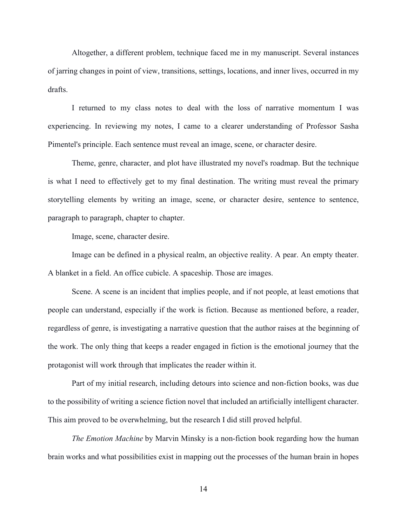Altogether, a different problem, technique faced me in my manuscript. Several instances of jarring changes in point of view, transitions, settings, locations, and inner lives, occurred in my drafts.

I returned to my class notes to deal with the loss of narrative momentum I was experiencing. In reviewing my notes, I came to a clearer understanding of Professor Sasha Pimentel's principle. Each sentence must reveal an image, scene, or character desire.

Theme, genre, character, and plot have illustrated my novel's roadmap. But the technique is what I need to effectively get to my final destination. The writing must reveal the primary storytelling elements by writing an image, scene, or character desire, sentence to sentence, paragraph to paragraph, chapter to chapter.

Image, scene, character desire.

Image can be defined in a physical realm, an objective reality. A pear. An empty theater. A blanket in a field. An office cubicle. A spaceship. Those are images.

Scene. A scene is an incident that implies people, and if not people, at least emotions that people can understand, especially if the work is fiction. Because as mentioned before, a reader, regardless of genre, is investigating a narrative question that the author raises at the beginning of the work. The only thing that keeps a reader engaged in fiction is the emotional journey that the protagonist will work through that implicates the reader within it.

Part of my initial research, including detours into science and non-fiction books, was due to the possibility of writing a science fiction novel that included an artificially intelligent character. This aim proved to be overwhelming, but the research I did still proved helpful.

*The Emotion Machine* by Marvin Minsky is a non-fiction book regarding how the human brain works and what possibilities exist in mapping out the processes of the human brain in hopes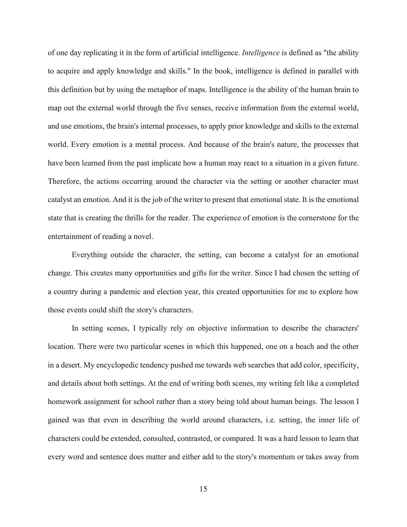of one day replicating it in the form of artificial intelligence. *Intelligence* is defined as "the ability to acquire and apply knowledge and skills." In the book, intelligence is defined in parallel with this definition but by using the metaphor of maps. Intelligence is the ability of the human brain to map out the external world through the five senses, receive information from the external world, and use emotions, the brain's internal processes, to apply prior knowledge and skills to the external world. Every emotion is a mental process. And because of the brain's nature, the processes that have been learned from the past implicate how a human may react to a situation in a given future. Therefore, the actions occurring around the character via the setting or another character must catalyst an emotion. And it is the job of the writer to present that emotional state. It is the emotional state that is creating the thrills for the reader. The experience of emotion is the cornerstone for the entertainment of reading a novel.

Everything outside the character, the setting, can become a catalyst for an emotional change. This creates many opportunities and gifts for the writer. Since I had chosen the setting of a country during a pandemic and election year, this created opportunities for me to explore how those events could shift the story's characters.

In setting scenes, I typically rely on objective information to describe the characters' location. There were two particular scenes in which this happened, one on a beach and the other in a desert. My encyclopedic tendency pushed me towards web searches that add color, specificity, and details about both settings. At the end of writing both scenes, my writing felt like a completed homework assignment for school rather than a story being told about human beings. The lesson I gained was that even in describing the world around characters, i.e. setting, the inner life of characters could be extended, consulted, contrasted, or compared. It was a hard lesson to learn that every word and sentence does matter and either add to the story's momentum or takes away from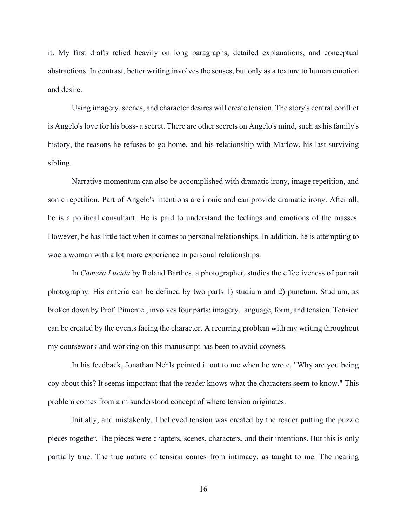it. My first drafts relied heavily on long paragraphs, detailed explanations, and conceptual abstractions. In contrast, better writing involves the senses, but only as a texture to human emotion and desire.

Using imagery, scenes, and character desires will create tension. The story's central conflict is Angelo's love for his boss- a secret. There are other secrets on Angelo's mind, such as his family's history, the reasons he refuses to go home, and his relationship with Marlow, his last surviving sibling.

Narrative momentum can also be accomplished with dramatic irony, image repetition, and sonic repetition. Part of Angelo's intentions are ironic and can provide dramatic irony. After all, he is a political consultant. He is paid to understand the feelings and emotions of the masses. However, he has little tact when it comes to personal relationships. In addition, he is attempting to woe a woman with a lot more experience in personal relationships.

In *Camera Lucida* by Roland Barthes, a photographer, studies the effectiveness of portrait photography. His criteria can be defined by two parts 1) studium and 2) punctum. Studium, as broken down by Prof. Pimentel, involves four parts: imagery, language, form, and tension. Tension can be created by the events facing the character. A recurring problem with my writing throughout my coursework and working on this manuscript has been to avoid coyness.

In his feedback, Jonathan Nehls pointed it out to me when he wrote, "Why are you being coy about this? It seems important that the reader knows what the characters seem to know." This problem comes from a misunderstood concept of where tension originates.

Initially, and mistakenly, I believed tension was created by the reader putting the puzzle pieces together. The pieces were chapters, scenes, characters, and their intentions. But this is only partially true. The true nature of tension comes from intimacy, as taught to me. The nearing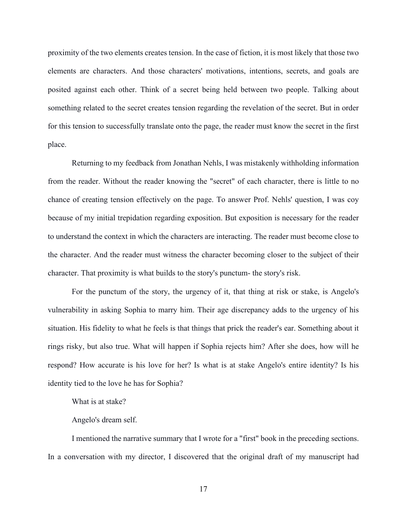proximity of the two elements creates tension. In the case of fiction, it is most likely that those two elements are characters. And those characters' motivations, intentions, secrets, and goals are posited against each other. Think of a secret being held between two people. Talking about something related to the secret creates tension regarding the revelation of the secret. But in order for this tension to successfully translate onto the page, the reader must know the secret in the first place.

Returning to my feedback from Jonathan Nehls, I was mistakenly withholding information from the reader. Without the reader knowing the "secret" of each character, there is little to no chance of creating tension effectively on the page. To answer Prof. Nehls' question, I was coy because of my initial trepidation regarding exposition. But exposition is necessary for the reader to understand the context in which the characters are interacting. The reader must become close to the character. And the reader must witness the character becoming closer to the subject of their character. That proximity is what builds to the story's punctum- the story's risk.

For the punctum of the story, the urgency of it, that thing at risk or stake, is Angelo's vulnerability in asking Sophia to marry him. Their age discrepancy adds to the urgency of his situation. His fidelity to what he feels is that things that prick the reader's ear. Something about it rings risky, but also true. What will happen if Sophia rejects him? After she does, how will he respond? How accurate is his love for her? Is what is at stake Angelo's entire identity? Is his identity tied to the love he has for Sophia?

What is at stake?

Angelo's dream self.

I mentioned the narrative summary that I wrote for a "first" book in the preceding sections. In a conversation with my director, I discovered that the original draft of my manuscript had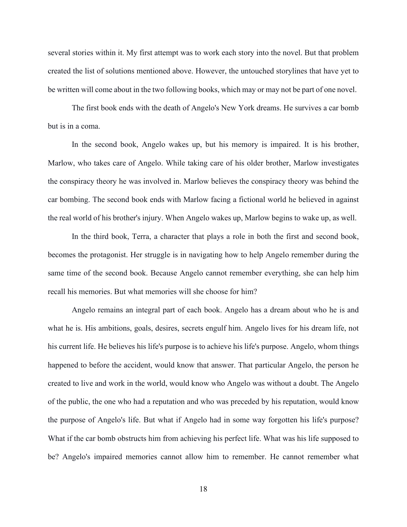several stories within it. My first attempt was to work each story into the novel. But that problem created the list of solutions mentioned above. However, the untouched storylines that have yet to be written will come about in the two following books, which may or may not be part of one novel.

The first book ends with the death of Angelo's New York dreams. He survives a car bomb but is in a coma.

In the second book, Angelo wakes up, but his memory is impaired. It is his brother, Marlow, who takes care of Angelo. While taking care of his older brother, Marlow investigates the conspiracy theory he was involved in. Marlow believes the conspiracy theory was behind the car bombing. The second book ends with Marlow facing a fictional world he believed in against the real world of his brother's injury. When Angelo wakes up, Marlow begins to wake up, as well.

In the third book, Terra, a character that plays a role in both the first and second book, becomes the protagonist. Her struggle is in navigating how to help Angelo remember during the same time of the second book. Because Angelo cannot remember everything, she can help him recall his memories. But what memories will she choose for him?

Angelo remains an integral part of each book. Angelo has a dream about who he is and what he is. His ambitions, goals, desires, secrets engulf him. Angelo lives for his dream life, not his current life. He believes his life's purpose is to achieve his life's purpose. Angelo, whom things happened to before the accident, would know that answer. That particular Angelo, the person he created to live and work in the world, would know who Angelo was without a doubt. The Angelo of the public, the one who had a reputation and who was preceded by his reputation, would know the purpose of Angelo's life. But what if Angelo had in some way forgotten his life's purpose? What if the car bomb obstructs him from achieving his perfect life. What was his life supposed to be? Angelo's impaired memories cannot allow him to remember. He cannot remember what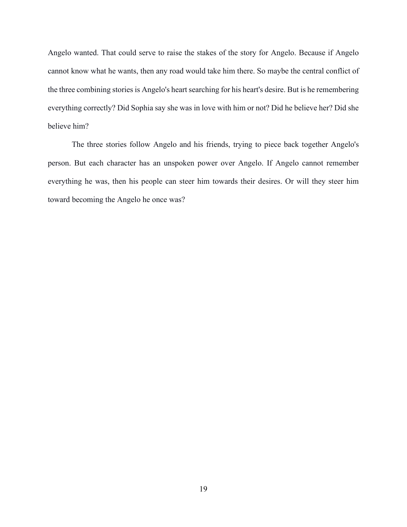Angelo wanted. That could serve to raise the stakes of the story for Angelo. Because if Angelo cannot know what he wants, then any road would take him there. So maybe the central conflict of the three combining stories is Angelo's heart searching for his heart's desire. But is he remembering everything correctly? Did Sophia say she was in love with him or not? Did he believe her? Did she believe him?

The three stories follow Angelo and his friends, trying to piece back together Angelo's person. But each character has an unspoken power over Angelo. If Angelo cannot remember everything he was, then his people can steer him towards their desires. Or will they steer him toward becoming the Angelo he once was?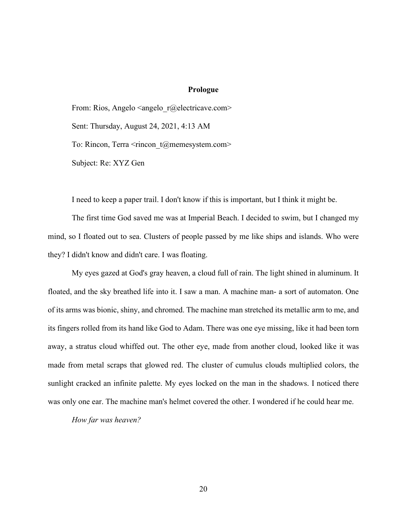#### **Prologue**

<span id="page-27-0"></span>From: Rios, Angelo  $\langle$ angelo  $r$ @electricave.com> Sent: Thursday, August 24, 2021, 4:13 AM To: Rincon, Terra <rincon t@memesystem.com> Subject: Re: XYZ Gen

I need to keep a paper trail. I don't know if this is important, but I think it might be.

The first time God saved me was at Imperial Beach. I decided to swim, but I changed my mind, so I floated out to sea. Clusters of people passed by me like ships and islands. Who were they? I didn't know and didn't care. I was floating.

My eyes gazed at God's gray heaven, a cloud full of rain. The light shined in aluminum. It floated, and the sky breathed life into it. I saw a man. A machine man- a sort of automaton. One of its arms was bionic, shiny, and chromed. The machine man stretched its metallic arm to me, and its fingers rolled from its hand like God to Adam. There was one eye missing, like it had been torn away, a stratus cloud whiffed out. The other eye, made from another cloud, looked like it was made from metal scraps that glowed red. The cluster of cumulus clouds multiplied colors, the sunlight cracked an infinite palette. My eyes locked on the man in the shadows. I noticed there was only one ear. The machine man's helmet covered the other. I wondered if he could hear me.

*How far was heaven?*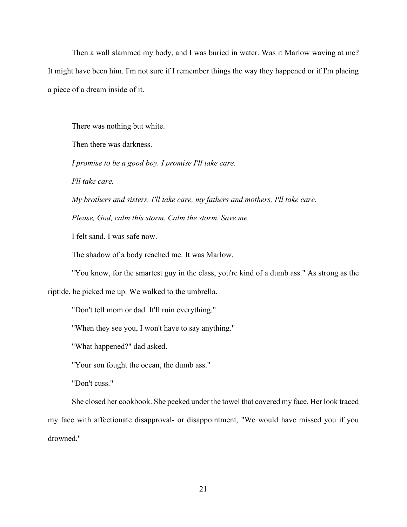Then a wall slammed my body, and I was buried in water. Was it Marlow waving at me? It might have been him. I'm not sure if I remember things the way they happened or if I'm placing a piece of a dream inside of it.

There was nothing but white.

Then there was darkness.

*I promise to be a good boy. I promise I'll take care.*

*I'll take care.*

*My brothers and sisters, I'll take care, my fathers and mothers, I'll take care.*

*Please, God, calm this storm. Calm the storm. Save me.*

I felt sand. I was safe now.

The shadow of a body reached me. It was Marlow.

"You know, for the smartest guy in the class, you're kind of a dumb ass." As strong as the

riptide, he picked me up. We walked to the umbrella.

"Don't tell mom or dad. It'll ruin everything."

"When they see you, I won't have to say anything."

"What happened?" dad asked.

"Your son fought the ocean, the dumb ass."

"Don't cuss."

She closed her cookbook. She peeked under the towel that covered my face. Her look traced my face with affectionate disapproval- or disappointment, "We would have missed you if you drowned."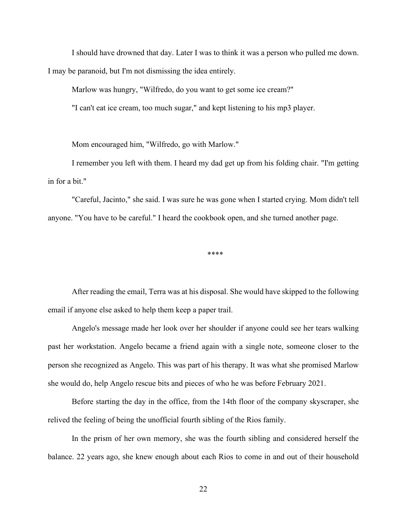I should have drowned that day. Later I was to think it was a person who pulled me down. I may be paranoid, but I'm not dismissing the idea entirely.

Marlow was hungry, "Wilfredo, do you want to get some ice cream?"

"I can't eat ice cream, too much sugar," and kept listening to his mp3 player.

Mom encouraged him, "Wilfredo, go with Marlow."

I remember you left with them. I heard my dad get up from his folding chair. "I'm getting in for a bit."

"Careful, Jacinto," she said. I was sure he was gone when I started crying. Mom didn't tell anyone. "You have to be careful." I heard the cookbook open, and she turned another page.

\*\*\*\*

After reading the email, Terra was at his disposal. She would have skipped to the following email if anyone else asked to help them keep a paper trail.

Angelo's message made her look over her shoulder if anyone could see her tears walking past her workstation. Angelo became a friend again with a single note, someone closer to the person she recognized as Angelo. This was part of his therapy. It was what she promised Marlow she would do, help Angelo rescue bits and pieces of who he was before February 2021.

Before starting the day in the office, from the 14th floor of the company skyscraper, she relived the feeling of being the unofficial fourth sibling of the Rios family.

In the prism of her own memory, she was the fourth sibling and considered herself the balance. 22 years ago, she knew enough about each Rios to come in and out of their household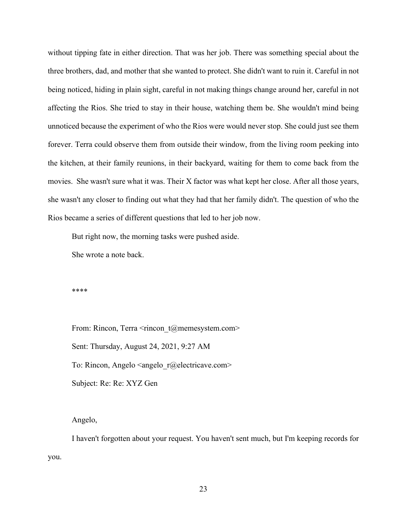without tipping fate in either direction. That was her job. There was something special about the three brothers, dad, and mother that she wanted to protect. She didn't want to ruin it. Careful in not being noticed, hiding in plain sight, careful in not making things change around her, careful in not affecting the Rios. She tried to stay in their house, watching them be. She wouldn't mind being unnoticed because the experiment of who the Rios were would never stop. She could just see them forever. Terra could observe them from outside their window, from the living room peeking into the kitchen, at their family reunions, in their backyard, waiting for them to come back from the movies. She wasn't sure what it was. Their X factor was what kept her close. After all those years, she wasn't any closer to finding out what they had that her family didn't. The question of who the Rios became a series of different questions that led to her job now.

But right now, the morning tasks were pushed aside.

She wrote a note back.

\*\*\*\*

From: Rincon, Terra  $\leq$ rincon t@memesystem.com> Sent: Thursday, August 24, 2021, 9:27 AM To: Rincon, Angelo  $\langle$ angelo  $r$ @electricave.com> Subject: Re: Re: XYZ Gen

Angelo,

I haven't forgotten about your request. You haven't sent much, but I'm keeping records for you.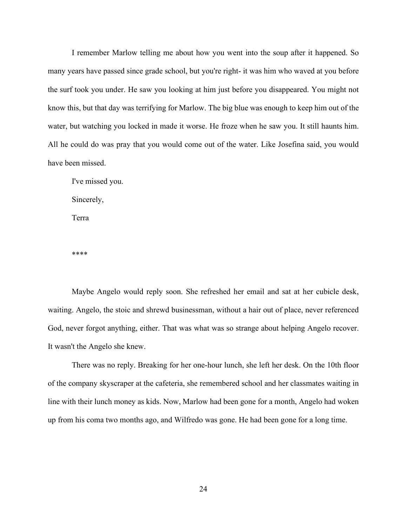I remember Marlow telling me about how you went into the soup after it happened. So many years have passed since grade school, but you're right- it was him who waved at you before the surf took you under. He saw you looking at him just before you disappeared. You might not know this, but that day was terrifying for Marlow. The big blue was enough to keep him out of the water, but watching you locked in made it worse. He froze when he saw you. It still haunts him. All he could do was pray that you would come out of the water. Like Josefina said, you would have been missed.

I've missed you. Sincerely, Terra

\*\*\*\*

Maybe Angelo would reply soon. She refreshed her email and sat at her cubicle desk, waiting. Angelo, the stoic and shrewd businessman, without a hair out of place, never referenced God, never forgot anything, either. That was what was so strange about helping Angelo recover. It wasn't the Angelo she knew.

There was no reply. Breaking for her one-hour lunch, she left her desk. On the 10th floor of the company skyscraper at the cafeteria, she remembered school and her classmates waiting in line with their lunch money as kids. Now, Marlow had been gone for a month, Angelo had woken up from his coma two months ago, and Wilfredo was gone. He had been gone for a long time.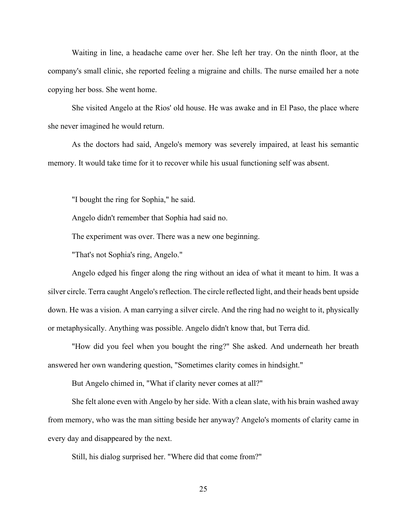Waiting in line, a headache came over her. She left her tray. On the ninth floor, at the company's small clinic, she reported feeling a migraine and chills. The nurse emailed her a note copying her boss. She went home.

She visited Angelo at the Rios' old house. He was awake and in El Paso, the place where she never imagined he would return.

As the doctors had said, Angelo's memory was severely impaired, at least his semantic memory. It would take time for it to recover while his usual functioning self was absent.

"I bought the ring for Sophia," he said.

Angelo didn't remember that Sophia had said no.

The experiment was over. There was a new one beginning.

"That's not Sophia's ring, Angelo."

Angelo edged his finger along the ring without an idea of what it meant to him. It was a silver circle. Terra caught Angelo's reflection. The circle reflected light, and their heads bent upside down. He was a vision. A man carrying a silver circle. And the ring had no weight to it, physically or metaphysically. Anything was possible. Angelo didn't know that, but Terra did.

"How did you feel when you bought the ring?" She asked. And underneath her breath answered her own wandering question, "Sometimes clarity comes in hindsight."

But Angelo chimed in, "What if clarity never comes at all?"

She felt alone even with Angelo by her side. With a clean slate, with his brain washed away from memory, who was the man sitting beside her anyway? Angelo's moments of clarity came in every day and disappeared by the next.

Still, his dialog surprised her. "Where did that come from?"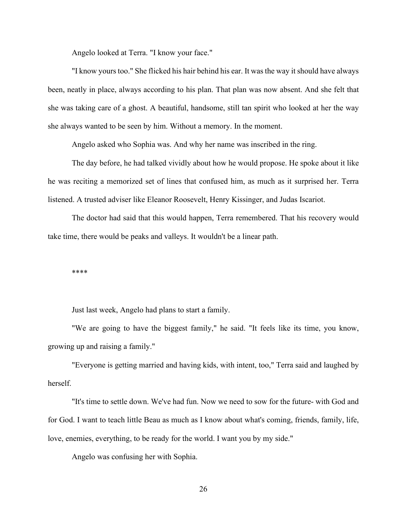Angelo looked at Terra. "I know your face."

"I know yours too." She flicked his hair behind his ear. It was the way it should have always been, neatly in place, always according to his plan. That plan was now absent. And she felt that she was taking care of a ghost. A beautiful, handsome, still tan spirit who looked at her the way she always wanted to be seen by him. Without a memory. In the moment.

Angelo asked who Sophia was. And why her name was inscribed in the ring.

The day before, he had talked vividly about how he would propose. He spoke about it like he was reciting a memorized set of lines that confused him, as much as it surprised her. Terra listened. A trusted adviser like Eleanor Roosevelt, Henry Kissinger, and Judas Iscariot.

The doctor had said that this would happen, Terra remembered. That his recovery would take time, there would be peaks and valleys. It wouldn't be a linear path.

\*\*\*\*

Just last week, Angelo had plans to start a family.

"We are going to have the biggest family," he said. "It feels like its time, you know, growing up and raising a family."

"Everyone is getting married and having kids, with intent, too," Terra said and laughed by herself.

"It's time to settle down. We've had fun. Now we need to sow for the future- with God and for God. I want to teach little Beau as much as I know about what's coming, friends, family, life, love, enemies, everything, to be ready for the world. I want you by my side."

Angelo was confusing her with Sophia.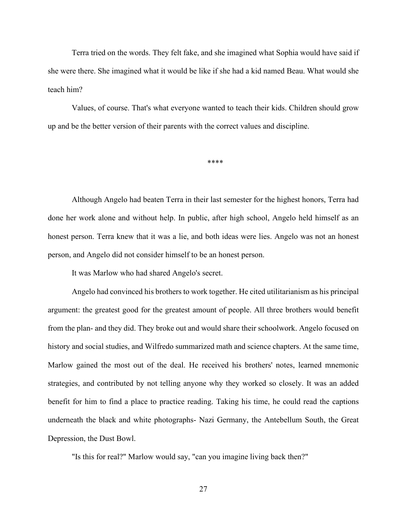Terra tried on the words. They felt fake, and she imagined what Sophia would have said if she were there. She imagined what it would be like if she had a kid named Beau. What would she teach him?

Values, of course. That's what everyone wanted to teach their kids. Children should grow up and be the better version of their parents with the correct values and discipline.

\*\*\*\*

Although Angelo had beaten Terra in their last semester for the highest honors, Terra had done her work alone and without help. In public, after high school, Angelo held himself as an honest person. Terra knew that it was a lie, and both ideas were lies. Angelo was not an honest person, and Angelo did not consider himself to be an honest person.

It was Marlow who had shared Angelo's secret.

Angelo had convinced his brothers to work together. He cited utilitarianism as his principal argument: the greatest good for the greatest amount of people. All three brothers would benefit from the plan- and they did. They broke out and would share their schoolwork. Angelo focused on history and social studies, and Wilfredo summarized math and science chapters. At the same time, Marlow gained the most out of the deal. He received his brothers' notes, learned mnemonic strategies, and contributed by not telling anyone why they worked so closely. It was an added benefit for him to find a place to practice reading. Taking his time, he could read the captions underneath the black and white photographs- Nazi Germany, the Antebellum South, the Great Depression, the Dust Bowl.

"Is this for real?" Marlow would say, "can you imagine living back then?"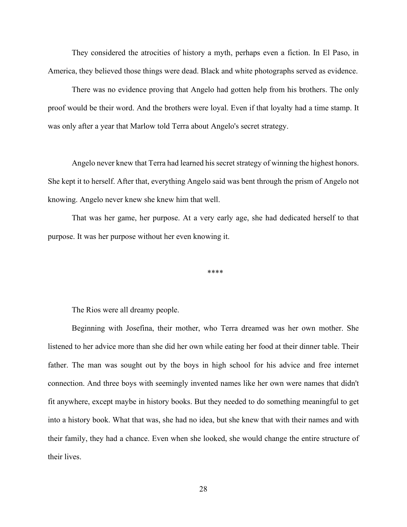They considered the atrocities of history a myth, perhaps even a fiction. In El Paso, in America, they believed those things were dead. Black and white photographs served as evidence.

There was no evidence proving that Angelo had gotten help from his brothers. The only proof would be their word. And the brothers were loyal. Even if that loyalty had a time stamp. It was only after a year that Marlow told Terra about Angelo's secret strategy.

Angelo never knew that Terra had learned his secret strategy of winning the highest honors. She kept it to herself. After that, everything Angelo said was bent through the prism of Angelo not knowing. Angelo never knew she knew him that well.

That was her game, her purpose. At a very early age, she had dedicated herself to that purpose. It was her purpose without her even knowing it.

\*\*\*\*

The Rios were all dreamy people.

Beginning with Josefina, their mother, who Terra dreamed was her own mother. She listened to her advice more than she did her own while eating her food at their dinner table. Their father. The man was sought out by the boys in high school for his advice and free internet connection. And three boys with seemingly invented names like her own were names that didn't fit anywhere, except maybe in history books. But they needed to do something meaningful to get into a history book. What that was, she had no idea, but she knew that with their names and with their family, they had a chance. Even when she looked, she would change the entire structure of their lives.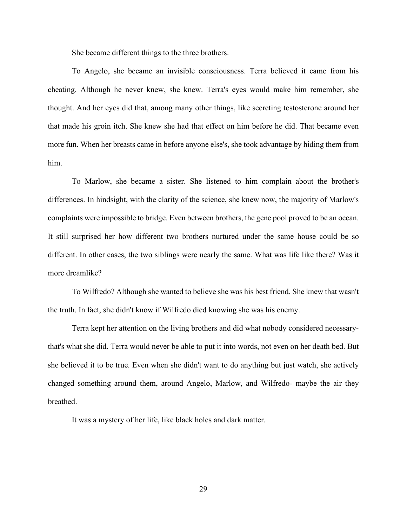She became different things to the three brothers.

To Angelo, she became an invisible consciousness. Terra believed it came from his cheating. Although he never knew, she knew. Terra's eyes would make him remember, she thought. And her eyes did that, among many other things, like secreting testosterone around her that made his groin itch. She knew she had that effect on him before he did. That became even more fun. When her breasts came in before anyone else's, she took advantage by hiding them from him.

To Marlow, she became a sister. She listened to him complain about the brother's differences. In hindsight, with the clarity of the science, she knew now, the majority of Marlow's complaints were impossible to bridge. Even between brothers, the gene pool proved to be an ocean. It still surprised her how different two brothers nurtured under the same house could be so different. In other cases, the two siblings were nearly the same. What was life like there? Was it more dreamlike?

To Wilfredo? Although she wanted to believe she was his best friend. She knew that wasn't the truth. In fact, she didn't know if Wilfredo died knowing she was his enemy.

Terra kept her attention on the living brothers and did what nobody considered necessarythat's what she did. Terra would never be able to put it into words, not even on her death bed. But she believed it to be true. Even when she didn't want to do anything but just watch, she actively changed something around them, around Angelo, Marlow, and Wilfredo- maybe the air they breathed.

It was a mystery of her life, like black holes and dark matter.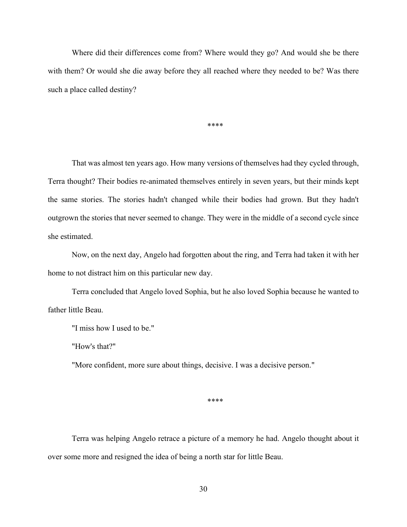Where did their differences come from? Where would they go? And would she be there with them? Or would she die away before they all reached where they needed to be? Was there such a place called destiny?

\*\*\*\*

That was almost ten years ago. How many versions of themselves had they cycled through, Terra thought? Their bodies re-animated themselves entirely in seven years, but their minds kept the same stories. The stories hadn't changed while their bodies had grown. But they hadn't outgrown the stories that never seemed to change. They were in the middle of a second cycle since she estimated.

Now, on the next day, Angelo had forgotten about the ring, and Terra had taken it with her home to not distract him on this particular new day.

Terra concluded that Angelo loved Sophia, but he also loved Sophia because he wanted to father little Beau.

"I miss how I used to be."

"How's that?"

"More confident, more sure about things, decisive. I was a decisive person."

\*\*\*\*

Terra was helping Angelo retrace a picture of a memory he had. Angelo thought about it over some more and resigned the idea of being a north star for little Beau.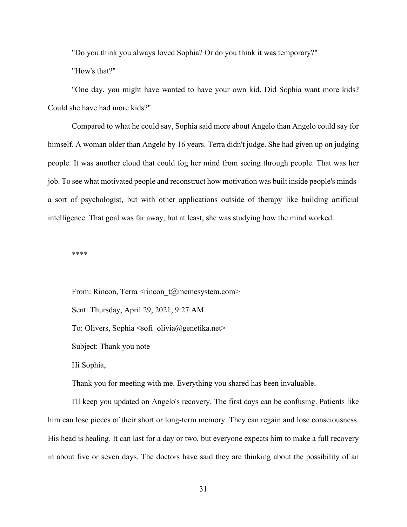"Do you think you always loved Sophia? Or do you think it was temporary?"

"How's that?"

"One day, you might have wanted to have your own kid. Did Sophia want more kids? Could she have had more kids?"

Compared to what he could say, Sophia said more about Angelo than Angelo could say for himself. A woman older than Angelo by 16 years. Terra didn't judge. She had given up on judging people. It was another cloud that could fog her mind from seeing through people. That was her job. To see what motivated people and reconstruct how motivation was built inside people's mindsa sort of psychologist, but with other applications outside of therapy like building artificial intelligence. That goal was far away, but at least, she was studying how the mind worked.

\*\*\*\*

From: Rincon, Terra  $\leq$ rincon t@memesystem.com> Sent: Thursday, April 29, 2021, 9:27 AM To: Olivers, Sophia  $\leq$ sofi olivia@genetika.net> Subject: Thank you note Hi Sophia,

Thank you for meeting with me. Everything you shared has been invaluable.

I'll keep you updated on Angelo's recovery. The first days can be confusing. Patients like him can lose pieces of their short or long-term memory. They can regain and lose consciousness. His head is healing. It can last for a day or two, but everyone expects him to make a full recovery in about five or seven days. The doctors have said they are thinking about the possibility of an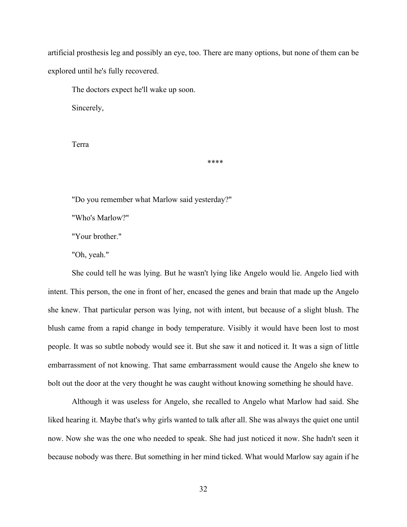artificial prosthesis leg and possibly an eye, too. There are many options, but none of them can be explored until he's fully recovered.

The doctors expect he'll wake up soon.

Sincerely,

Terra

\*\*\*\*

"Do you remember what Marlow said yesterday?"

"Who's Marlow?"

"Your brother."

"Oh, yeah."

She could tell he was lying. But he wasn't lying like Angelo would lie. Angelo lied with intent. This person, the one in front of her, encased the genes and brain that made up the Angelo she knew. That particular person was lying, not with intent, but because of a slight blush. The blush came from a rapid change in body temperature. Visibly it would have been lost to most people. It was so subtle nobody would see it. But she saw it and noticed it. It was a sign of little embarrassment of not knowing. That same embarrassment would cause the Angelo she knew to bolt out the door at the very thought he was caught without knowing something he should have.

Although it was useless for Angelo, she recalled to Angelo what Marlow had said. She liked hearing it. Maybe that's why girls wanted to talk after all. She was always the quiet one until now. Now she was the one who needed to speak. She had just noticed it now. She hadn't seen it because nobody was there. But something in her mind ticked. What would Marlow say again if he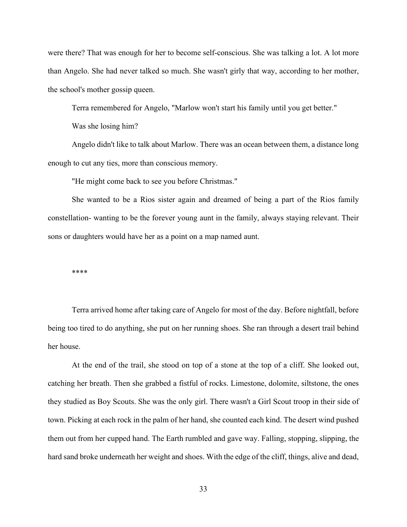were there? That was enough for her to become self-conscious. She was talking a lot. A lot more than Angelo. She had never talked so much. She wasn't girly that way, according to her mother, the school's mother gossip queen.

Terra remembered for Angelo, "Marlow won't start his family until you get better."

Was she losing him?

Angelo didn't like to talk about Marlow. There was an ocean between them, a distance long enough to cut any ties, more than conscious memory.

"He might come back to see you before Christmas."

She wanted to be a Rios sister again and dreamed of being a part of the Rios family constellation- wanting to be the forever young aunt in the family, always staying relevant. Their sons or daughters would have her as a point on a map named aunt.

\*\*\*\*

Terra arrived home after taking care of Angelo for most of the day. Before nightfall, before being too tired to do anything, she put on her running shoes. She ran through a desert trail behind her house.

At the end of the trail, she stood on top of a stone at the top of a cliff. She looked out, catching her breath. Then she grabbed a fistful of rocks. Limestone, dolomite, siltstone, the ones they studied as Boy Scouts. She was the only girl. There wasn't a Girl Scout troop in their side of town. Picking at each rock in the palm of her hand, she counted each kind. The desert wind pushed them out from her cupped hand. The Earth rumbled and gave way. Falling, stopping, slipping, the hard sand broke underneath her weight and shoes. With the edge of the cliff, things, alive and dead,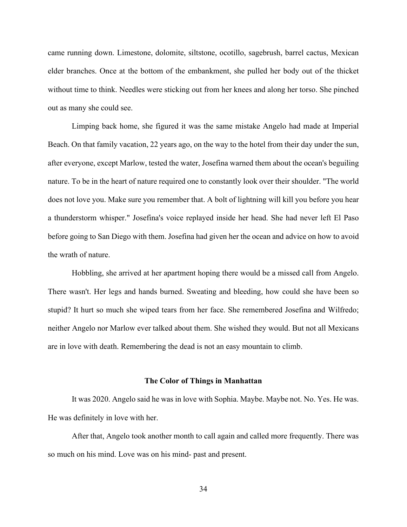came running down. Limestone, dolomite, siltstone, ocotillo, sagebrush, barrel cactus, Mexican elder branches. Once at the bottom of the embankment, she pulled her body out of the thicket without time to think. Needles were sticking out from her knees and along her torso. She pinched out as many she could see.

Limping back home, she figured it was the same mistake Angelo had made at Imperial Beach. On that family vacation, 22 years ago, on the way to the hotel from their day under the sun, after everyone, except Marlow, tested the water, Josefina warned them about the ocean's beguiling nature. To be in the heart of nature required one to constantly look over their shoulder. "The world does not love you. Make sure you remember that. A bolt of lightning will kill you before you hear a thunderstorm whisper." Josefina's voice replayed inside her head. She had never left El Paso before going to San Diego with them. Josefina had given her the ocean and advice on how to avoid the wrath of nature.

Hobbling, she arrived at her apartment hoping there would be a missed call from Angelo. There wasn't. Her legs and hands burned. Sweating and bleeding, how could she have been so stupid? It hurt so much she wiped tears from her face. She remembered Josefina and Wilfredo; neither Angelo nor Marlow ever talked about them. She wished they would. But not all Mexicans are in love with death. Remembering the dead is not an easy mountain to climb.

### **The Color of Things in Manhattan**

It was 2020. Angelo said he was in love with Sophia. Maybe. Maybe not. No. Yes. He was. He was definitely in love with her.

After that, Angelo took another month to call again and called more frequently. There was so much on his mind. Love was on his mind- past and present.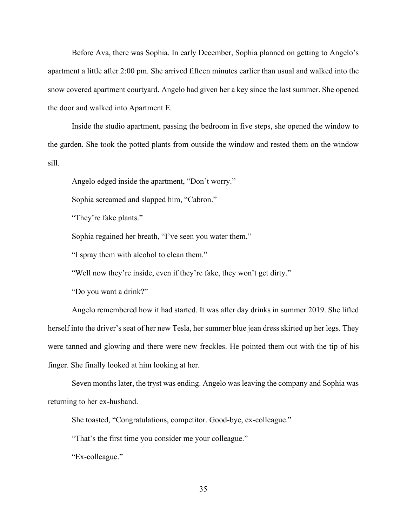Before Ava, there was Sophia. In early December, Sophia planned on getting to Angelo's apartment a little after 2:00 pm. She arrived fifteen minutes earlier than usual and walked into the snow covered apartment courtyard. Angelo had given her a key since the last summer. She opened the door and walked into Apartment E.

Inside the studio apartment, passing the bedroom in five steps, she opened the window to the garden. She took the potted plants from outside the window and rested them on the window sill.

Angelo edged inside the apartment, "Don't worry."

Sophia screamed and slapped him, "Cabron."

"They're fake plants."

Sophia regained her breath, "I've seen you water them."

"I spray them with alcohol to clean them."

"Well now they're inside, even if they're fake, they won't get dirty."

"Do you want a drink?"

Angelo remembered how it had started. It was after day drinks in summer 2019. She lifted herself into the driver's seat of her new Tesla, her summer blue jean dress skirted up her legs. They were tanned and glowing and there were new freckles. He pointed them out with the tip of his finger. She finally looked at him looking at her.

Seven months later, the tryst was ending. Angelo was leaving the company and Sophia was returning to her ex-husband.

She toasted, "Congratulations, competitor. Good-bye, ex-colleague."

"That's the first time you consider me your colleague."

"Ex-colleague."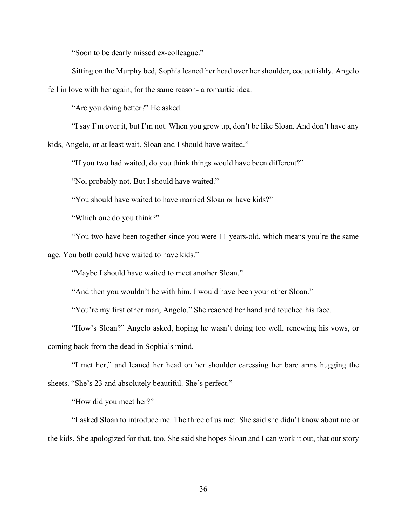"Soon to be dearly missed ex-colleague."

Sitting on the Murphy bed, Sophia leaned her head over her shoulder, coquettishly. Angelo fell in love with her again, for the same reason- a romantic idea.

"Are you doing better?" He asked.

"I say I'm over it, but I'm not. When you grow up, don't be like Sloan. And don't have any

kids, Angelo, or at least wait. Sloan and I should have waited."

"If you two had waited, do you think things would have been different?"

"No, probably not. But I should have waited."

"You should have waited to have married Sloan or have kids?"

"Which one do you think?"

"You two have been together since you were 11 years-old, which means you're the same age. You both could have waited to have kids."

"Maybe I should have waited to meet another Sloan."

"And then you wouldn't be with him. I would have been your other Sloan."

"You're my first other man, Angelo." She reached her hand and touched his face.

"How's Sloan?" Angelo asked, hoping he wasn't doing too well, renewing his vows, or coming back from the dead in Sophia's mind.

"I met her," and leaned her head on her shoulder caressing her bare arms hugging the sheets. "She's 23 and absolutely beautiful. She's perfect."

"How did you meet her?"

"I asked Sloan to introduce me. The three of us met. She said she didn't know about me or the kids. She apologized for that, too. She said she hopes Sloan and I can work it out, that our story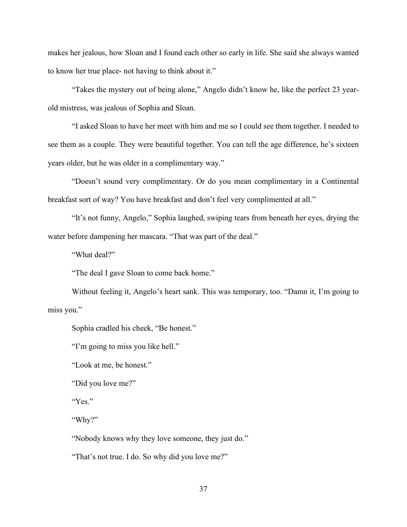makes her jealous, how Sloan and I found each other so early in life. She said she always wanted to know her true place- not having to think about it."

"Takes the mystery out of being alone," Angelo didn't know he, like the perfect 23 yearold mistress, was jealous of Sophia and Sloan.

"I asked Sloan to have her meet with him and me so I could see them together. I needed to see them as a couple. They were beautiful together. You can tell the age difference, he's sixteen years older, but he was older in a complimentary way."

"Doesn't sound very complimentary. Or do you mean complimentary in a Continental breakfast sort of way? You have breakfast and don't feel very complimented at all."

"It's not funny, Angelo," Sophia laughed, swiping tears from beneath her eyes, drying the water before dampening her mascara. "That was part of the deal."

"What deal?"

"The deal I gave Sloan to come back home."

Without feeling it, Angelo's heart sank. This was temporary, too. "Damn it, I'm going to miss you."

Sophia cradled his cheek, "Be honest."

"I'm going to miss you like hell."

"Look at me, be honest."

"Did you love me?"

"Yes."

"Why?"

"Nobody knows why they love someone, they just do."

"That's not true. I do. So why did you love me?"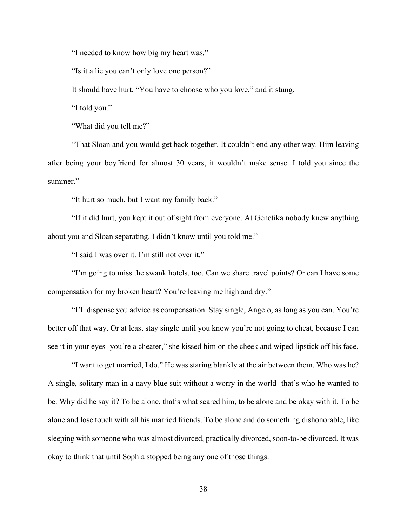"I needed to know how big my heart was."

"Is it a lie you can't only love one person?"

It should have hurt, "You have to choose who you love," and it stung.

"I told you."

"What did you tell me?"

"That Sloan and you would get back together. It couldn't end any other way. Him leaving after being your boyfriend for almost 30 years, it wouldn't make sense. I told you since the summer."

"It hurt so much, but I want my family back."

"If it did hurt, you kept it out of sight from everyone. At Genetika nobody knew anything about you and Sloan separating. I didn't know until you told me."

"I said I was over it. I'm still not over it."

"I'm going to miss the swank hotels, too. Can we share travel points? Or can I have some compensation for my broken heart? You're leaving me high and dry."

"I'll dispense you advice as compensation. Stay single, Angelo, as long as you can. You're better off that way. Or at least stay single until you know you're not going to cheat, because I can see it in your eyes- you're a cheater," she kissed him on the cheek and wiped lipstick off his face.

"I want to get married, I do." He was staring blankly at the air between them. Who was he? A single, solitary man in a navy blue suit without a worry in the world- that's who he wanted to be. Why did he say it? To be alone, that's what scared him, to be alone and be okay with it. To be alone and lose touch with all his married friends. To be alone and do something dishonorable, like sleeping with someone who was almost divorced, practically divorced, soon-to-be divorced. It was okay to think that until Sophia stopped being any one of those things.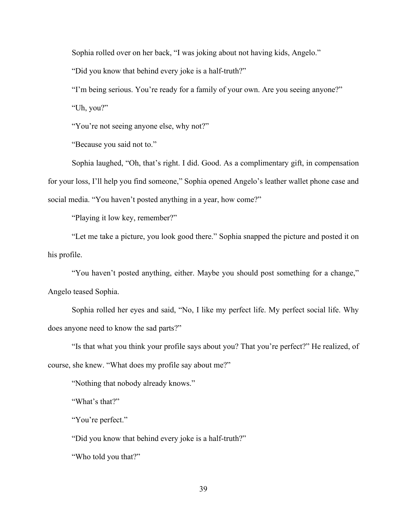Sophia rolled over on her back, "I was joking about not having kids, Angelo."

"Did you know that behind every joke is a half-truth?"

"I'm being serious. You're ready for a family of your own. Are you seeing anyone?"

"Uh, you?"

"You're not seeing anyone else, why not?"

"Because you said not to."

Sophia laughed, "Oh, that's right. I did. Good. As a complimentary gift, in compensation for your loss, I'll help you find someone," Sophia opened Angelo's leather wallet phone case and social media. "You haven't posted anything in a year, how come?"

"Playing it low key, remember?"

"Let me take a picture, you look good there." Sophia snapped the picture and posted it on his profile.

"You haven't posted anything, either. Maybe you should post something for a change," Angelo teased Sophia.

Sophia rolled her eyes and said, "No, I like my perfect life. My perfect social life. Why does anyone need to know the sad parts?"

"Is that what you think your profile says about you? That you're perfect?" He realized, of course, she knew. "What does my profile say about me?"

"Nothing that nobody already knows."

"What's that?"

"You're perfect."

"Did you know that behind every joke is a half-truth?"

"Who told you that?"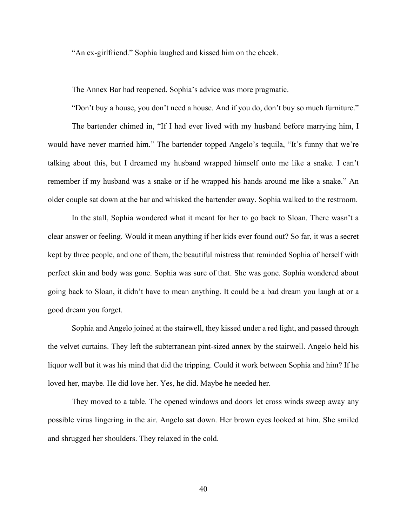"An ex-girlfriend." Sophia laughed and kissed him on the cheek.

The Annex Bar had reopened. Sophia's advice was more pragmatic.

"Don't buy a house, you don't need a house. And if you do, don't buy so much furniture."

The bartender chimed in, "If I had ever lived with my husband before marrying him, I would have never married him." The bartender topped Angelo's tequila, "It's funny that we're talking about this, but I dreamed my husband wrapped himself onto me like a snake. I can't remember if my husband was a snake or if he wrapped his hands around me like a snake." An older couple sat down at the bar and whisked the bartender away. Sophia walked to the restroom.

In the stall, Sophia wondered what it meant for her to go back to Sloan. There wasn't a clear answer or feeling. Would it mean anything if her kids ever found out? So far, it was a secret kept by three people, and one of them, the beautiful mistress that reminded Sophia of herself with perfect skin and body was gone. Sophia was sure of that. She was gone. Sophia wondered about going back to Sloan, it didn't have to mean anything. It could be a bad dream you laugh at or a good dream you forget.

Sophia and Angelo joined at the stairwell, they kissed under a red light, and passed through the velvet curtains. They left the subterranean pint-sized annex by the stairwell. Angelo held his liquor well but it was his mind that did the tripping. Could it work between Sophia and him? If he loved her, maybe. He did love her. Yes, he did. Maybe he needed her.

They moved to a table. The opened windows and doors let cross winds sweep away any possible virus lingering in the air. Angelo sat down. Her brown eyes looked at him. She smiled and shrugged her shoulders. They relaxed in the cold.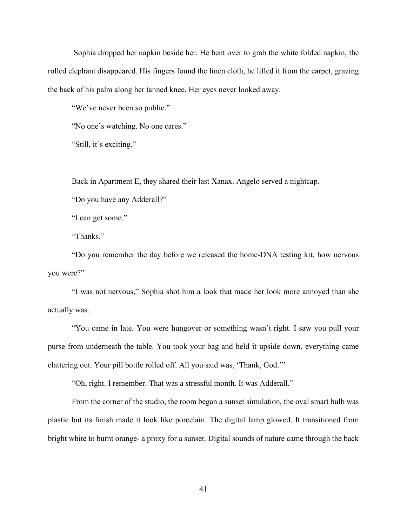Sophia dropped her napkin beside her. He bent over to grab the white folded napkin, the rolled elephant disappeared. His fingers found the linen cloth, he lifted it from the carpet, grazing the back of his palm along her tanned knee. Her eyes never looked away.

"We've never been so public."

"No one's watching. No one cares."

"Still, it's exciting."

Back in Apartment E, they shared their last Xanax. Angelo served a nightcap.

"Do you have any Adderall?"

"I can get some."

"Thanks."

"Do you remember the day before we released the home-DNA testing kit, how nervous you were?"

"I was not nervous," Sophia shot him a look that made her look more annoyed than she actually was.

"You came in late. You were hungover or something wasn't right. I saw you pull your purse from underneath the table. You took your bag and held it upside down, everything came clattering out. Your pill bottle rolled off. All you said was, 'Thank, God.'"

"Oh, right. I remember. That was a stressful month. It was Adderall."

From the corner of the studio, the room began a sunset simulation, the oval smart bulb was plastic but its finish made it look like porcelain. The digital lamp glowed. It transitioned from bright white to burnt orange- a proxy for a sunset. Digital sounds of nature came through the back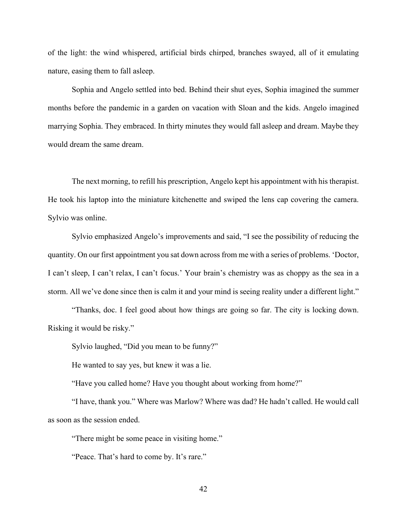of the light: the wind whispered, artificial birds chirped, branches swayed, all of it emulating nature, easing them to fall asleep.

Sophia and Angelo settled into bed. Behind their shut eyes, Sophia imagined the summer months before the pandemic in a garden on vacation with Sloan and the kids. Angelo imagined marrying Sophia. They embraced. In thirty minutes they would fall asleep and dream. Maybe they would dream the same dream.

The next morning, to refill his prescription, Angelo kept his appointment with his therapist. He took his laptop into the miniature kitchenette and swiped the lens cap covering the camera. Sylvio was online.

Sylvio emphasized Angelo's improvements and said, "I see the possibility of reducing the quantity. On our first appointment you sat down across from me with a series of problems. 'Doctor, I can't sleep, I can't relax, I can't focus.' Your brain's chemistry was as choppy as the sea in a storm. All we've done since then is calm it and your mind is seeing reality under a different light."

"Thanks, doc. I feel good about how things are going so far. The city is locking down. Risking it would be risky."

Sylvio laughed, "Did you mean to be funny?"

He wanted to say yes, but knew it was a lie.

"Have you called home? Have you thought about working from home?"

"I have, thank you." Where was Marlow? Where was dad? He hadn't called. He would call as soon as the session ended.

"There might be some peace in visiting home."

"Peace. That's hard to come by. It's rare."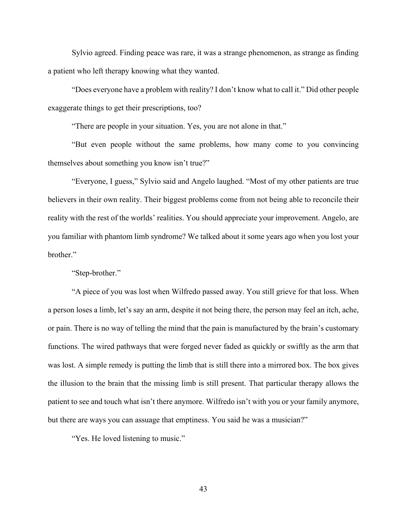Sylvio agreed. Finding peace was rare, it was a strange phenomenon, as strange as finding a patient who left therapy knowing what they wanted.

"Does everyone have a problem with reality? I don't know what to call it." Did other people exaggerate things to get their prescriptions, too?

"There are people in your situation. Yes, you are not alone in that."

"But even people without the same problems, how many come to you convincing themselves about something you know isn't true?"

"Everyone, I guess," Sylvio said and Angelo laughed. "Most of my other patients are true believers in their own reality. Their biggest problems come from not being able to reconcile their reality with the rest of the worlds' realities. You should appreciate your improvement. Angelo, are you familiar with phantom limb syndrome? We talked about it some years ago when you lost your brother."

### "Step-brother."

"A piece of you was lost when Wilfredo passed away. You still grieve for that loss. When a person loses a limb, let's say an arm, despite it not being there, the person may feel an itch, ache, or pain. There is no way of telling the mind that the pain is manufactured by the brain's customary functions. The wired pathways that were forged never faded as quickly or swiftly as the arm that was lost. A simple remedy is putting the limb that is still there into a mirrored box. The box gives the illusion to the brain that the missing limb is still present. That particular therapy allows the patient to see and touch what isn't there anymore. Wilfredo isn't with you or your family anymore, but there are ways you can assuage that emptiness. You said he was a musician?"

"Yes. He loved listening to music."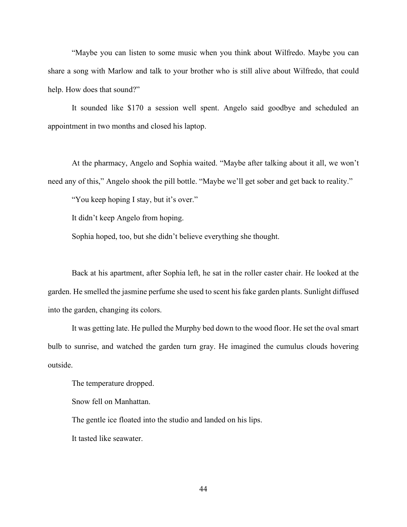"Maybe you can listen to some music when you think about Wilfredo. Maybe you can share a song with Marlow and talk to your brother who is still alive about Wilfredo, that could help. How does that sound?"

It sounded like \$170 a session well spent. Angelo said goodbye and scheduled an appointment in two months and closed his laptop.

At the pharmacy, Angelo and Sophia waited. "Maybe after talking about it all, we won't need any of this," Angelo shook the pill bottle. "Maybe we'll get sober and get back to reality."

"You keep hoping I stay, but it's over."

It didn't keep Angelo from hoping.

Sophia hoped, too, but she didn't believe everything she thought.

Back at his apartment, after Sophia left, he sat in the roller caster chair. He looked at the garden. He smelled the jasmine perfume she used to scent his fake garden plants. Sunlight diffused into the garden, changing its colors.

It was getting late. He pulled the Murphy bed down to the wood floor. He set the oval smart bulb to sunrise, and watched the garden turn gray. He imagined the cumulus clouds hovering outside.

The temperature dropped.

Snow fell on Manhattan.

The gentle ice floated into the studio and landed on his lips.

It tasted like seawater.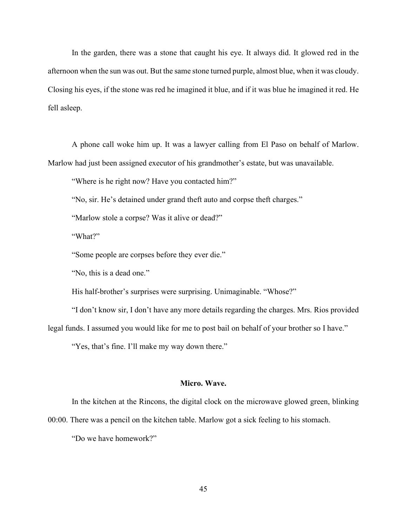In the garden, there was a stone that caught his eye. It always did. It glowed red in the afternoon when the sun was out. But the same stone turned purple, almost blue, when it was cloudy. Closing his eyes, if the stone was red he imagined it blue, and if it was blue he imagined it red. He fell asleep.

A phone call woke him up. It was a lawyer calling from El Paso on behalf of Marlow. Marlow had just been assigned executor of his grandmother's estate, but was unavailable.

"Where is he right now? Have you contacted him?"

"No, sir. He's detained under grand theft auto and corpse theft charges."

"Marlow stole a corpse? Was it alive or dead?"

"What?"

"Some people are corpses before they ever die."

"No, this is a dead one."

His half-brother's surprises were surprising. Unimaginable. "Whose?"

"I don't know sir, I don't have any more details regarding the charges. Mrs. Rios provided legal funds. I assumed you would like for me to post bail on behalf of your brother so I have."

"Yes, that's fine. I'll make my way down there."

### **Micro. Wave.**

In the kitchen at the Rincons, the digital clock on the microwave glowed green, blinking

00:00. There was a pencil on the kitchen table. Marlow got a sick feeling to his stomach.

"Do we have homework?"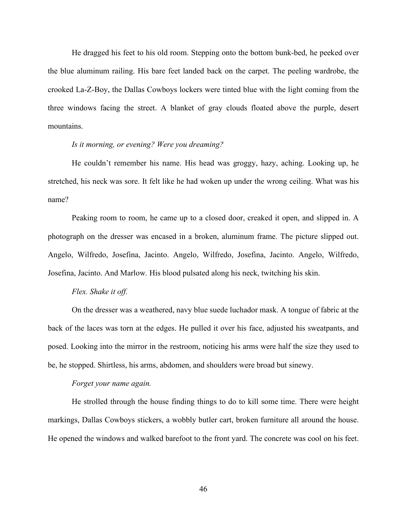He dragged his feet to his old room. Stepping onto the bottom bunk-bed, he peeked over the blue aluminum railing. His bare feet landed back on the carpet. The peeling wardrobe, the crooked La-Z-Boy, the Dallas Cowboys lockers were tinted blue with the light coming from the three windows facing the street. A blanket of gray clouds floated above the purple, desert mountains.

# *Is it morning, or evening? Were you dreaming?*

He couldn't remember his name. His head was groggy, hazy, aching. Looking up, he stretched, his neck was sore. It felt like he had woken up under the wrong ceiling. What was his name?

Peaking room to room, he came up to a closed door, creaked it open, and slipped in. A photograph on the dresser was encased in a broken, aluminum frame. The picture slipped out. Angelo, Wilfredo, Josefina, Jacinto. Angelo, Wilfredo, Josefina, Jacinto. Angelo, Wilfredo, Josefina, Jacinto. And Marlow*.* His blood pulsated along his neck, twitching his skin.

### *Flex. Shake it off.*

On the dresser was a weathered, navy blue suede luchador mask. A tongue of fabric at the back of the laces was torn at the edges. He pulled it over his face, adjusted his sweatpants, and posed. Looking into the mirror in the restroom, noticing his arms were half the size they used to be, he stopped. Shirtless, his arms, abdomen, and shoulders were broad but sinewy.

#### *Forget your name again.*

He strolled through the house finding things to do to kill some time. There were height markings, Dallas Cowboys stickers, a wobbly butler cart, broken furniture all around the house. He opened the windows and walked barefoot to the front yard. The concrete was cool on his feet.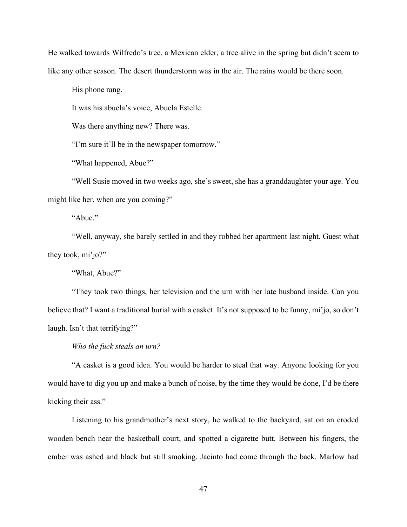He walked towards Wilfredo's tree, a Mexican elder, a tree alive in the spring but didn't seem to like any other season. The desert thunderstorm was in the air. The rains would be there soon.

His phone rang.

It was his abuela's voice, Abuela Estelle.

Was there anything new? There was.

"I'm sure it'll be in the newspaper tomorrow."

"What happened, Abue?"

"Well Susie moved in two weeks ago, she's sweet, she has a granddaughter your age. You might like her, when are you coming?"

"Abue."

"Well, anyway, she barely settled in and they robbed her apartment last night. Guest what they took, mi'jo?"

"What, Abue?"

"They took two things, her television and the urn with her late husband inside. Can you believe that? I want a traditional burial with a casket. It's not supposed to be funny, mi'jo, so don't laugh. Isn't that terrifying?"

*Who the fuck steals an urn?*

"A casket is a good idea. You would be harder to steal that way. Anyone looking for you would have to dig you up and make a bunch of noise, by the time they would be done, I'd be there kicking their ass."

Listening to his grandmother's next story, he walked to the backyard, sat on an eroded wooden bench near the basketball court, and spotted a cigarette butt. Between his fingers, the ember was ashed and black but still smoking. Jacinto had come through the back. Marlow had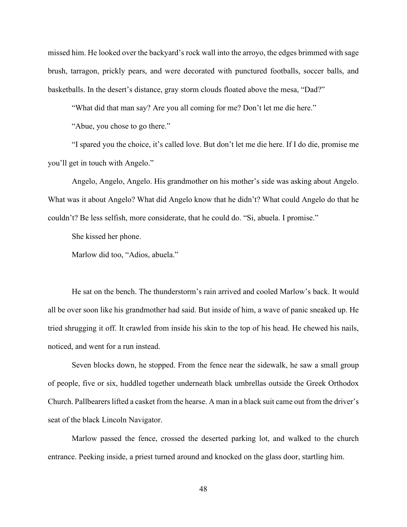missed him. He looked over the backyard's rock wall into the arroyo, the edges brimmed with sage brush, tarragon, prickly pears, and were decorated with punctured footballs, soccer balls, and basketballs. In the desert's distance, gray storm clouds floated above the mesa, "Dad?"

"What did that man say? Are you all coming for me? Don't let me die here."

"Abue, you chose to go there."

"I spared you the choice, it's called love. But don't let me die here. If I do die, promise me you'll get in touch with Angelo."

Angelo, Angelo, Angelo. His grandmother on his mother's side was asking about Angelo. What was it about Angelo? What did Angelo know that he didn't? What could Angelo do that he couldn't? Be less selfish, more considerate, that he could do. "Si, abuela. I promise."

She kissed her phone.

Marlow did too, "Adios, abuela."

He sat on the bench. The thunderstorm's rain arrived and cooled Marlow's back. It would all be over soon like his grandmother had said. But inside of him, a wave of panic sneaked up. He tried shrugging it off. It crawled from inside his skin to the top of his head. He chewed his nails, noticed, and went for a run instead.

Seven blocks down, he stopped. From the fence near the sidewalk, he saw a small group of people, five or six, huddled together underneath black umbrellas outside the Greek Orthodox Church. Pallbearers lifted a casket from the hearse. A man in a black suit came out from the driver's seat of the black Lincoln Navigator.

Marlow passed the fence, crossed the deserted parking lot, and walked to the church entrance. Peeking inside, a priest turned around and knocked on the glass door, startling him.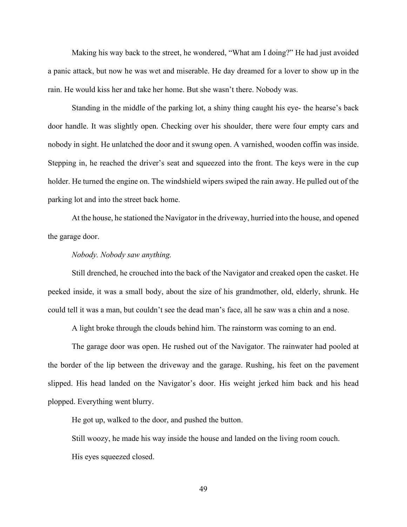Making his way back to the street, he wondered, "What am I doing?" He had just avoided a panic attack, but now he was wet and miserable. He day dreamed for a lover to show up in the rain. He would kiss her and take her home. But she wasn't there. Nobody was.

Standing in the middle of the parking lot, a shiny thing caught his eye- the hearse's back door handle. It was slightly open. Checking over his shoulder, there were four empty cars and nobody in sight. He unlatched the door and it swung open. A varnished, wooden coffin was inside. Stepping in, he reached the driver's seat and squeezed into the front. The keys were in the cup holder. He turned the engine on. The windshield wipers swiped the rain away. He pulled out of the parking lot and into the street back home.

At the house, he stationed the Navigator in the driveway, hurried into the house, and opened the garage door.

# *Nobody. Nobody saw anything.*

Still drenched, he crouched into the back of the Navigator and creaked open the casket. He peeked inside, it was a small body, about the size of his grandmother, old, elderly, shrunk. He could tell it was a man, but couldn't see the dead man's face, all he saw was a chin and a nose.

A light broke through the clouds behind him. The rainstorm was coming to an end.

The garage door was open. He rushed out of the Navigator. The rainwater had pooled at the border of the lip between the driveway and the garage. Rushing, his feet on the pavement slipped. His head landed on the Navigator's door. His weight jerked him back and his head plopped. Everything went blurry.

He got up, walked to the door, and pushed the button.

Still woozy, he made his way inside the house and landed on the living room couch. His eyes squeezed closed.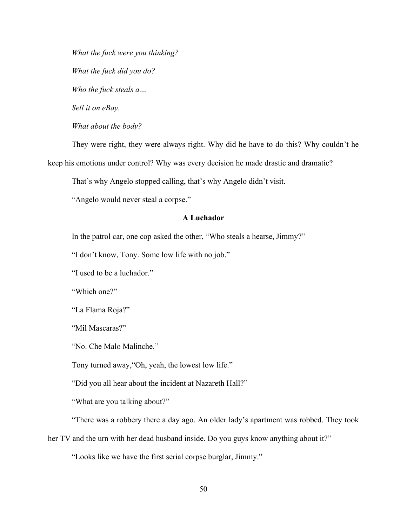*What the fuck were you thinking? What the fuck did you do? Who the fuck steals a… Sell it on eBay. What about the body?*

They were right, they were always right. Why did he have to do this? Why couldn't he keep his emotions under control? Why was every decision he made drastic and dramatic?

That's why Angelo stopped calling, that's why Angelo didn't visit.

"Angelo would never steal a corpse."

# **A Luchador**

In the patrol car, one cop asked the other, "Who steals a hearse, Jimmy?"

"I don't know, Tony. Some low life with no job."

"I used to be a luchador."

"Which one?"

"La Flama Roja?"

"Mil Mascaras?"

"No. Che Malo Malinche."

Tony turned away,"Oh, yeah, the lowest low life."

"Did you all hear about the incident at Nazareth Hall?"

"What are you talking about?"

"There was a robbery there a day ago. An older lady's apartment was robbed. They took

her TV and the urn with her dead husband inside. Do you guys know anything about it?"

"Looks like we have the first serial corpse burglar, Jimmy."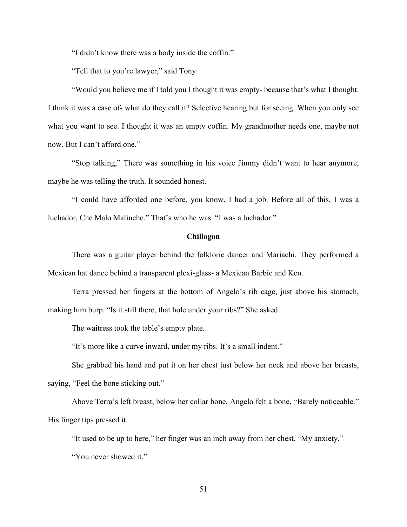"I didn't know there was a body inside the coffin."

"Tell that to you're lawyer," said Tony.

"Would you believe me if I told you I thought it was empty- because that's what I thought. I think it was a case of- what do they call it? Selective hearing but for seeing. When you only see what you want to see. I thought it was an empty coffin. My grandmother needs one, maybe not now. But I can't afford one."

"Stop talking," There was something in his voice Jimmy didn't want to hear anymore, maybe he was telling the truth. It sounded honest.

"I could have afforded one before, you know. I had a job. Before all of this, I was a luchador, Che Malo Malinche." That's who he was. "I was a luchador."

### **Chiliogon**

There was a guitar player behind the folkloric dancer and Mariachi. They performed a Mexican hat dance behind a transparent plexi-glass- a Mexican Barbie and Ken.

Terra pressed her fingers at the bottom of Angelo's rib cage, just above his stomach, making him burp. "Is it still there, that hole under your ribs?" She asked.

The waitress took the table's empty plate.

"It's more like a curve inward, under my ribs. It's a small indent."

She grabbed his hand and put it on her chest just below her neck and above her breasts, saying, "Feel the bone sticking out."

Above Terra's left breast, below her collar bone, Angelo felt a bone, "Barely noticeable." His finger tips pressed it.

"It used to be up to here," her finger was an inch away from her chest, "My anxiety."

"You never showed it."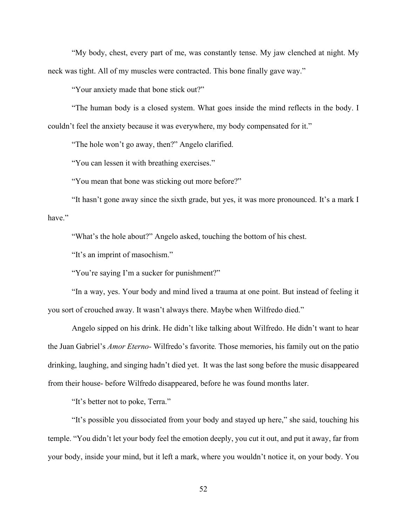"My body, chest, every part of me, was constantly tense. My jaw clenched at night. My neck was tight. All of my muscles were contracted. This bone finally gave way."

"Your anxiety made that bone stick out?"

"The human body is a closed system. What goes inside the mind reflects in the body. I couldn't feel the anxiety because it was everywhere, my body compensated for it."

"The hole won't go away, then?" Angelo clarified.

"You can lessen it with breathing exercises."

"You mean that bone was sticking out more before?"

"It hasn't gone away since the sixth grade, but yes, it was more pronounced. It's a mark I have."

"What's the hole about?" Angelo asked, touching the bottom of his chest.

"It's an imprint of masochism."

"You're saying I'm a sucker for punishment?"

"In a way, yes. Your body and mind lived a trauma at one point. But instead of feeling it you sort of crouched away. It wasn't always there. Maybe when Wilfredo died."

Angelo sipped on his drink. He didn't like talking about Wilfredo. He didn't want to hear the Juan Gabriel's *Amor Eterno-* Wilfredo's favorite*.* Those memories, his family out on the patio drinking, laughing, and singing hadn't died yet. It was the last song before the music disappeared from their house- before Wilfredo disappeared, before he was found months later.

"It's better not to poke, Terra."

"It's possible you dissociated from your body and stayed up here," she said, touching his temple. "You didn't let your body feel the emotion deeply, you cut it out, and put it away, far from your body, inside your mind, but it left a mark, where you wouldn't notice it, on your body. You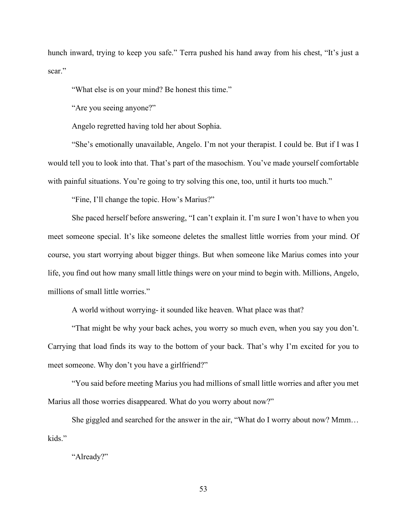hunch inward, trying to keep you safe." Terra pushed his hand away from his chest, "It's just a scar."

"What else is on your mind? Be honest this time."

"Are you seeing anyone?"

Angelo regretted having told her about Sophia.

"She's emotionally unavailable, Angelo. I'm not your therapist. I could be. But if I was I would tell you to look into that. That's part of the masochism. You've made yourself comfortable with painful situations. You're going to try solving this one, too, until it hurts too much."

"Fine, I'll change the topic. How's Marius?"

She paced herself before answering, "I can't explain it. I'm sure I won't have to when you meet someone special. It's like someone deletes the smallest little worries from your mind. Of course, you start worrying about bigger things. But when someone like Marius comes into your life, you find out how many small little things were on your mind to begin with. Millions, Angelo, millions of small little worries."

A world without worrying- it sounded like heaven. What place was that?

"That might be why your back aches, you worry so much even, when you say you don't. Carrying that load finds its way to the bottom of your back. That's why I'm excited for you to meet someone. Why don't you have a girlfriend?"

"You said before meeting Marius you had millions of small little worries and after you met Marius all those worries disappeared. What do you worry about now?"

She giggled and searched for the answer in the air, "What do I worry about now? Mmm… kids."

### "Already?"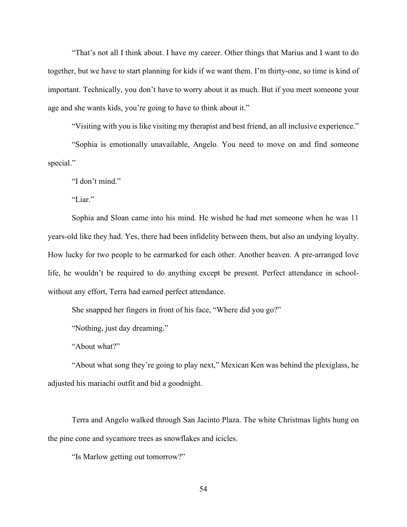"That's not all I think about. I have my career. Other things that Marius and I want to do together, but we have to start planning for kids if we want them. I'm thirty-one, so time is kind of important. Technically, you don't have to worry about it as much. But if you meet someone your age and she wants kids, you're going to have to think about it."

"Visiting with you is like visiting my therapist and best friend, an all inclusive experience."

"Sophia is emotionally unavailable, Angelo. You need to move on and find someone special."

"I don't mind."

"Liar."

Sophia and Sloan came into his mind. He wished he had met someone when he was 11 years-old like they had. Yes, there had been infidelity between them, but also an undying loyalty. How lucky for two people to be earmarked for each other. Another heaven. A pre-arranged love life, he wouldn't be required to do anything except be present. Perfect attendance in schoolwithout any effort, Terra had earned perfect attendance.

She snapped her fingers in front of his face, "Where did you go?"

"Nothing, just day dreaming."

"About what?"

"About what song they're going to play next," Mexican Ken was behind the plexiglass, he adjusted his mariachi outfit and bid a goodnight.

Terra and Angelo walked through San Jacinto Plaza. The white Christmas lights hung on the pine cone and sycamore trees as snowflakes and icicles.

"Is Marlow getting out tomorrow?"

54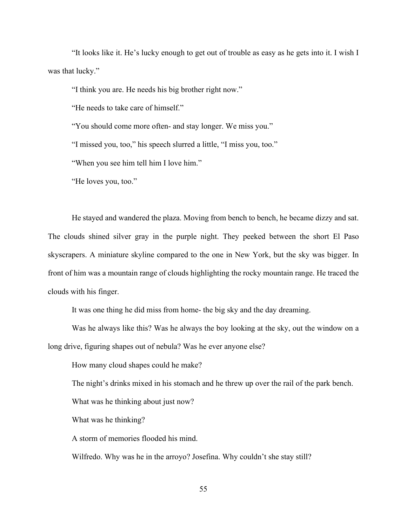"It looks like it. He's lucky enough to get out of trouble as easy as he gets into it. I wish I was that lucky."

"I think you are. He needs his big brother right now."

"He needs to take care of himself."

"You should come more often- and stay longer. We miss you."

"I missed you, too," his speech slurred a little, "I miss you, too."

"When you see him tell him I love him."

"He loves you, too."

He stayed and wandered the plaza. Moving from bench to bench, he became dizzy and sat. The clouds shined silver gray in the purple night. They peeked between the short El Paso skyscrapers. A miniature skyline compared to the one in New York, but the sky was bigger. In front of him was a mountain range of clouds highlighting the rocky mountain range. He traced the clouds with his finger.

It was one thing he did miss from home- the big sky and the day dreaming.

Was he always like this? Was he always the boy looking at the sky, out the window on a long drive, figuring shapes out of nebula? Was he ever anyone else?

How many cloud shapes could he make?

The night's drinks mixed in his stomach and he threw up over the rail of the park bench.

What was he thinking about just now?

What was he thinking?

A storm of memories flooded his mind.

Wilfredo. Why was he in the arroyo? Josefina. Why couldn't she stay still?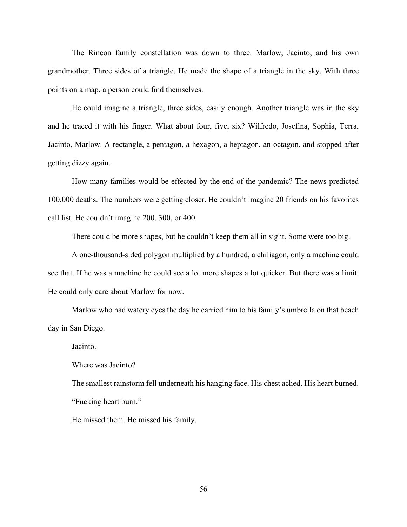The Rincon family constellation was down to three. Marlow, Jacinto, and his own grandmother. Three sides of a triangle. He made the shape of a triangle in the sky. With three points on a map, a person could find themselves.

He could imagine a triangle, three sides, easily enough. Another triangle was in the sky and he traced it with his finger. What about four, five, six? Wilfredo, Josefina, Sophia, Terra, Jacinto, Marlow. A rectangle, a pentagon, a hexagon, a heptagon, an octagon, and stopped after getting dizzy again.

How many families would be effected by the end of the pandemic? The news predicted 100,000 deaths. The numbers were getting closer. He couldn't imagine 20 friends on his favorites call list. He couldn't imagine 200, 300, or 400.

There could be more shapes, but he couldn't keep them all in sight. Some were too big.

A one-thousand-sided polygon multiplied by a hundred, a chiliagon, only a machine could see that. If he was a machine he could see a lot more shapes a lot quicker. But there was a limit. He could only care about Marlow for now.

Marlow who had watery eyes the day he carried him to his family's umbrella on that beach day in San Diego.

Jacinto.

Where was Jacinto?

The smallest rainstorm fell underneath his hanging face. His chest ached. His heart burned. "Fucking heart burn."

He missed them. He missed his family.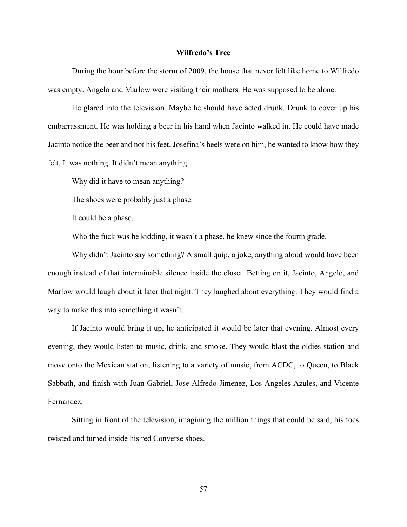### **Wilfredo's Tree**

During the hour before the storm of 2009, the house that never felt like home to Wilfredo was empty. Angelo and Marlow were visiting their mothers. He was supposed to be alone.

He glared into the television. Maybe he should have acted drunk. Drunk to cover up his embarrassment. He was holding a beer in his hand when Jacinto walked in. He could have made Jacinto notice the beer and not his feet. Josefina's heels were on him, he wanted to know how they felt. It was nothing. It didn't mean anything.

Why did it have to mean anything?

The shoes were probably just a phase.

It could be a phase.

Who the fuck was he kidding, it wasn't a phase, he knew since the fourth grade.

Why didn't Jacinto say something? A small quip, a joke, anything aloud would have been enough instead of that interminable silence inside the closet. Betting on it, Jacinto, Angelo, and Marlow would laugh about it later that night. They laughed about everything. They would find a way to make this into something it wasn't.

If Jacinto would bring it up, he anticipated it would be later that evening. Almost every evening, they would listen to music, drink, and smoke. They would blast the oldies station and move onto the Mexican station, listening to a variety of music, from ACDC, to Queen, to Black Sabbath, and finish with Juan Gabriel, Jose Alfredo Jimenez, Los Angeles Azules, and Vicente Fernandez.

Sitting in front of the television, imagining the million things that could be said, his toes twisted and turned inside his red Converse shoes.

57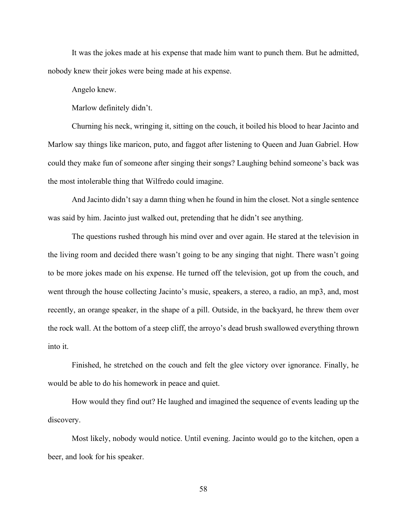It was the jokes made at his expense that made him want to punch them. But he admitted, nobody knew their jokes were being made at his expense.

Angelo knew.

Marlow definitely didn't.

Churning his neck, wringing it, sitting on the couch, it boiled his blood to hear Jacinto and Marlow say things like maricon, puto, and faggot after listening to Queen and Juan Gabriel. How could they make fun of someone after singing their songs? Laughing behind someone's back was the most intolerable thing that Wilfredo could imagine.

And Jacinto didn't say a damn thing when he found in him the closet. Not a single sentence was said by him. Jacinto just walked out, pretending that he didn't see anything.

The questions rushed through his mind over and over again. He stared at the television in the living room and decided there wasn't going to be any singing that night. There wasn't going to be more jokes made on his expense. He turned off the television, got up from the couch, and went through the house collecting Jacinto's music, speakers, a stereo, a radio, an mp3, and, most recently, an orange speaker, in the shape of a pill. Outside, in the backyard, he threw them over the rock wall. At the bottom of a steep cliff, the arroyo's dead brush swallowed everything thrown into it.

Finished, he stretched on the couch and felt the glee victory over ignorance. Finally, he would be able to do his homework in peace and quiet.

How would they find out? He laughed and imagined the sequence of events leading up the discovery.

Most likely, nobody would notice. Until evening. Jacinto would go to the kitchen, open a beer, and look for his speaker.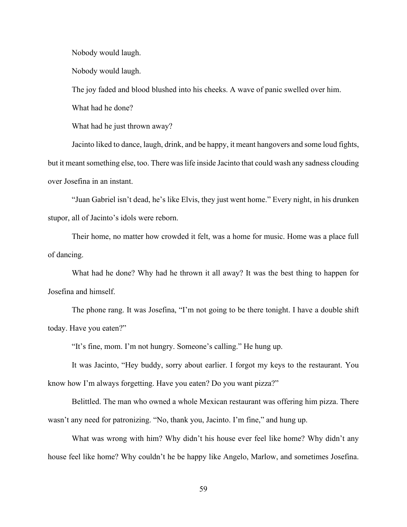Nobody would laugh.

Nobody would laugh.

The joy faded and blood blushed into his cheeks. A wave of panic swelled over him.

What had he done?

What had he just thrown away?

Jacinto liked to dance, laugh, drink, and be happy, it meant hangovers and some loud fights, but it meant something else, too. There was life inside Jacinto that could wash any sadness clouding over Josefina in an instant.

"Juan Gabriel isn't dead, he's like Elvis, they just went home." Every night, in his drunken stupor, all of Jacinto's idols were reborn.

Their home, no matter how crowded it felt, was a home for music. Home was a place full of dancing.

What had he done? Why had he thrown it all away? It was the best thing to happen for Josefina and himself.

The phone rang. It was Josefina, "I'm not going to be there tonight. I have a double shift today. Have you eaten?"

"It's fine, mom. I'm not hungry. Someone's calling." He hung up.

It was Jacinto, "Hey buddy, sorry about earlier. I forgot my keys to the restaurant. You know how I'm always forgetting. Have you eaten? Do you want pizza?"

Belittled. The man who owned a whole Mexican restaurant was offering him pizza. There wasn't any need for patronizing. "No, thank you, Jacinto. I'm fine," and hung up.

What was wrong with him? Why didn't his house ever feel like home? Why didn't any house feel like home? Why couldn't he be happy like Angelo, Marlow, and sometimes Josefina.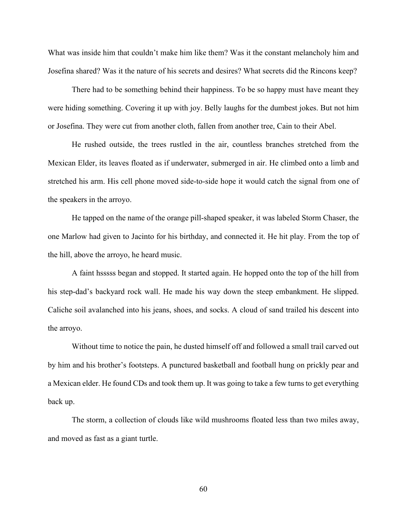What was inside him that couldn't make him like them? Was it the constant melancholy him and Josefina shared? Was it the nature of his secrets and desires? What secrets did the Rincons keep?

There had to be something behind their happiness. To be so happy must have meant they were hiding something. Covering it up with joy. Belly laughs for the dumbest jokes. But not him or Josefina. They were cut from another cloth, fallen from another tree, Cain to their Abel.

He rushed outside, the trees rustled in the air, countless branches stretched from the Mexican Elder, its leaves floated as if underwater, submerged in air. He climbed onto a limb and stretched his arm. His cell phone moved side-to-side hope it would catch the signal from one of the speakers in the arroyo.

He tapped on the name of the orange pill-shaped speaker, it was labeled Storm Chaser, the one Marlow had given to Jacinto for his birthday, and connected it. He hit play. From the top of the hill, above the arroyo, he heard music.

A faint hsssss began and stopped. It started again. He hopped onto the top of the hill from his step-dad's backyard rock wall. He made his way down the steep embankment. He slipped. Caliche soil avalanched into his jeans, shoes, and socks. A cloud of sand trailed his descent into the arroyo.

Without time to notice the pain, he dusted himself off and followed a small trail carved out by him and his brother's footsteps. A punctured basketball and football hung on prickly pear and a Mexican elder. He found CDs and took them up. It was going to take a few turns to get everything back up.

The storm, a collection of clouds like wild mushrooms floated less than two miles away, and moved as fast as a giant turtle.

60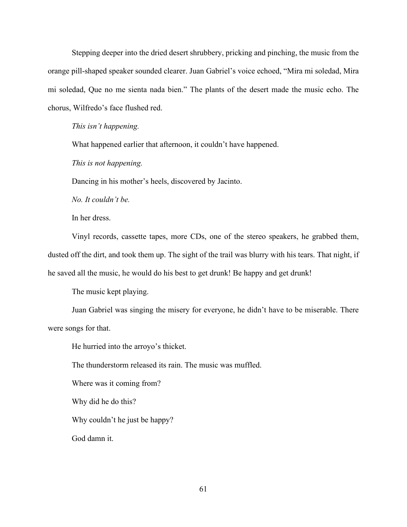Stepping deeper into the dried desert shrubbery, pricking and pinching, the music from the orange pill-shaped speaker sounded clearer. Juan Gabriel's voice echoed, "Mira mi soledad, Mira mi soledad, Que no me sienta nada bien." The plants of the desert made the music echo. The chorus, Wilfredo's face flushed red.

*This isn't happening.* 

What happened earlier that afternoon, it couldn't have happened.

*This is not happening.*

Dancing in his mother's heels, discovered by Jacinto.

*No. It couldn't be.* 

In her dress.

Vinyl records, cassette tapes, more CDs, one of the stereo speakers, he grabbed them, dusted off the dirt, and took them up. The sight of the trail was blurry with his tears. That night, if he saved all the music, he would do his best to get drunk! Be happy and get drunk!

The music kept playing.

Juan Gabriel was singing the misery for everyone, he didn't have to be miserable. There were songs for that.

He hurried into the arroyo's thicket.

The thunderstorm released its rain. The music was muffled.

Where was it coming from?

Why did he do this?

Why couldn't he just be happy?

God damn it.

61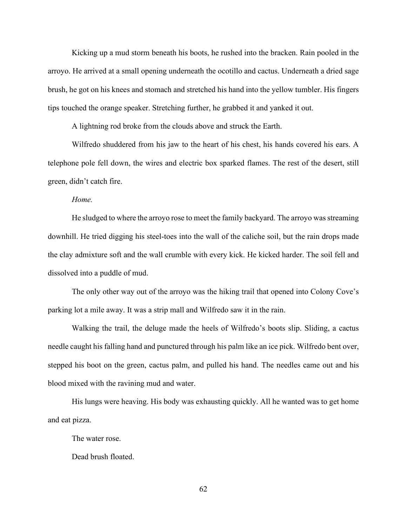Kicking up a mud storm beneath his boots, he rushed into the bracken. Rain pooled in the arroyo. He arrived at a small opening underneath the ocotillo and cactus. Underneath a dried sage brush, he got on his knees and stomach and stretched his hand into the yellow tumbler. His fingers tips touched the orange speaker. Stretching further, he grabbed it and yanked it out.

A lightning rod broke from the clouds above and struck the Earth.

Wilfredo shuddered from his jaw to the heart of his chest, his hands covered his ears. A telephone pole fell down, the wires and electric box sparked flames. The rest of the desert, still green, didn't catch fire.

*Home.*

He sludged to where the arroyo rose to meet the family backyard. The arroyo was streaming downhill. He tried digging his steel-toes into the wall of the caliche soil, but the rain drops made the clay admixture soft and the wall crumble with every kick. He kicked harder. The soil fell and dissolved into a puddle of mud.

The only other way out of the arroyo was the hiking trail that opened into Colony Cove's parking lot a mile away. It was a strip mall and Wilfredo saw it in the rain.

Walking the trail, the deluge made the heels of Wilfredo's boots slip. Sliding, a cactus needle caught his falling hand and punctured through his palm like an ice pick. Wilfredo bent over, stepped his boot on the green, cactus palm, and pulled his hand. The needles came out and his blood mixed with the ravining mud and water.

His lungs were heaving. His body was exhausting quickly. All he wanted was to get home and eat pizza.

The water rose.

Dead brush floated.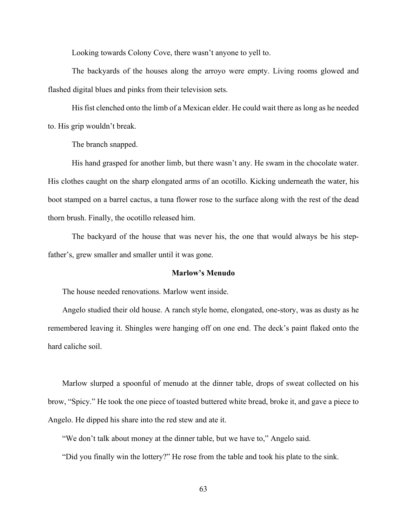Looking towards Colony Cove, there wasn't anyone to yell to.

The backyards of the houses along the arroyo were empty. Living rooms glowed and flashed digital blues and pinks from their television sets.

His fist clenched onto the limb of a Mexican elder. He could wait there as long as he needed to. His grip wouldn't break.

The branch snapped.

His hand grasped for another limb, but there wasn't any. He swam in the chocolate water. His clothes caught on the sharp elongated arms of an ocotillo. Kicking underneath the water, his boot stamped on a barrel cactus, a tuna flower rose to the surface along with the rest of the dead thorn brush. Finally, the ocotillo released him.

The backyard of the house that was never his, the one that would always be his stepfather's, grew smaller and smaller until it was gone.

# **Marlow's Menudo**

The house needed renovations. Marlow went inside.

Angelo studied their old house. A ranch style home, elongated, one-story, was as dusty as he remembered leaving it. Shingles were hanging off on one end. The deck's paint flaked onto the hard caliche soil.

Marlow slurped a spoonful of menudo at the dinner table, drops of sweat collected on his brow, "Spicy." He took the one piece of toasted buttered white bread, broke it, and gave a piece to Angelo. He dipped his share into the red stew and ate it.

"We don't talk about money at the dinner table, but we have to," Angelo said.

"Did you finally win the lottery?" He rose from the table and took his plate to the sink.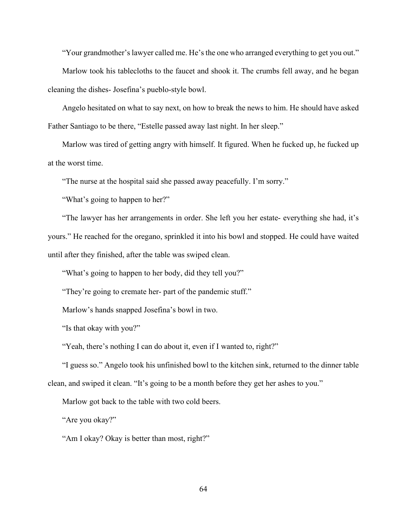"Your grandmother's lawyer called me. He's the one who arranged everything to get you out."

Marlow took his tablecloths to the faucet and shook it. The crumbs fell away, and he began cleaning the dishes- Josefina's pueblo-style bowl.

Angelo hesitated on what to say next, on how to break the news to him. He should have asked Father Santiago to be there, "Estelle passed away last night. In her sleep."

Marlow was tired of getting angry with himself. It figured. When he fucked up, he fucked up at the worst time.

"The nurse at the hospital said she passed away peacefully. I'm sorry."

"What's going to happen to her?"

"The lawyer has her arrangements in order. She left you her estate- everything she had, it's yours." He reached for the oregano, sprinkled it into his bowl and stopped. He could have waited until after they finished, after the table was swiped clean.

"What's going to happen to her body, did they tell you?"

"They're going to cremate her- part of the pandemic stuff."

Marlow's hands snapped Josefina's bowl in two.

"Is that okay with you?"

"Yeah, there's nothing I can do about it, even if I wanted to, right?"

"I guess so." Angelo took his unfinished bowl to the kitchen sink, returned to the dinner table clean, and swiped it clean. "It's going to be a month before they get her ashes to you."

Marlow got back to the table with two cold beers.

"Are you okay?"

"Am I okay? Okay is better than most, right?"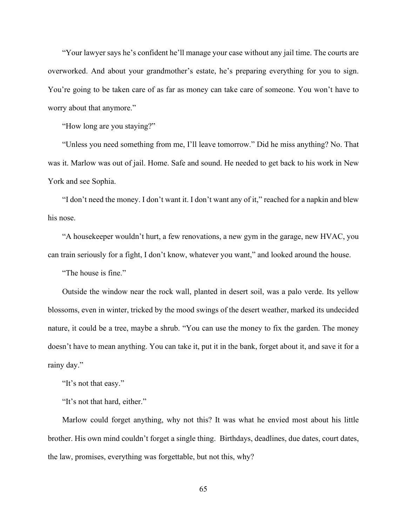"Your lawyer says he's confident he'll manage your case without any jail time. The courts are overworked. And about your grandmother's estate, he's preparing everything for you to sign. You're going to be taken care of as far as money can take care of someone. You won't have to worry about that anymore."

"How long are you staying?"

"Unless you need something from me, I'll leave tomorrow." Did he miss anything? No. That was it. Marlow was out of jail. Home. Safe and sound. He needed to get back to his work in New York and see Sophia.

"I don't need the money. I don't want it. I don't want any of it," reached for a napkin and blew his nose.

"A housekeeper wouldn't hurt, a few renovations, a new gym in the garage, new HVAC, you can train seriously for a fight, I don't know, whatever you want," and looked around the house.

"The house is fine."

Outside the window near the rock wall, planted in desert soil, was a palo verde. Its yellow blossoms, even in winter, tricked by the mood swings of the desert weather, marked its undecided nature, it could be a tree, maybe a shrub. "You can use the money to fix the garden. The money doesn't have to mean anything. You can take it, put it in the bank, forget about it, and save it for a rainy day."

"It's not that easy."

"It's not that hard, either."

Marlow could forget anything, why not this? It was what he envied most about his little brother. His own mind couldn't forget a single thing. Birthdays, deadlines, due dates, court dates, the law, promises, everything was forgettable, but not this, why?

65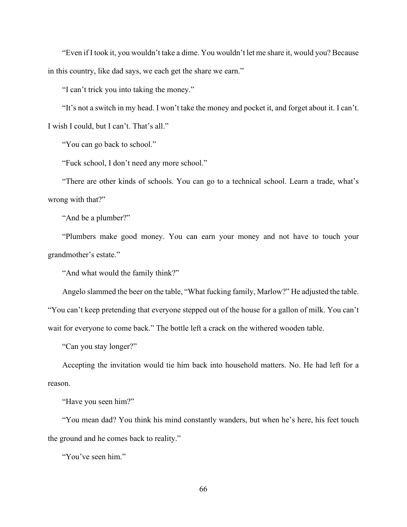"Even if I took it, you wouldn't take a dime. You wouldn't let me share it, would you? Because in this country, like dad says, we each get the share we earn."

"I can't trick you into taking the money."

"It's not a switch in my head. I won't take the money and pocket it, and forget about it. I can't. I wish I could, but I can't. That's all."

"You can go back to school."

"Fuck school, I don't need any more school."

"There are other kinds of schools. You can go to a technical school. Learn a trade, what's wrong with that?"

"And be a plumber?"

"Plumbers make good money. You can earn your money and not have to touch your grandmother's estate."

"And what would the family think?"

Angelo slammed the beer on the table, "What fucking family, Marlow?" He adjusted the table. "You can't keep pretending that everyone stepped out of the house for a gallon of milk. You can't wait for everyone to come back." The bottle left a crack on the withered wooden table.

"Can you stay longer?"

Accepting the invitation would tie him back into household matters. No. He had left for a reason.

"Have you seen him?"

"You mean dad? You think his mind constantly wanders, but when he's here, his feet touch the ground and he comes back to reality."

"You've seen him."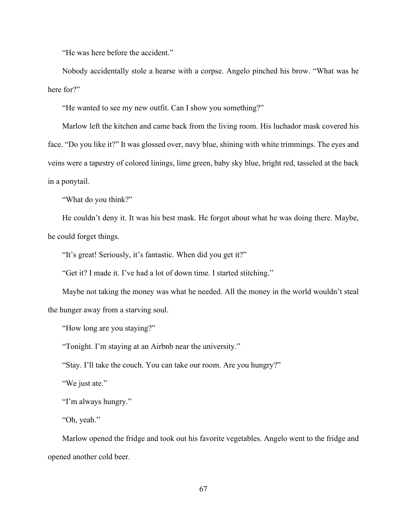"He was here before the accident."

Nobody accidentally stole a hearse with a corpse. Angelo pinched his brow. "What was he here for?"

"He wanted to see my new outfit. Can I show you something?"

Marlow left the kitchen and came back from the living room. His luchador mask covered his face. "Do you like it?" It was glossed over, navy blue, shining with white trimmings. The eyes and veins were a tapestry of colored linings, lime green, baby sky blue, bright red, tasseled at the back in a ponytail.

"What do you think?"

He couldn't deny it. It was his best mask. He forgot about what he was doing there. Maybe, he could forget things.

"It's great! Seriously, it's fantastic. When did you get it?"

"Get it? I made it. I've had a lot of down time. I started stitching."

Maybe not taking the money was what he needed. All the money in the world wouldn't steal the hunger away from a starving soul.

"How long are you staying?"

"Tonight. I'm staying at an Airbnb near the university."

"Stay. I'll take the couch. You can take our room. Are you hungry?"

"We just ate."

"I'm always hungry."

"Oh, yeah."

Marlow opened the fridge and took out his favorite vegetables. Angelo went to the fridge and opened another cold beer.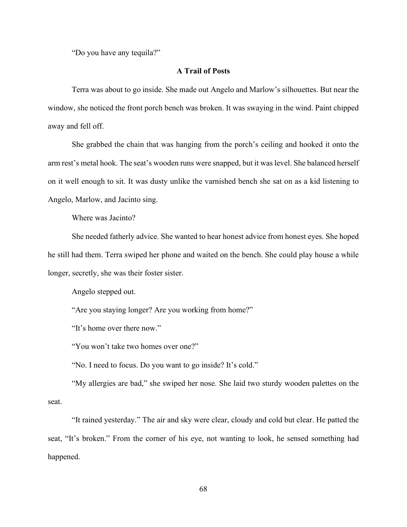"Do you have any tequila?"

# **A Trail of Posts**

Terra was about to go inside. She made out Angelo and Marlow's silhouettes. But near the window, she noticed the front porch bench was broken. It was swaying in the wind. Paint chipped away and fell off.

She grabbed the chain that was hanging from the porch's ceiling and hooked it onto the arm rest's metal hook. The seat's wooden runs were snapped, but it was level. She balanced herself on it well enough to sit. It was dusty unlike the varnished bench she sat on as a kid listening to Angelo, Marlow, and Jacinto sing.

Where was Jacinto?

She needed fatherly advice. She wanted to hear honest advice from honest eyes. She hoped he still had them. Terra swiped her phone and waited on the bench. She could play house a while longer, secretly, she was their foster sister.

Angelo stepped out.

"Are you staying longer? Are you working from home?"

"It's home over there now."

"You won't take two homes over one?"

"No. I need to focus. Do you want to go inside? It's cold."

"My allergies are bad," she swiped her nose. She laid two sturdy wooden palettes on the seat.

"It rained yesterday." The air and sky were clear, cloudy and cold but clear. He patted the seat, "It's broken." From the corner of his eye, not wanting to look, he sensed something had happened.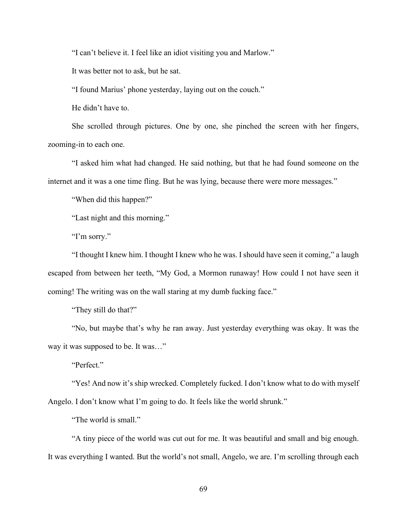"I can't believe it. I feel like an idiot visiting you and Marlow."

It was better not to ask, but he sat.

"I found Marius' phone yesterday, laying out on the couch."

He didn't have to.

She scrolled through pictures. One by one, she pinched the screen with her fingers, zooming-in to each one.

"I asked him what had changed. He said nothing, but that he had found someone on the internet and it was a one time fling. But he was lying, because there were more messages."

"When did this happen?"

"Last night and this morning."

"I'm sorry."

"I thought I knew him. I thought I knew who he was. I should have seen it coming," a laugh escaped from between her teeth, "My God, a Mormon runaway! How could I not have seen it coming! The writing was on the wall staring at my dumb fucking face."

"They still do that?"

"No, but maybe that's why he ran away. Just yesterday everything was okay. It was the way it was supposed to be. It was…"

"Perfect."

"Yes! And now it's ship wrecked. Completely fucked. I don't know what to do with myself Angelo. I don't know what I'm going to do. It feels like the world shrunk."

"The world is small."

"A tiny piece of the world was cut out for me. It was beautiful and small and big enough. It was everything I wanted. But the world's not small, Angelo, we are. I'm scrolling through each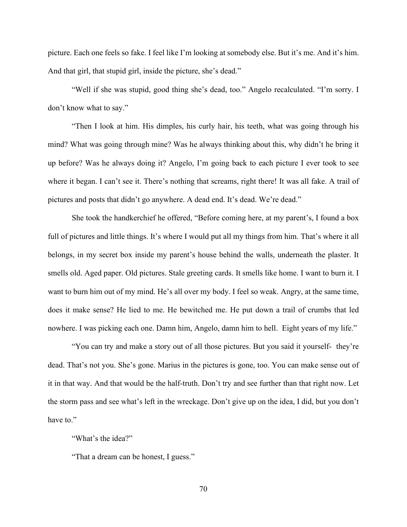picture. Each one feels so fake. I feel like I'm looking at somebody else. But it's me. And it's him. And that girl, that stupid girl, inside the picture, she's dead."

"Well if she was stupid, good thing she's dead, too." Angelo recalculated. "I'm sorry. I don't know what to say."

"Then I look at him. His dimples, his curly hair, his teeth, what was going through his mind? What was going through mine? Was he always thinking about this, why didn't he bring it up before? Was he always doing it? Angelo, I'm going back to each picture I ever took to see where it began. I can't see it. There's nothing that screams, right there! It was all fake. A trail of pictures and posts that didn't go anywhere. A dead end. It's dead. We're dead."

She took the handkerchief he offered, "Before coming here, at my parent's, I found a box full of pictures and little things. It's where I would put all my things from him. That's where it all belongs, in my secret box inside my parent's house behind the walls, underneath the plaster. It smells old. Aged paper. Old pictures. Stale greeting cards. It smells like home. I want to burn it. I want to burn him out of my mind. He's all over my body. I feel so weak. Angry, at the same time, does it make sense? He lied to me. He bewitched me. He put down a trail of crumbs that led nowhere. I was picking each one. Damn him, Angelo, damn him to hell. Eight years of my life."

"You can try and make a story out of all those pictures. But you said it yourself- they're dead. That's not you. She's gone. Marius in the pictures is gone, too. You can make sense out of it in that way. And that would be the half-truth. Don't try and see further than that right now. Let the storm pass and see what's left in the wreckage. Don't give up on the idea, I did, but you don't have to."

"What's the idea?"

"That a dream can be honest, I guess."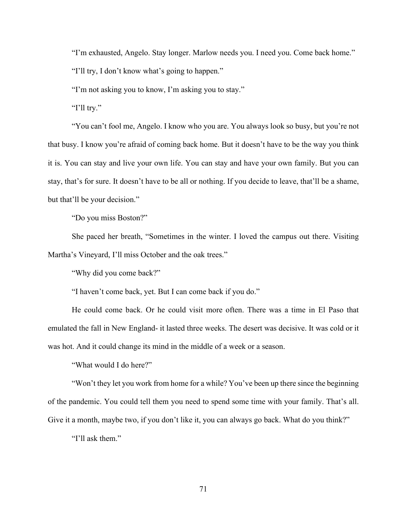"I'm exhausted, Angelo. Stay longer. Marlow needs you. I need you. Come back home."

"I'll try, I don't know what's going to happen."

"I'm not asking you to know, I'm asking you to stay."

"I'll try."

"You can't fool me, Angelo. I know who you are. You always look so busy, but you're not that busy. I know you're afraid of coming back home. But it doesn't have to be the way you think it is. You can stay and live your own life. You can stay and have your own family. But you can stay, that's for sure. It doesn't have to be all or nothing. If you decide to leave, that'll be a shame, but that'll be your decision."

"Do you miss Boston?"

She paced her breath, "Sometimes in the winter. I loved the campus out there. Visiting Martha's Vineyard, I'll miss October and the oak trees."

"Why did you come back?"

"I haven't come back, yet. But I can come back if you do."

He could come back. Or he could visit more often. There was a time in El Paso that emulated the fall in New England- it lasted three weeks. The desert was decisive. It was cold or it was hot. And it could change its mind in the middle of a week or a season.

"What would I do here?"

"Won't they let you work from home for a while? You've been up there since the beginning of the pandemic. You could tell them you need to spend some time with your family. That's all. Give it a month, maybe two, if you don't like it, you can always go back. What do you think?"

"I'll ask them."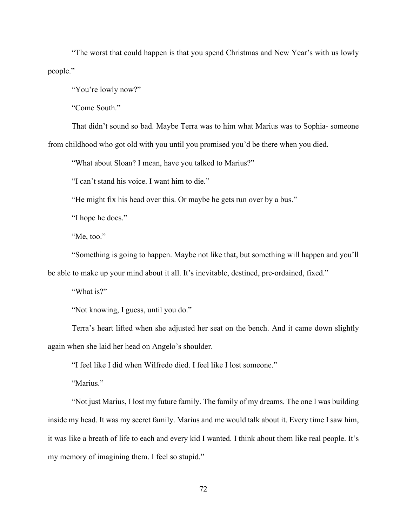"The worst that could happen is that you spend Christmas and New Year's with us lowly people."

"You're lowly now?"

"Come South."

That didn't sound so bad. Maybe Terra was to him what Marius was to Sophia- someone from childhood who got old with you until you promised you'd be there when you died.

"What about Sloan? I mean, have you talked to Marius?"

"I can't stand his voice. I want him to die."

"He might fix his head over this. Or maybe he gets run over by a bus."

"I hope he does."

"Me, too."

"Something is going to happen. Maybe not like that, but something will happen and you'll be able to make up your mind about it all. It's inevitable, destined, pre-ordained, fixed."

"What is?"

"Not knowing, I guess, until you do."

Terra's heart lifted when she adjusted her seat on the bench. And it came down slightly again when she laid her head on Angelo's shoulder.

"I feel like I did when Wilfredo died. I feel like I lost someone."

"Marius."

"Not just Marius, I lost my future family. The family of my dreams. The one I was building inside my head. It was my secret family. Marius and me would talk about it. Every time I saw him, it was like a breath of life to each and every kid I wanted. I think about them like real people. It's my memory of imagining them. I feel so stupid."

72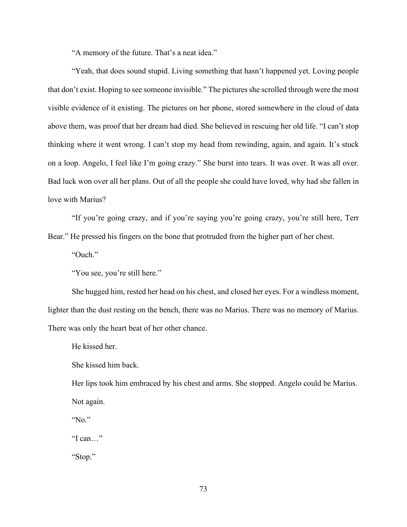"A memory of the future. That's a neat idea."

"Yeah, that does sound stupid. Living something that hasn't happened yet. Loving people that don't exist. Hoping to see someone invisible." The pictures she scrolled through were the most visible evidence of it existing. The pictures on her phone, stored somewhere in the cloud of data above them, was proof that her dream had died. She believed in rescuing her old life. "I can't stop thinking where it went wrong. I can't stop my head from rewinding, again, and again. It's stuck on a loop. Angelo, I feel like I'm going crazy." She burst into tears. It was over. It was all over. Bad luck won over all her plans. Out of all the people she could have loved, why had she fallen in love with Marius?

"If you're going crazy, and if you're saying you're going crazy, you're still here, Terr Bear." He pressed his fingers on the bone that protruded from the higher part of her chest.

"Ouch."

"You see, you're still here."

She hugged him, rested her head on his chest, and closed her eyes. For a windless moment, lighter than the dust resting on the bench, there was no Marius. There was no memory of Marius. There was only the heart beat of her other chance.

He kissed her.

She kissed him back.

Her lips took him embraced by his chest and arms. She stopped. Angelo could be Marius. Not again.

"No."

"I can…"

"Stop."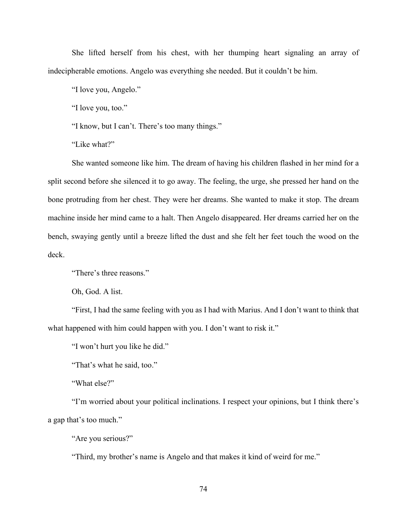She lifted herself from his chest, with her thumping heart signaling an array of indecipherable emotions. Angelo was everything she needed. But it couldn't be him.

"I love you, Angelo."

"I love you, too."

"I know, but I can't. There's too many things."

"Like what?"

She wanted someone like him. The dream of having his children flashed in her mind for a split second before she silenced it to go away. The feeling, the urge, she pressed her hand on the bone protruding from her chest. They were her dreams. She wanted to make it stop. The dream machine inside her mind came to a halt. Then Angelo disappeared. Her dreams carried her on the bench, swaying gently until a breeze lifted the dust and she felt her feet touch the wood on the deck.

"There's three reasons."

Oh, God. A list.

"First, I had the same feeling with you as I had with Marius. And I don't want to think that what happened with him could happen with you. I don't want to risk it."

"I won't hurt you like he did."

"That's what he said, too."

"What else?"

"I'm worried about your political inclinations. I respect your opinions, but I think there's a gap that's too much."

"Are you serious?"

"Third, my brother's name is Angelo and that makes it kind of weird for me."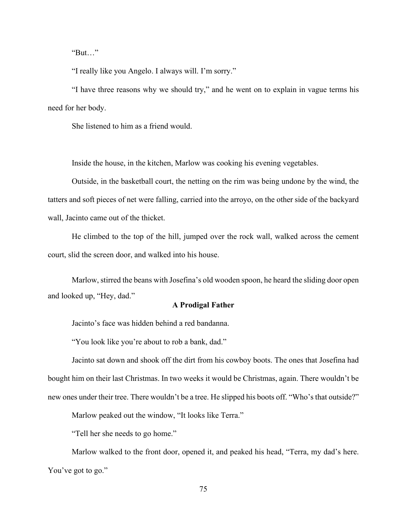"But…"

"I really like you Angelo. I always will. I'm sorry."

"I have three reasons why we should try," and he went on to explain in vague terms his need for her body.

She listened to him as a friend would.

Inside the house, in the kitchen, Marlow was cooking his evening vegetables.

Outside, in the basketball court, the netting on the rim was being undone by the wind, the tatters and soft pieces of net were falling, carried into the arroyo, on the other side of the backyard wall, Jacinto came out of the thicket.

He climbed to the top of the hill, jumped over the rock wall, walked across the cement court, slid the screen door, and walked into his house.

Marlow, stirred the beans with Josefina's old wooden spoon, he heard the sliding door open and looked up, "Hey, dad."

# **A Prodigal Father**

Jacinto's face was hidden behind a red bandanna.

"You look like you're about to rob a bank, dad."

Jacinto sat down and shook off the dirt from his cowboy boots. The ones that Josefina had bought him on their last Christmas. In two weeks it would be Christmas, again. There wouldn't be new ones under their tree. There wouldn't be a tree. He slipped his boots off. "Who's that outside?"

Marlow peaked out the window, "It looks like Terra."

"Tell her she needs to go home."

Marlow walked to the front door, opened it, and peaked his head, "Terra, my dad's here. You've got to go."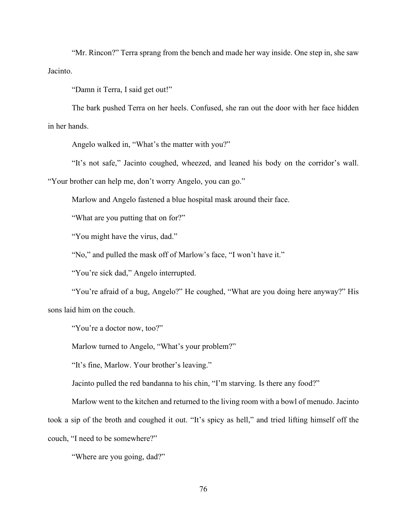"Mr. Rincon?" Terra sprang from the bench and made her way inside. One step in, she saw Jacinto.

"Damn it Terra, I said get out!"

The bark pushed Terra on her heels. Confused, she ran out the door with her face hidden in her hands.

Angelo walked in, "What's the matter with you?"

"It's not safe," Jacinto coughed, wheezed, and leaned his body on the corridor's wall.

"Your brother can help me, don't worry Angelo, you can go."

Marlow and Angelo fastened a blue hospital mask around their face.

"What are you putting that on for?"

"You might have the virus, dad."

"No," and pulled the mask off of Marlow's face, "I won't have it."

"You're sick dad," Angelo interrupted.

"You're afraid of a bug, Angelo?" He coughed, "What are you doing here anyway?" His sons laid him on the couch.

"You're a doctor now, too?"

Marlow turned to Angelo, "What's your problem?"

"It's fine, Marlow. Your brother's leaving."

Jacinto pulled the red bandanna to his chin, "I'm starving. Is there any food?"

Marlow went to the kitchen and returned to the living room with a bowl of menudo. Jacinto took a sip of the broth and coughed it out. "It's spicy as hell," and tried lifting himself off the couch, "I need to be somewhere?"

"Where are you going, dad?"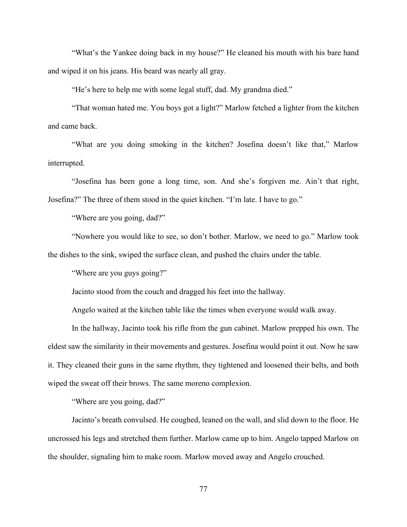"What's the Yankee doing back in my house?" He cleaned his mouth with his bare hand and wiped it on his jeans. His beard was nearly all gray.

"He's here to help me with some legal stuff, dad. My grandma died."

"That woman hated me. You boys got a light?" Marlow fetched a lighter from the kitchen and came back.

"What are you doing smoking in the kitchen? Josefina doesn't like that," Marlow interrupted.

"Josefina has been gone a long time, son. And she's forgiven me. Ain't that right, Josefina?" The three of them stood in the quiet kitchen. "I'm late. I have to go."

"Where are you going, dad?"

"Nowhere you would like to see, so don't bother. Marlow, we need to go." Marlow took the dishes to the sink, swiped the surface clean, and pushed the chairs under the table.

"Where are you guys going?"

Jacinto stood from the couch and dragged his feet into the hallway.

Angelo waited at the kitchen table like the times when everyone would walk away.

In the hallway, Jacinto took his rifle from the gun cabinet. Marlow prepped his own. The eldest saw the similarity in their movements and gestures. Josefina would point it out. Now he saw it. They cleaned their guns in the same rhythm, they tightened and loosened their belts, and both wiped the sweat off their brows. The same moreno complexion.

"Where are you going, dad?"

Jacinto's breath convulsed. He coughed, leaned on the wall, and slid down to the floor. He uncrossed his legs and stretched them further. Marlow came up to him. Angelo tapped Marlow on the shoulder, signaling him to make room. Marlow moved away and Angelo crouched.

77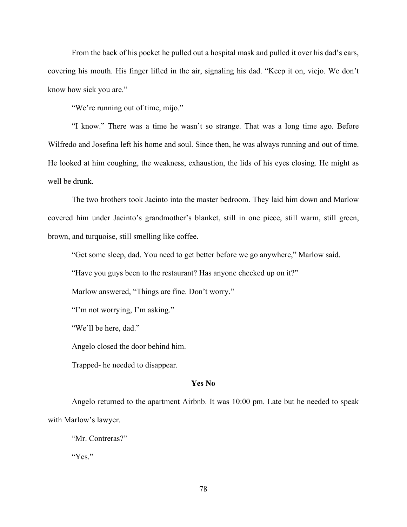From the back of his pocket he pulled out a hospital mask and pulled it over his dad's ears, covering his mouth. His finger lifted in the air, signaling his dad. "Keep it on, viejo. We don't know how sick you are."

"We're running out of time, mijo."

"I know." There was a time he wasn't so strange. That was a long time ago. Before Wilfredo and Josefina left his home and soul. Since then, he was always running and out of time. He looked at him coughing, the weakness, exhaustion, the lids of his eyes closing. He might as well be drunk.

The two brothers took Jacinto into the master bedroom. They laid him down and Marlow covered him under Jacinto's grandmother's blanket, still in one piece, still warm, still green, brown, and turquoise, still smelling like coffee.

"Get some sleep, dad. You need to get better before we go anywhere," Marlow said.

"Have you guys been to the restaurant? Has anyone checked up on it?"

Marlow answered, "Things are fine. Don't worry."

"I'm not worrying, I'm asking."

"We'll be here, dad."

Angelo closed the door behind him.

Trapped- he needed to disappear.

#### **Yes No**

Angelo returned to the apartment Airbnb. It was 10:00 pm. Late but he needed to speak with Marlow's lawyer.

"Mr. Contreras?"

"Yes."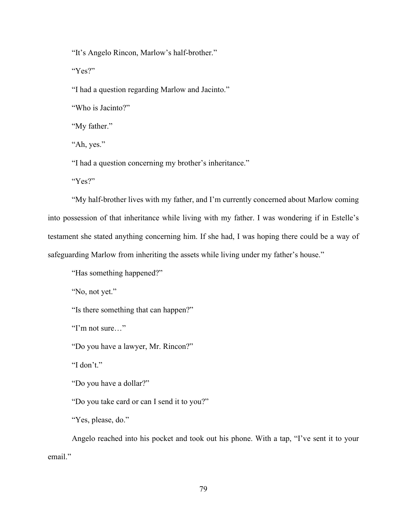"It's Angelo Rincon, Marlow's half-brother."

"Yes?"

"I had a question regarding Marlow and Jacinto."

"Who is Jacinto?"

"My father."

"Ah, yes."

"I had a question concerning my brother's inheritance."

"Yes?"

"My half-brother lives with my father, and I'm currently concerned about Marlow coming into possession of that inheritance while living with my father. I was wondering if in Estelle's testament she stated anything concerning him. If she had, I was hoping there could be a way of safeguarding Marlow from inheriting the assets while living under my father's house."

"Has something happened?"

"No, not yet."

"Is there something that can happen?"

"I'm not sure…"

"Do you have a lawyer, Mr. Rincon?"

"I don't."

"Do you have a dollar?"

"Do you take card or can I send it to you?"

"Yes, please, do."

Angelo reached into his pocket and took out his phone. With a tap, "I've sent it to your email."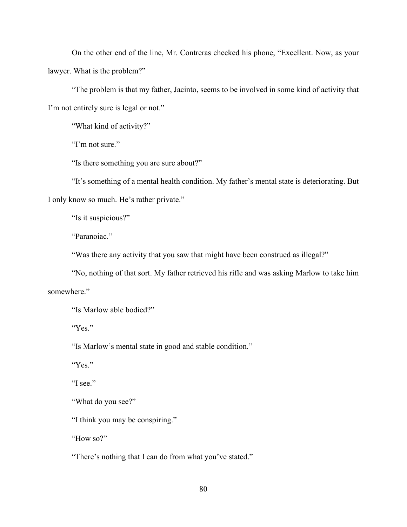On the other end of the line, Mr. Contreras checked his phone, "Excellent. Now, as your lawyer. What is the problem?"

"The problem is that my father, Jacinto, seems to be involved in some kind of activity that I'm not entirely sure is legal or not."

"What kind of activity?"

"I'm not sure."

"Is there something you are sure about?"

"It's something of a mental health condition. My father's mental state is deteriorating. But I only know so much. He's rather private."

"Is it suspicious?"

"Paranoiac."

"Was there any activity that you saw that might have been construed as illegal?"

"No, nothing of that sort. My father retrieved his rifle and was asking Marlow to take him somewhere."

"Is Marlow able bodied?"

"Yes."

"Is Marlow's mental state in good and stable condition."

"Yes."

"I see."

"What do you see?"

"I think you may be conspiring."

"How so?"

"There's nothing that I can do from what you've stated."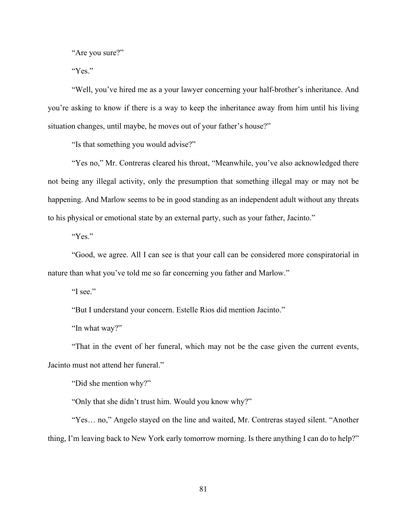"Are you sure?"

"Yes."

"Well, you've hired me as a your lawyer concerning your half-brother's inheritance. And you're asking to know if there is a way to keep the inheritance away from him until his living situation changes, until maybe, he moves out of your father's house?"

"Is that something you would advise?"

"Yes no," Mr. Contreras cleared his throat, "Meanwhile, you've also acknowledged there not being any illegal activity, only the presumption that something illegal may or may not be happening. And Marlow seems to be in good standing as an independent adult without any threats to his physical or emotional state by an external party, such as your father, Jacinto."

"Yes."

"Good, we agree. All I can see is that your call can be considered more conspiratorial in nature than what you've told me so far concerning you father and Marlow."

"I see."

"But I understand your concern. Estelle Rios did mention Jacinto."

"In what way?"

"That in the event of her funeral, which may not be the case given the current events, Jacinto must not attend her funeral."

"Did she mention why?"

"Only that she didn't trust him. Would you know why?"

"Yes… no," Angelo stayed on the line and waited, Mr. Contreras stayed silent. "Another thing, I'm leaving back to New York early tomorrow morning. Is there anything I can do to help?"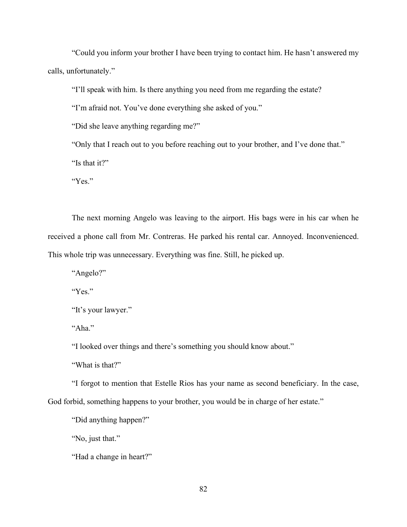"Could you inform your brother I have been trying to contact him. He hasn't answered my calls, unfortunately."

"I'll speak with him. Is there anything you need from me regarding the estate?

"I'm afraid not. You've done everything she asked of you."

"Did she leave anything regarding me?"

"Only that I reach out to you before reaching out to your brother, and I've done that."

"Is that it?"

"Yes."

The next morning Angelo was leaving to the airport. His bags were in his car when he received a phone call from Mr. Contreras. He parked his rental car. Annoyed. Inconvenienced. This whole trip was unnecessary. Everything was fine. Still, he picked up.

"Angelo?"

"Yes."

```
"It's your lawyer."
```
"Aha."

"I looked over things and there's something you should know about."

"What is that?"

"I forgot to mention that Estelle Rios has your name as second beneficiary. In the case, God forbid, something happens to your brother, you would be in charge of her estate."

"Did anything happen?"

"No, just that."

"Had a change in heart?"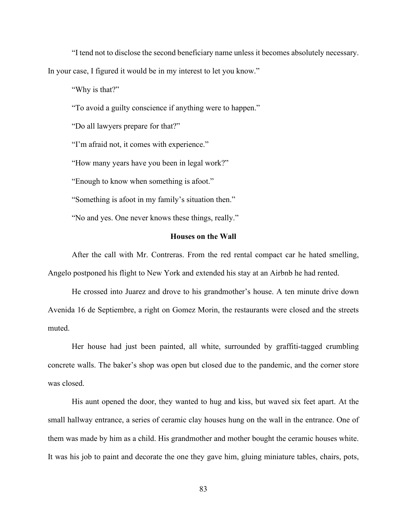"I tend not to disclose the second beneficiary name unless it becomes absolutely necessary. In your case, I figured it would be in my interest to let you know."

"Why is that?"

"To avoid a guilty conscience if anything were to happen."

"Do all lawyers prepare for that?"

"I'm afraid not, it comes with experience."

"How many years have you been in legal work?"

"Enough to know when something is afoot."

"Something is afoot in my family's situation then."

"No and yes. One never knows these things, really."

# **Houses on the Wall**

After the call with Mr. Contreras. From the red rental compact car he hated smelling, Angelo postponed his flight to New York and extended his stay at an Airbnb he had rented.

He crossed into Juarez and drove to his grandmother's house. A ten minute drive down Avenida 16 de Septiembre, a right on Gomez Morin, the restaurants were closed and the streets muted.

Her house had just been painted, all white, surrounded by graffiti-tagged crumbling concrete walls. The baker's shop was open but closed due to the pandemic, and the corner store was closed.

His aunt opened the door, they wanted to hug and kiss, but waved six feet apart. At the small hallway entrance, a series of ceramic clay houses hung on the wall in the entrance. One of them was made by him as a child. His grandmother and mother bought the ceramic houses white. It was his job to paint and decorate the one they gave him, gluing miniature tables, chairs, pots,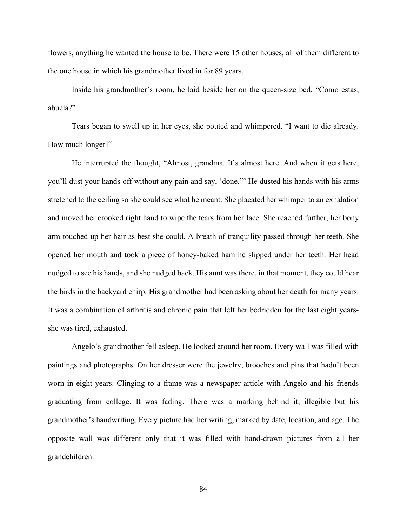flowers, anything he wanted the house to be. There were 15 other houses, all of them different to the one house in which his grandmother lived in for 89 years.

Inside his grandmother's room, he laid beside her on the queen-size bed, "Como estas, abuela?"

Tears began to swell up in her eyes, she pouted and whimpered. "I want to die already. How much longer?"

He interrupted the thought, "Almost, grandma. It's almost here. And when it gets here, you'll dust your hands off without any pain and say, 'done.'" He dusted his hands with his arms stretched to the ceiling so she could see what he meant. She placated her whimper to an exhalation and moved her crooked right hand to wipe the tears from her face. She reached further, her bony arm touched up her hair as best she could. A breath of tranquility passed through her teeth. She opened her mouth and took a piece of honey-baked ham he slipped under her teeth. Her head nudged to see his hands, and she nudged back. His aunt was there, in that moment, they could hear the birds in the backyard chirp. His grandmother had been asking about her death for many years. It was a combination of arthritis and chronic pain that left her bedridden for the last eight yearsshe was tired, exhausted.

Angelo's grandmother fell asleep. He looked around her room. Every wall was filled with paintings and photographs. On her dresser were the jewelry, brooches and pins that hadn't been worn in eight years. Clinging to a frame was a newspaper article with Angelo and his friends graduating from college. It was fading. There was a marking behind it, illegible but his grandmother's handwriting. Every picture had her writing, marked by date, location, and age. The opposite wall was different only that it was filled with hand-drawn pictures from all her grandchildren.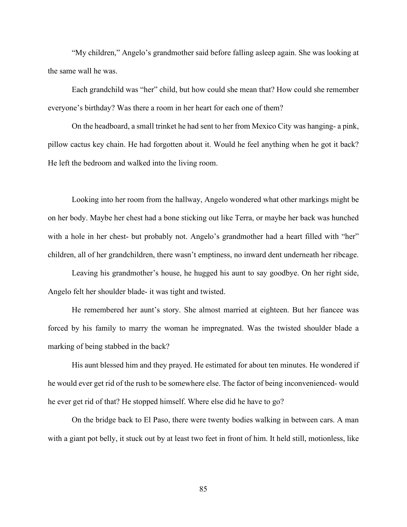"My children," Angelo's grandmother said before falling asleep again. She was looking at the same wall he was.

Each grandchild was "her" child, but how could she mean that? How could she remember everyone's birthday? Was there a room in her heart for each one of them?

On the headboard, a small trinket he had sent to her from Mexico City was hanging- a pink, pillow cactus key chain. He had forgotten about it. Would he feel anything when he got it back? He left the bedroom and walked into the living room.

Looking into her room from the hallway, Angelo wondered what other markings might be on her body. Maybe her chest had a bone sticking out like Terra, or maybe her back was hunched with a hole in her chest- but probably not. Angelo's grandmother had a heart filled with "her" children, all of her grandchildren, there wasn't emptiness, no inward dent underneath her ribcage.

Leaving his grandmother's house, he hugged his aunt to say goodbye. On her right side, Angelo felt her shoulder blade- it was tight and twisted.

He remembered her aunt's story. She almost married at eighteen. But her fiancee was forced by his family to marry the woman he impregnated. Was the twisted shoulder blade a marking of being stabbed in the back?

His aunt blessed him and they prayed. He estimated for about ten minutes. He wondered if he would ever get rid of the rush to be somewhere else. The factor of being inconvenienced- would he ever get rid of that? He stopped himself. Where else did he have to go?

On the bridge back to El Paso, there were twenty bodies walking in between cars. A man with a giant pot belly, it stuck out by at least two feet in front of him. It held still, motionless, like

85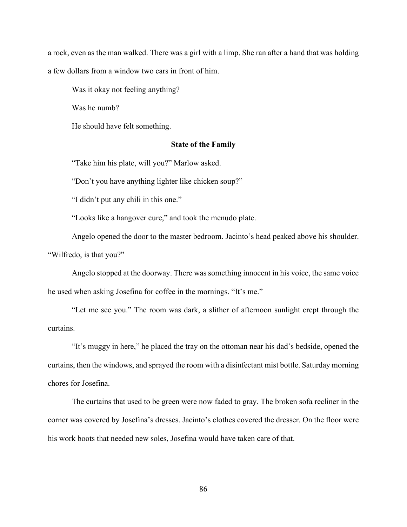a rock, even as the man walked. There was a girl with a limp. She ran after a hand that was holding a few dollars from a window two cars in front of him.

Was it okay not feeling anything?

Was he numb?

He should have felt something.

# **State of the Family**

"Take him his plate, will you?" Marlow asked.

"Don't you have anything lighter like chicken soup?"

"I didn't put any chili in this one."

"Looks like a hangover cure," and took the menudo plate.

Angelo opened the door to the master bedroom. Jacinto's head peaked above his shoulder. "Wilfredo, is that you?"

Angelo stopped at the doorway. There was something innocent in his voice, the same voice he used when asking Josefina for coffee in the mornings. "It's me."

"Let me see you." The room was dark, a slither of afternoon sunlight crept through the curtains.

"It's muggy in here," he placed the tray on the ottoman near his dad's bedside, opened the curtains, then the windows, and sprayed the room with a disinfectant mist bottle. Saturday morning chores for Josefina.

The curtains that used to be green were now faded to gray. The broken sofa recliner in the corner was covered by Josefina's dresses. Jacinto's clothes covered the dresser. On the floor were his work boots that needed new soles, Josefina would have taken care of that.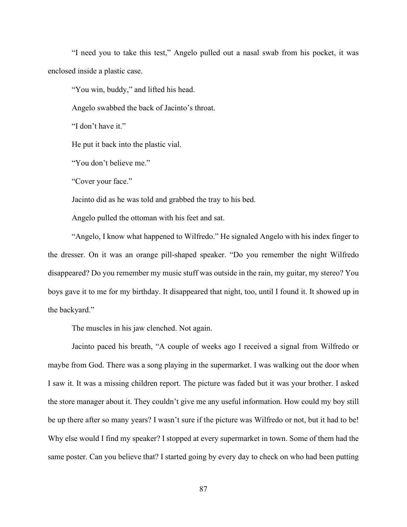"I need you to take this test," Angelo pulled out a nasal swab from his pocket, it was enclosed inside a plastic case.

"You win, buddy," and lifted his head.

Angelo swabbed the back of Jacinto's throat.

"I don't have it."

He put it back into the plastic vial.

"You don't believe me."

"Cover your face."

Jacinto did as he was told and grabbed the tray to his bed.

Angelo pulled the ottoman with his feet and sat.

"Angelo, I know what happened to Wilfredo." He signaled Angelo with his index finger to the dresser. On it was an orange pill-shaped speaker. "Do you remember the night Wilfredo disappeared? Do you remember my music stuff was outside in the rain, my guitar, my stereo? You boys gave it to me for my birthday. It disappeared that night, too, until I found it. It showed up in the backyard."

The muscles in his jaw clenched. Not again.

Jacinto paced his breath, "A couple of weeks ago I received a signal from Wilfredo or maybe from God. There was a song playing in the supermarket. I was walking out the door when I saw it. It was a missing children report. The picture was faded but it was your brother. I asked the store manager about it. They couldn't give me any useful information. How could my boy still be up there after so many years? I wasn't sure if the picture was Wilfredo or not, but it had to be! Why else would I find my speaker? I stopped at every supermarket in town. Some of them had the same poster. Can you believe that? I started going by every day to check on who had been putting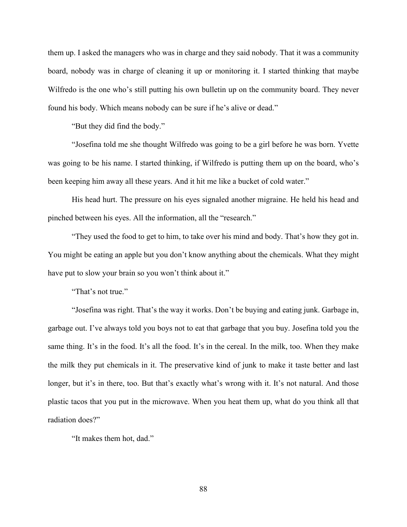them up. I asked the managers who was in charge and they said nobody. That it was a community board, nobody was in charge of cleaning it up or monitoring it. I started thinking that maybe Wilfredo is the one who's still putting his own bulletin up on the community board. They never found his body. Which means nobody can be sure if he's alive or dead."

"But they did find the body."

"Josefina told me she thought Wilfredo was going to be a girl before he was born. Yvette was going to be his name. I started thinking, if Wilfredo is putting them up on the board, who's been keeping him away all these years. And it hit me like a bucket of cold water."

His head hurt. The pressure on his eyes signaled another migraine. He held his head and pinched between his eyes. All the information, all the "research."

"They used the food to get to him, to take over his mind and body. That's how they got in. You might be eating an apple but you don't know anything about the chemicals. What they might have put to slow your brain so you won't think about it."

"That's not true."

"Josefina was right. That's the way it works. Don't be buying and eating junk. Garbage in, garbage out. I've always told you boys not to eat that garbage that you buy. Josefina told you the same thing. It's in the food. It's all the food. It's in the cereal. In the milk, too. When they make the milk they put chemicals in it. The preservative kind of junk to make it taste better and last longer, but it's in there, too. But that's exactly what's wrong with it. It's not natural. And those plastic tacos that you put in the microwave. When you heat them up, what do you think all that radiation does?"

"It makes them hot, dad."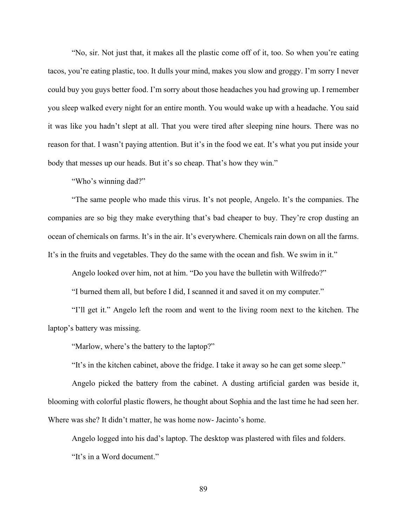"No, sir. Not just that, it makes all the plastic come off of it, too. So when you're eating tacos, you're eating plastic, too. It dulls your mind, makes you slow and groggy. I'm sorry I never could buy you guys better food. I'm sorry about those headaches you had growing up. I remember you sleep walked every night for an entire month. You would wake up with a headache. You said it was like you hadn't slept at all. That you were tired after sleeping nine hours. There was no reason for that. I wasn't paying attention. But it's in the food we eat. It's what you put inside your body that messes up our heads. But it's so cheap. That's how they win."

"Who's winning dad?"

"The same people who made this virus. It's not people, Angelo. It's the companies. The companies are so big they make everything that's bad cheaper to buy. They're crop dusting an ocean of chemicals on farms. It's in the air. It's everywhere. Chemicals rain down on all the farms. It's in the fruits and vegetables. They do the same with the ocean and fish. We swim in it."

Angelo looked over him, not at him. "Do you have the bulletin with Wilfredo?"

"I burned them all, but before I did, I scanned it and saved it on my computer."

"I'll get it." Angelo left the room and went to the living room next to the kitchen. The laptop's battery was missing.

"Marlow, where's the battery to the laptop?"

"It's in the kitchen cabinet, above the fridge. I take it away so he can get some sleep."

Angelo picked the battery from the cabinet. A dusting artificial garden was beside it, blooming with colorful plastic flowers, he thought about Sophia and the last time he had seen her. Where was she? It didn't matter, he was home now- Jacinto's home.

Angelo logged into his dad's laptop. The desktop was plastered with files and folders. "It's in a Word document."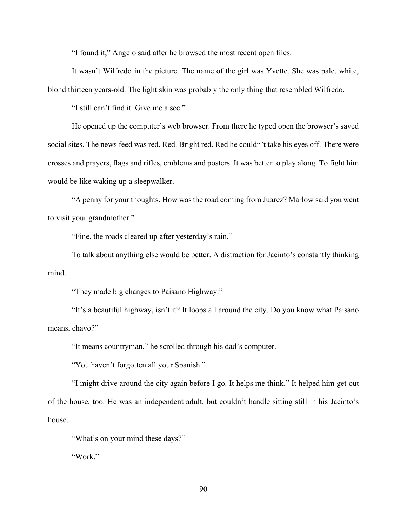"I found it," Angelo said after he browsed the most recent open files.

It wasn't Wilfredo in the picture. The name of the girl was Yvette. She was pale, white, blond thirteen years-old. The light skin was probably the only thing that resembled Wilfredo.

"I still can't find it. Give me a sec."

He opened up the computer's web browser. From there he typed open the browser's saved social sites. The news feed was red. Red. Bright red. Red he couldn't take his eyes off. There were crosses and prayers, flags and rifles, emblems and posters. It was better to play along. To fight him would be like waking up a sleepwalker.

"A penny for your thoughts. How was the road coming from Juarez? Marlow said you went to visit your grandmother."

"Fine, the roads cleared up after yesterday's rain."

To talk about anything else would be better. A distraction for Jacinto's constantly thinking mind.

"They made big changes to Paisano Highway."

"It's a beautiful highway, isn't it? It loops all around the city. Do you know what Paisano means, chavo?"

"It means countryman," he scrolled through his dad's computer.

"You haven't forgotten all your Spanish."

"I might drive around the city again before I go. It helps me think." It helped him get out of the house, too. He was an independent adult, but couldn't handle sitting still in his Jacinto's house.

"What's on your mind these days?"

"Work."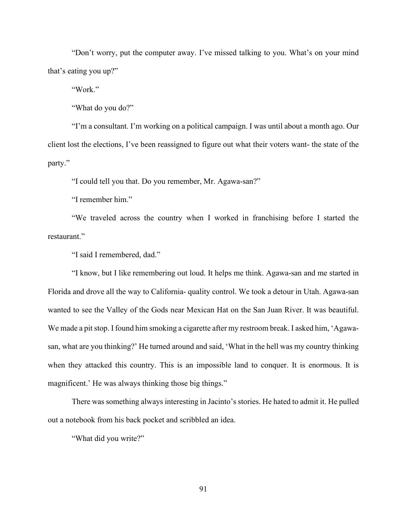"Don't worry, put the computer away. I've missed talking to you. What's on your mind that's eating you up?"

"Work."

"What do you do?"

"I'm a consultant. I'm working on a political campaign. I was until about a month ago. Our client lost the elections, I've been reassigned to figure out what their voters want- the state of the party."

"I could tell you that. Do you remember, Mr. Agawa-san?"

"I remember him."

"We traveled across the country when I worked in franchising before I started the restaurant."

"I said I remembered, dad."

"I know, but I like remembering out loud. It helps me think. Agawa-san and me started in Florida and drove all the way to California- quality control. We took a detour in Utah. Agawa-san wanted to see the Valley of the Gods near Mexican Hat on the San Juan River. It was beautiful. We made a pit stop. I found him smoking a cigarette after my restroom break. I asked him, 'Agawasan, what are you thinking?' He turned around and said, 'What in the hell was my country thinking when they attacked this country. This is an impossible land to conquer. It is enormous. It is magnificent.' He was always thinking those big things."

There was something always interesting in Jacinto's stories. He hated to admit it. He pulled out a notebook from his back pocket and scribbled an idea.

"What did you write?"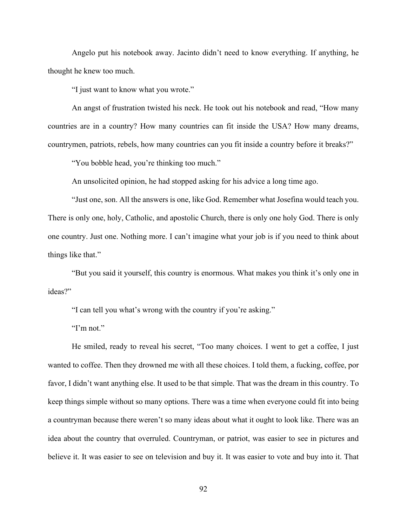Angelo put his notebook away. Jacinto didn't need to know everything. If anything, he thought he knew too much.

"I just want to know what you wrote."

An angst of frustration twisted his neck. He took out his notebook and read, "How many countries are in a country? How many countries can fit inside the USA? How many dreams, countrymen, patriots, rebels, how many countries can you fit inside a country before it breaks?"

"You bobble head, you're thinking too much."

An unsolicited opinion, he had stopped asking for his advice a long time ago.

"Just one, son. All the answers is one, like God. Remember what Josefina would teach you. There is only one, holy, Catholic, and apostolic Church, there is only one holy God. There is only one country. Just one. Nothing more. I can't imagine what your job is if you need to think about things like that."

"But you said it yourself, this country is enormous. What makes you think it's only one in ideas?"

"I can tell you what's wrong with the country if you're asking."

"I'm not."

He smiled, ready to reveal his secret, "Too many choices. I went to get a coffee, I just wanted to coffee. Then they drowned me with all these choices. I told them, a fucking, coffee, por favor, I didn't want anything else. It used to be that simple. That was the dream in this country. To keep things simple without so many options. There was a time when everyone could fit into being a countryman because there weren't so many ideas about what it ought to look like. There was an idea about the country that overruled. Countryman, or patriot, was easier to see in pictures and believe it. It was easier to see on television and buy it. It was easier to vote and buy into it. That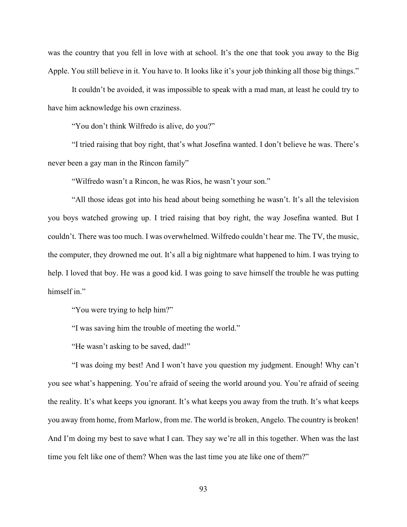was the country that you fell in love with at school. It's the one that took you away to the Big Apple. You still believe in it. You have to. It looks like it's your job thinking all those big things."

It couldn't be avoided, it was impossible to speak with a mad man, at least he could try to have him acknowledge his own craziness.

"You don't think Wilfredo is alive, do you?"

"I tried raising that boy right, that's what Josefina wanted. I don't believe he was. There's never been a gay man in the Rincon family"

"Wilfredo wasn't a Rincon, he was Rios, he wasn't your son."

"All those ideas got into his head about being something he wasn't. It's all the television you boys watched growing up. I tried raising that boy right, the way Josefina wanted. But I couldn't. There was too much. I was overwhelmed. Wilfredo couldn't hear me. The TV, the music, the computer, they drowned me out. It's all a big nightmare what happened to him. I was trying to help. I loved that boy. He was a good kid. I was going to save himself the trouble he was putting himself in."

"You were trying to help him?"

"I was saving him the trouble of meeting the world."

"He wasn't asking to be saved, dad!"

"I was doing my best! And I won't have you question my judgment. Enough! Why can't you see what's happening. You're afraid of seeing the world around you. You're afraid of seeing the reality. It's what keeps you ignorant. It's what keeps you away from the truth. It's what keeps you away from home, from Marlow, from me. The world is broken, Angelo. The country is broken! And I'm doing my best to save what I can. They say we're all in this together. When was the last time you felt like one of them? When was the last time you ate like one of them?"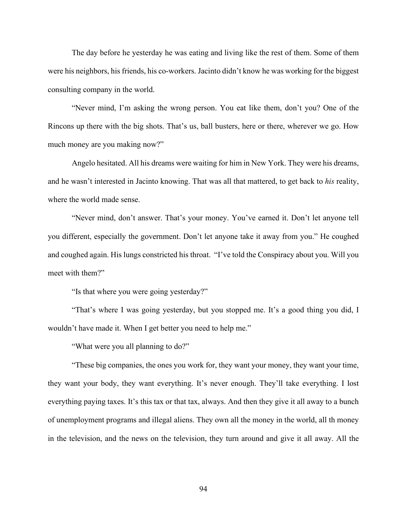The day before he yesterday he was eating and living like the rest of them. Some of them were his neighbors, his friends, his co-workers. Jacinto didn't know he was working for the biggest consulting company in the world.

"Never mind, I'm asking the wrong person. You eat like them, don't you? One of the Rincons up there with the big shots. That's us, ball busters, here or there, wherever we go. How much money are you making now?"

Angelo hesitated. All his dreams were waiting for him in New York. They were his dreams, and he wasn't interested in Jacinto knowing. That was all that mattered, to get back to *his* reality, where the world made sense.

"Never mind, don't answer. That's your money. You've earned it. Don't let anyone tell you different, especially the government. Don't let anyone take it away from you." He coughed and coughed again. His lungs constricted his throat. "I've told the Conspiracy about you. Will you meet with them?"

"Is that where you were going yesterday?"

"That's where I was going yesterday, but you stopped me. It's a good thing you did, I wouldn't have made it. When I get better you need to help me."

"What were you all planning to do?"

"These big companies, the ones you work for, they want your money, they want your time, they want your body, they want everything. It's never enough. They'll take everything. I lost everything paying taxes. It's this tax or that tax, always. And then they give it all away to a bunch of unemployment programs and illegal aliens. They own all the money in the world, all th money in the television, and the news on the television, they turn around and give it all away. All the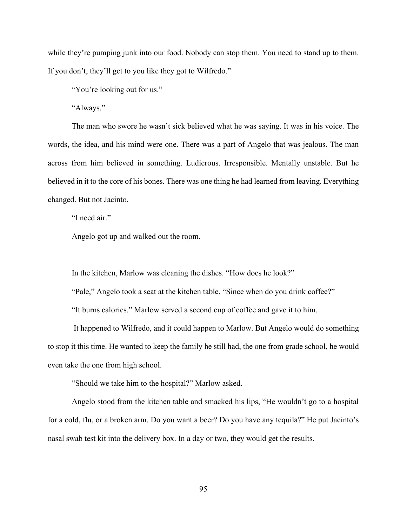while they're pumping junk into our food. Nobody can stop them. You need to stand up to them. If you don't, they'll get to you like they got to Wilfredo."

"You're looking out for us."

"Always."

The man who swore he wasn't sick believed what he was saying. It was in his voice. The words, the idea, and his mind were one. There was a part of Angelo that was jealous. The man across from him believed in something. Ludicrous. Irresponsible. Mentally unstable. But he believed in it to the core of his bones. There was one thing he had learned from leaving. Everything changed. But not Jacinto.

"I need air."

Angelo got up and walked out the room.

In the kitchen, Marlow was cleaning the dishes. "How does he look?"

"Pale," Angelo took a seat at the kitchen table. "Since when do you drink coffee?"

"It burns calories." Marlow served a second cup of coffee and gave it to him.

It happened to Wilfredo, and it could happen to Marlow. But Angelo would do something to stop it this time. He wanted to keep the family he still had, the one from grade school, he would even take the one from high school.

"Should we take him to the hospital?" Marlow asked.

Angelo stood from the kitchen table and smacked his lips, "He wouldn't go to a hospital for a cold, flu, or a broken arm. Do you want a beer? Do you have any tequila?" He put Jacinto's nasal swab test kit into the delivery box. In a day or two, they would get the results.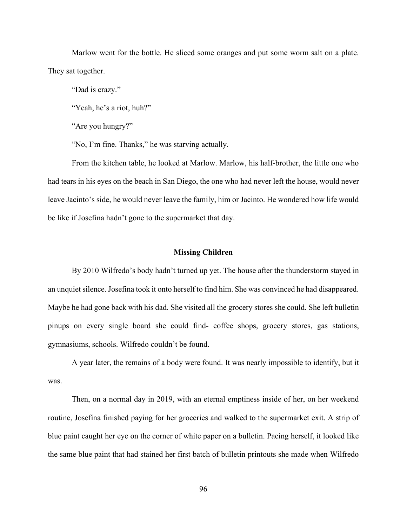Marlow went for the bottle. He sliced some oranges and put some worm salt on a plate. They sat together.

"Dad is crazy."

"Yeah, he's a riot, huh?"

"Are you hungry?"

"No, I'm fine. Thanks," he was starving actually.

From the kitchen table, he looked at Marlow. Marlow, his half-brother, the little one who had tears in his eyes on the beach in San Diego, the one who had never left the house, would never leave Jacinto's side, he would never leave the family, him or Jacinto. He wondered how life would be like if Josefina hadn't gone to the supermarket that day.

# **Missing Children**

By 2010 Wilfredo's body hadn't turned up yet. The house after the thunderstorm stayed in an unquiet silence. Josefina took it onto herself to find him. She was convinced he had disappeared. Maybe he had gone back with his dad. She visited all the grocery stores she could. She left bulletin pinups on every single board she could find- coffee shops, grocery stores, gas stations, gymnasiums, schools. Wilfredo couldn't be found.

A year later, the remains of a body were found. It was nearly impossible to identify, but it was.

Then, on a normal day in 2019, with an eternal emptiness inside of her, on her weekend routine, Josefina finished paying for her groceries and walked to the supermarket exit. A strip of blue paint caught her eye on the corner of white paper on a bulletin. Pacing herself, it looked like the same blue paint that had stained her first batch of bulletin printouts she made when Wilfredo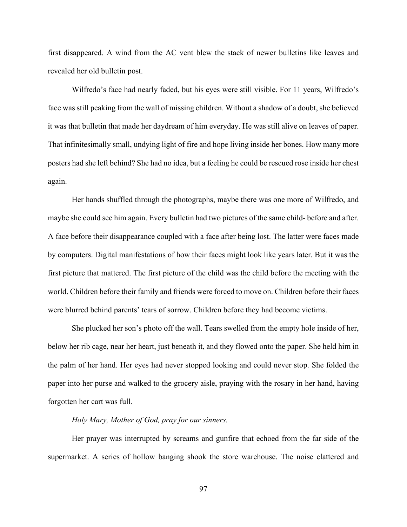first disappeared. A wind from the AC vent blew the stack of newer bulletins like leaves and revealed her old bulletin post.

Wilfredo's face had nearly faded, but his eyes were still visible. For 11 years, Wilfredo's face was still peaking from the wall of missing children. Without a shadow of a doubt, she believed it was that bulletin that made her daydream of him everyday. He was still alive on leaves of paper. That infinitesimally small, undying light of fire and hope living inside her bones. How many more posters had she left behind? She had no idea, but a feeling he could be rescued rose inside her chest again.

Her hands shuffled through the photographs, maybe there was one more of Wilfredo, and maybe she could see him again. Every bulletin had two pictures of the same child- before and after. A face before their disappearance coupled with a face after being lost. The latter were faces made by computers. Digital manifestations of how their faces might look like years later. But it was the first picture that mattered. The first picture of the child was the child before the meeting with the world. Children before their family and friends were forced to move on. Children before their faces were blurred behind parents' tears of sorrow. Children before they had become victims.

She plucked her son's photo off the wall. Tears swelled from the empty hole inside of her, below her rib cage, near her heart, just beneath it, and they flowed onto the paper. She held him in the palm of her hand. Her eyes had never stopped looking and could never stop. She folded the paper into her purse and walked to the grocery aisle, praying with the rosary in her hand, having forgotten her cart was full.

# *Holy Mary, Mother of God, pray for our sinners.*

Her prayer was interrupted by screams and gunfire that echoed from the far side of the supermarket. A series of hollow banging shook the store warehouse. The noise clattered and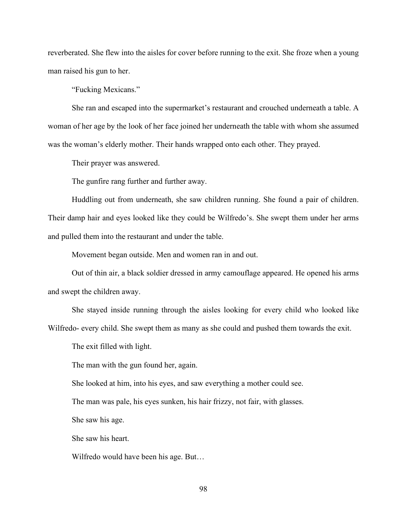reverberated. She flew into the aisles for cover before running to the exit. She froze when a young man raised his gun to her.

"Fucking Mexicans."

She ran and escaped into the supermarket's restaurant and crouched underneath a table. A woman of her age by the look of her face joined her underneath the table with whom she assumed was the woman's elderly mother. Their hands wrapped onto each other. They prayed.

Their prayer was answered.

The gunfire rang further and further away.

Huddling out from underneath, she saw children running. She found a pair of children. Their damp hair and eyes looked like they could be Wilfredo's. She swept them under her arms and pulled them into the restaurant and under the table.

Movement began outside. Men and women ran in and out.

Out of thin air, a black soldier dressed in army camouflage appeared. He opened his arms and swept the children away.

She stayed inside running through the aisles looking for every child who looked like Wilfredo- every child. She swept them as many as she could and pushed them towards the exit.

The exit filled with light.

The man with the gun found her, again.

She looked at him, into his eyes, and saw everything a mother could see.

The man was pale, his eyes sunken, his hair frizzy, not fair, with glasses.

She saw his age.

She saw his heart.

Wilfredo would have been his age. But…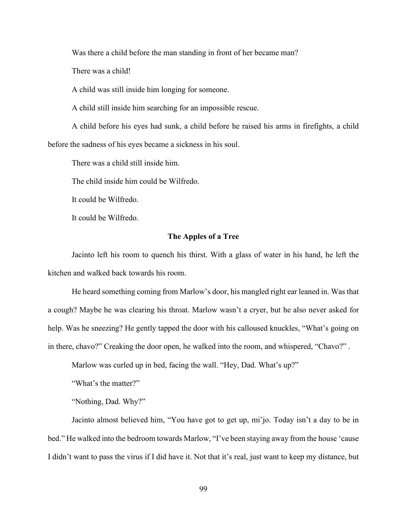Was there a child before the man standing in front of her became man?

There was a child!

A child was still inside him longing for someone.

A child still inside him searching for an impossible rescue.

A child before his eyes had sunk, a child before he raised his arms in firefights, a child before the sadness of his eyes became a sickness in his soul.

There was a child still inside him.

The child inside him could be Wilfredo.

It could be Wilfredo.

It could be Wilfredo.

# **The Apples of a Tree**

Jacinto left his room to quench his thirst. With a glass of water in his hand, he left the kitchen and walked back towards his room.

He heard something coming from Marlow's door, his mangled right ear leaned in. Was that a cough? Maybe he was clearing his throat. Marlow wasn't a cryer, but he also never asked for help. Was he sneezing? He gently tapped the door with his calloused knuckles, "What's going on in there, chavo?" Creaking the door open, he walked into the room, and whispered, "Chavo?" .

Marlow was curled up in bed, facing the wall. "Hey, Dad. What's up?"

"What's the matter?"

"Nothing, Dad. Why?"

Jacinto almost believed him, "You have got to get up, mi'jo. Today isn't a day to be in bed." He walked into the bedroom towards Marlow, "I've been staying away from the house 'cause I didn't want to pass the virus if I did have it. Not that it's real, just want to keep my distance, but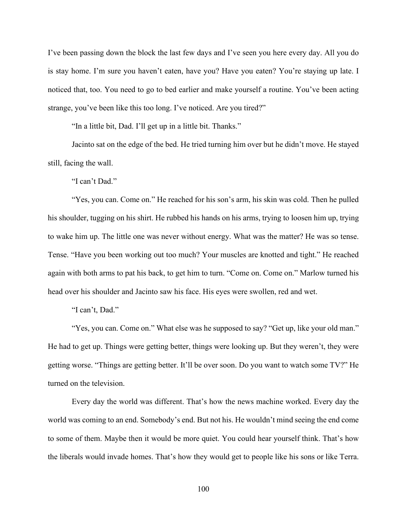I've been passing down the block the last few days and I've seen you here every day. All you do is stay home. I'm sure you haven't eaten, have you? Have you eaten? You're staying up late. I noticed that, too. You need to go to bed earlier and make yourself a routine. You've been acting strange, you've been like this too long. I've noticed. Are you tired?"

"In a little bit, Dad. I'll get up in a little bit. Thanks."

Jacinto sat on the edge of the bed. He tried turning him over but he didn't move. He stayed still, facing the wall.

"I can't Dad."

"Yes, you can. Come on." He reached for his son's arm, his skin was cold. Then he pulled his shoulder, tugging on his shirt. He rubbed his hands on his arms, trying to loosen him up, trying to wake him up. The little one was never without energy. What was the matter? He was so tense. Tense. "Have you been working out too much? Your muscles are knotted and tight." He reached again with both arms to pat his back, to get him to turn. "Come on. Come on." Marlow turned his head over his shoulder and Jacinto saw his face. His eyes were swollen, red and wet.

"I can't, Dad."

"Yes, you can. Come on." What else was he supposed to say? "Get up, like your old man." He had to get up. Things were getting better, things were looking up. But they weren't, they were getting worse. "Things are getting better. It'll be over soon. Do you want to watch some TV?" He turned on the television.

Every day the world was different. That's how the news machine worked. Every day the world was coming to an end. Somebody's end. But not his. He wouldn't mind seeing the end come to some of them. Maybe then it would be more quiet. You could hear yourself think. That's how the liberals would invade homes. That's how they would get to people like his sons or like Terra.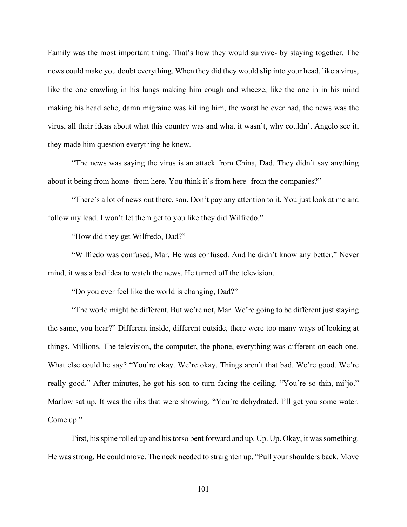Family was the most important thing. That's how they would survive- by staying together. The news could make you doubt everything. When they did they would slip into your head, like a virus, like the one crawling in his lungs making him cough and wheeze, like the one in in his mind making his head ache, damn migraine was killing him, the worst he ever had, the news was the virus, all their ideas about what this country was and what it wasn't, why couldn't Angelo see it, they made him question everything he knew.

"The news was saying the virus is an attack from China, Dad. They didn't say anything about it being from home- from here. You think it's from here- from the companies?"

"There's a lot of news out there, son. Don't pay any attention to it. You just look at me and follow my lead. I won't let them get to you like they did Wilfredo."

"How did they get Wilfredo, Dad?"

"Wilfredo was confused, Mar. He was confused. And he didn't know any better." Never mind, it was a bad idea to watch the news. He turned off the television.

"Do you ever feel like the world is changing, Dad?"

"The world might be different. But we're not, Mar. We're going to be different just staying the same, you hear?" Different inside, different outside, there were too many ways of looking at things. Millions. The television, the computer, the phone, everything was different on each one. What else could he say? "You're okay. We're okay. Things aren't that bad. We're good. We're really good." After minutes, he got his son to turn facing the ceiling. "You're so thin, mi'jo." Marlow sat up. It was the ribs that were showing. "You're dehydrated. I'll get you some water. Come up."

First, his spine rolled up and his torso bent forward and up. Up. Up. Okay, it was something. He was strong. He could move. The neck needed to straighten up. "Pull your shoulders back. Move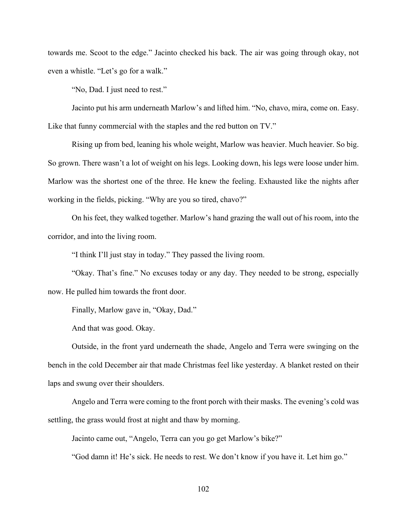towards me. Scoot to the edge." Jacinto checked his back. The air was going through okay, not even a whistle. "Let's go for a walk."

"No, Dad. I just need to rest."

Jacinto put his arm underneath Marlow's and lifted him. "No, chavo, mira, come on. Easy. Like that funny commercial with the staples and the red button on TV."

Rising up from bed, leaning his whole weight, Marlow was heavier. Much heavier. So big. So grown. There wasn't a lot of weight on his legs. Looking down, his legs were loose under him. Marlow was the shortest one of the three. He knew the feeling. Exhausted like the nights after working in the fields, picking. "Why are you so tired, chavo?"

On his feet, they walked together. Marlow's hand grazing the wall out of his room, into the corridor, and into the living room.

"I think I'll just stay in today." They passed the living room.

"Okay. That's fine." No excuses today or any day. They needed to be strong, especially now. He pulled him towards the front door.

Finally, Marlow gave in, "Okay, Dad."

And that was good. Okay.

Outside, in the front yard underneath the shade, Angelo and Terra were swinging on the bench in the cold December air that made Christmas feel like yesterday. A blanket rested on their laps and swung over their shoulders.

Angelo and Terra were coming to the front porch with their masks. The evening's cold was settling, the grass would frost at night and thaw by morning.

Jacinto came out, "Angelo, Terra can you go get Marlow's bike?"

"God damn it! He's sick. He needs to rest. We don't know if you have it. Let him go."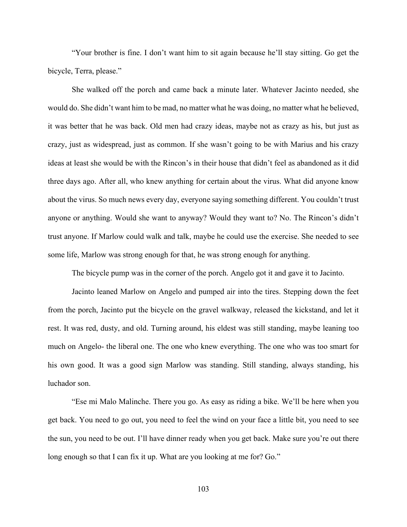"Your brother is fine. I don't want him to sit again because he'll stay sitting. Go get the bicycle, Terra, please."

She walked off the porch and came back a minute later. Whatever Jacinto needed, she would do. She didn't want him to be mad, no matter what he was doing, no matter what he believed, it was better that he was back. Old men had crazy ideas, maybe not as crazy as his, but just as crazy, just as widespread, just as common. If she wasn't going to be with Marius and his crazy ideas at least she would be with the Rincon's in their house that didn't feel as abandoned as it did three days ago. After all, who knew anything for certain about the virus. What did anyone know about the virus. So much news every day, everyone saying something different. You couldn't trust anyone or anything. Would she want to anyway? Would they want to? No. The Rincon's didn't trust anyone. If Marlow could walk and talk, maybe he could use the exercise. She needed to see some life, Marlow was strong enough for that, he was strong enough for anything.

The bicycle pump was in the corner of the porch. Angelo got it and gave it to Jacinto.

Jacinto leaned Marlow on Angelo and pumped air into the tires. Stepping down the feet from the porch, Jacinto put the bicycle on the gravel walkway, released the kickstand, and let it rest. It was red, dusty, and old. Turning around, his eldest was still standing, maybe leaning too much on Angelo- the liberal one. The one who knew everything. The one who was too smart for his own good. It was a good sign Marlow was standing. Still standing, always standing, his luchador son.

"Ese mi Malo Malinche. There you go. As easy as riding a bike. We'll be here when you get back. You need to go out, you need to feel the wind on your face a little bit, you need to see the sun, you need to be out. I'll have dinner ready when you get back. Make sure you're out there long enough so that I can fix it up. What are you looking at me for? Go."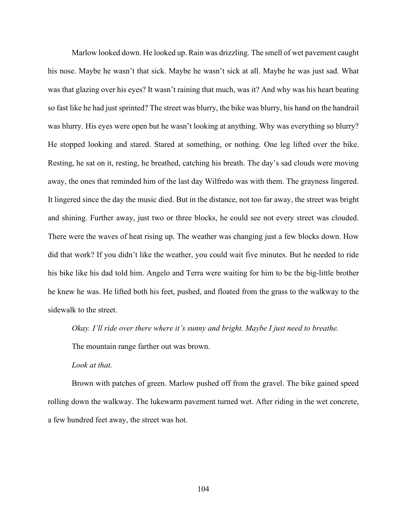Marlow looked down. He looked up. Rain was drizzling. The smell of wet pavement caught his nose. Maybe he wasn't that sick. Maybe he wasn't sick at all. Maybe he was just sad. What was that glazing over his eyes? It wasn't raining that much, was it? And why was his heart beating so fast like he had just sprinted? The street was blurry, the bike was blurry, his hand on the handrail was blurry. His eyes were open but he wasn't looking at anything. Why was everything so blurry? He stopped looking and stared. Stared at something, or nothing. One leg lifted over the bike. Resting, he sat on it, resting, he breathed, catching his breath. The day's sad clouds were moving away, the ones that reminded him of the last day Wilfredo was with them. The grayness lingered. It lingered since the day the music died. But in the distance, not too far away, the street was bright and shining. Further away, just two or three blocks, he could see not every street was clouded. There were the waves of heat rising up. The weather was changing just a few blocks down. How did that work? If you didn't like the weather, you could wait five minutes. But he needed to ride his bike like his dad told him. Angelo and Terra were waiting for him to be the big-little brother he knew he was. He lifted both his feet, pushed, and floated from the grass to the walkway to the sidewalk to the street.

*Okay. I'll ride over there where it's sunny and bright. Maybe I just need to breathe.*

The mountain range farther out was brown.

*Look at that.* 

Brown with patches of green. Marlow pushed off from the gravel. The bike gained speed rolling down the walkway. The lukewarm pavement turned wet. After riding in the wet concrete, a few hundred feet away, the street was hot.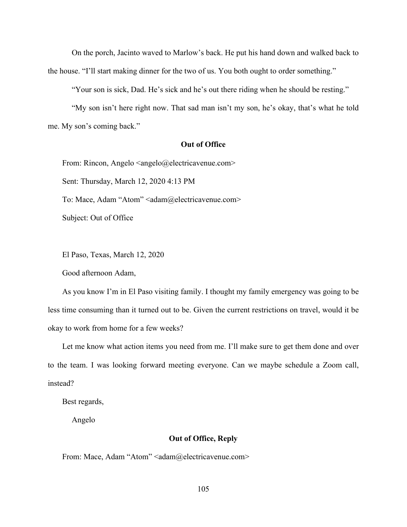On the porch, Jacinto waved to Marlow's back. He put his hand down and walked back to the house. "I'll start making dinner for the two of us. You both ought to order something."

"Your son is sick, Dad. He's sick and he's out there riding when he should be resting."

"My son isn't here right now. That sad man isn't my son, he's okay, that's what he told me. My son's coming back."

### **Out of Office**

From: Rincon, Angelo <angelo@electricavenue.com> Sent: Thursday, March 12, 2020 4:13 PM To: Mace, Adam "Atom" <adam@electricavenue.com> Subject: Out of Office

El Paso, Texas, March 12, 2020

Good afternoon Adam,

As you know I'm in El Paso visiting family. I thought my family emergency was going to be less time consuming than it turned out to be. Given the current restrictions on travel, would it be okay to work from home for a few weeks?

Let me know what action items you need from me. I'll make sure to get them done and over to the team. I was looking forward meeting everyone. Can we maybe schedule a Zoom call, instead?

Best regards,

Angelo

## **Out of Office, Reply**

From: Mace, Adam "Atom" <adam@electricavenue.com>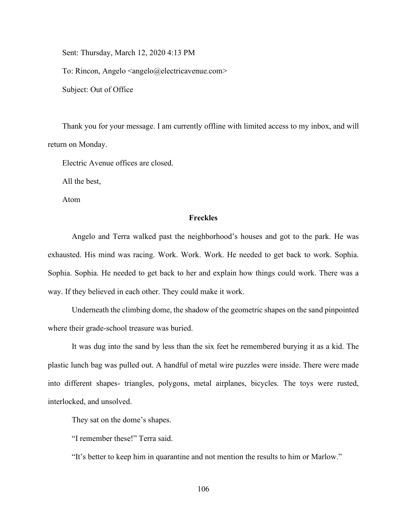Sent: Thursday, March 12, 2020 4:13 PM

To: Rincon, Angelo <angelo@electricavenue.com>

Subject: Out of Office

Thank you for your message. I am currently offline with limited access to my inbox, and will return on Monday.

Electric Avenue offices are closed.

All the best,

Atom

#### **Freckles**

Angelo and Terra walked past the neighborhood's houses and got to the park. He was exhausted. His mind was racing. Work. Work. Work. He needed to get back to work. Sophia. Sophia. Sophia. He needed to get back to her and explain how things could work. There was a way. If they believed in each other. They could make it work.

Underneath the climbing dome, the shadow of the geometric shapes on the sand pinpointed where their grade-school treasure was buried.

It was dug into the sand by less than the six feet he remembered burying it as a kid. The plastic lunch bag was pulled out. A handful of metal wire puzzles were inside. There were made into different shapes- triangles, polygons, metal airplanes, bicycles. The toys were rusted, interlocked, and unsolved.

They sat on the dome's shapes.

"I remember these!" Terra said.

"It's better to keep him in quarantine and not mention the results to him or Marlow."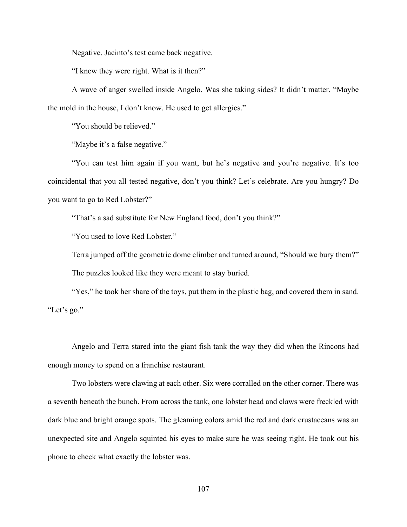Negative. Jacinto's test came back negative.

"I knew they were right. What is it then?"

A wave of anger swelled inside Angelo. Was she taking sides? It didn't matter. "Maybe the mold in the house, I don't know. He used to get allergies."

"You should be relieved."

"Maybe it's a false negative."

"You can test him again if you want, but he's negative and you're negative. It's too coincidental that you all tested negative, don't you think? Let's celebrate. Are you hungry? Do you want to go to Red Lobster?"

"That's a sad substitute for New England food, don't you think?"

"You used to love Red Lobster."

Terra jumped off the geometric dome climber and turned around, "Should we bury them?" The puzzles looked like they were meant to stay buried.

"Yes," he took her share of the toys, put them in the plastic bag, and covered them in sand. "Let's go."

Angelo and Terra stared into the giant fish tank the way they did when the Rincons had enough money to spend on a franchise restaurant.

Two lobsters were clawing at each other. Six were corralled on the other corner. There was a seventh beneath the bunch. From across the tank, one lobster head and claws were freckled with dark blue and bright orange spots. The gleaming colors amid the red and dark crustaceans was an unexpected site and Angelo squinted his eyes to make sure he was seeing right. He took out his phone to check what exactly the lobster was.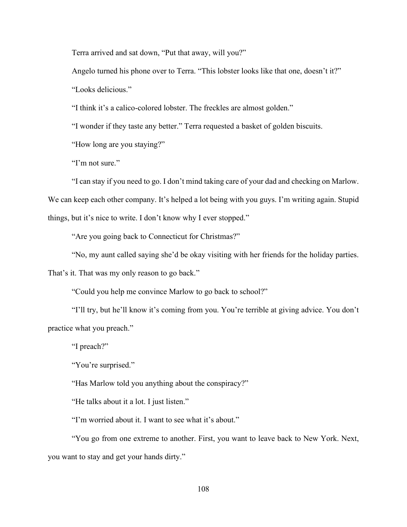Terra arrived and sat down, "Put that away, will you?"

Angelo turned his phone over to Terra. "This lobster looks like that one, doesn't it?" "Looks delicious."

"I think it's a calico-colored lobster. The freckles are almost golden."

"I wonder if they taste any better." Terra requested a basket of golden biscuits.

"How long are you staying?"

"I'm not sure."

"I can stay if you need to go. I don't mind taking care of your dad and checking on Marlow.

We can keep each other company. It's helped a lot being with you guys. I'm writing again. Stupid

things, but it's nice to write. I don't know why I ever stopped."

"Are you going back to Connecticut for Christmas?"

"No, my aunt called saying she'd be okay visiting with her friends for the holiday parties.

That's it. That was my only reason to go back."

"Could you help me convince Marlow to go back to school?"

"I'll try, but he'll know it's coming from you. You're terrible at giving advice. You don't practice what you preach."

"I preach?"

"You're surprised."

"Has Marlow told you anything about the conspiracy?"

"He talks about it a lot. I just listen."

"I'm worried about it. I want to see what it's about."

"You go from one extreme to another. First, you want to leave back to New York. Next, you want to stay and get your hands dirty."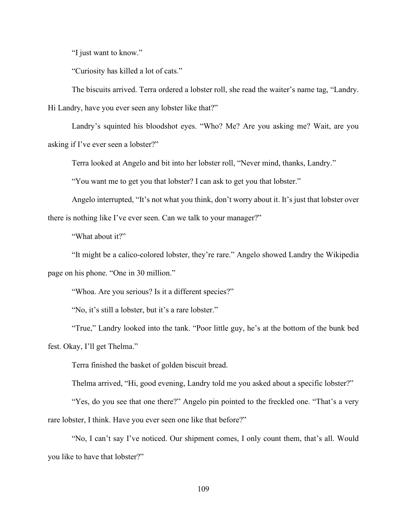"I just want to know."

"Curiosity has killed a lot of cats."

The biscuits arrived. Terra ordered a lobster roll, she read the waiter's name tag, "Landry.

Hi Landry, have you ever seen any lobster like that?"

Landry's squinted his bloodshot eyes. "Who? Me? Are you asking me? Wait, are you asking if I've ever seen a lobster?"

Terra looked at Angelo and bit into her lobster roll, "Never mind, thanks, Landry."

"You want me to get you that lobster? I can ask to get you that lobster."

Angelo interrupted, "It's not what you think, don't worry about it. It's just that lobster over there is nothing like I've ever seen. Can we talk to your manager?"

"What about it?"

"It might be a calico-colored lobster, they're rare." Angelo showed Landry the Wikipedia page on his phone. "One in 30 million."

"Whoa. Are you serious? Is it a different species?"

"No, it's still a lobster, but it's a rare lobster."

"True," Landry looked into the tank. "Poor little guy, he's at the bottom of the bunk bed fest. Okay, I'll get Thelma."

Terra finished the basket of golden biscuit bread.

Thelma arrived, "Hi, good evening, Landry told me you asked about a specific lobster?"

"Yes, do you see that one there?" Angelo pin pointed to the freckled one. "That's a very rare lobster, I think. Have you ever seen one like that before?"

"No, I can't say I've noticed. Our shipment comes, I only count them, that's all. Would you like to have that lobster?"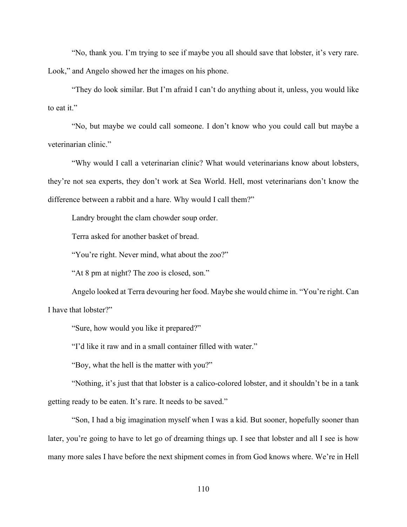"No, thank you. I'm trying to see if maybe you all should save that lobster, it's very rare. Look," and Angelo showed her the images on his phone.

"They do look similar. But I'm afraid I can't do anything about it, unless, you would like to eat it."

"No, but maybe we could call someone. I don't know who you could call but maybe a veterinarian clinic."

"Why would I call a veterinarian clinic? What would veterinarians know about lobsters, they're not sea experts, they don't work at Sea World. Hell, most veterinarians don't know the difference between a rabbit and a hare. Why would I call them?"

Landry brought the clam chowder soup order.

Terra asked for another basket of bread.

"You're right. Never mind, what about the zoo?"

"At 8 pm at night? The zoo is closed, son."

Angelo looked at Terra devouring her food. Maybe she would chime in. "You're right. Can I have that lobster?"

"Sure, how would you like it prepared?"

"I'd like it raw and in a small container filled with water."

"Boy, what the hell is the matter with you?"

"Nothing, it's just that that lobster is a calico-colored lobster, and it shouldn't be in a tank getting ready to be eaten. It's rare. It needs to be saved."

"Son, I had a big imagination myself when I was a kid. But sooner, hopefully sooner than later, you're going to have to let go of dreaming things up. I see that lobster and all I see is how many more sales I have before the next shipment comes in from God knows where. We're in Hell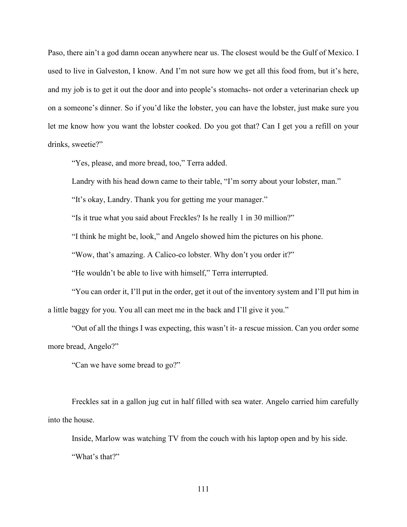Paso, there ain't a god damn ocean anywhere near us. The closest would be the Gulf of Mexico. I used to live in Galveston, I know. And I'm not sure how we get all this food from, but it's here, and my job is to get it out the door and into people's stomachs- not order a veterinarian check up on a someone's dinner. So if you'd like the lobster, you can have the lobster, just make sure you let me know how you want the lobster cooked. Do you got that? Can I get you a refill on your drinks, sweetie?"

"Yes, please, and more bread, too," Terra added.

Landry with his head down came to their table, "I'm sorry about your lobster, man."

"It's okay, Landry. Thank you for getting me your manager."

"Is it true what you said about Freckles? Is he really 1 in 30 million?"

"I think he might be, look," and Angelo showed him the pictures on his phone.

"Wow, that's amazing. A Calico-co lobster. Why don't you order it?"

"He wouldn't be able to live with himself," Terra interrupted.

"You can order it, I'll put in the order, get it out of the inventory system and I'll put him in a little baggy for you. You all can meet me in the back and I'll give it you."

"Out of all the things I was expecting, this wasn't it- a rescue mission. Can you order some more bread, Angelo?"

"Can we have some bread to go?"

Freckles sat in a gallon jug cut in half filled with sea water. Angelo carried him carefully into the house.

Inside, Marlow was watching TV from the couch with his laptop open and by his side. "What's that?"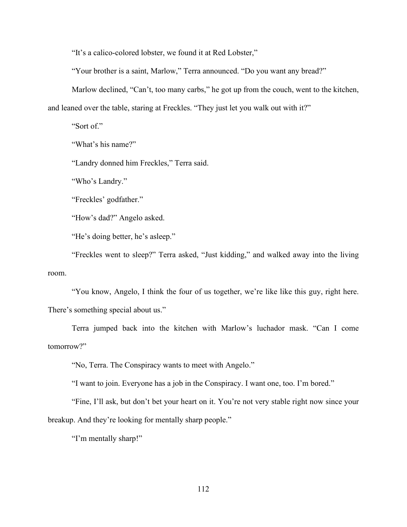"It's a calico-colored lobster, we found it at Red Lobster,"

"Your brother is a saint, Marlow," Terra announced. "Do you want any bread?"

Marlow declined, "Can't, too many carbs," he got up from the couch, went to the kitchen,

and leaned over the table, staring at Freckles. "They just let you walk out with it?"

"Sort of."

"What's his name?"

"Landry donned him Freckles," Terra said.

"Who's Landry."

"Freckles' godfather."

"How's dad?" Angelo asked.

"He's doing better, he's asleep."

"Freckles went to sleep?" Terra asked, "Just kidding," and walked away into the living room.

"You know, Angelo, I think the four of us together, we're like like this guy, right here. There's something special about us."

Terra jumped back into the kitchen with Marlow's luchador mask. "Can I come tomorrow?"

"No, Terra. The Conspiracy wants to meet with Angelo."

"I want to join. Everyone has a job in the Conspiracy. I want one, too. I'm bored."

"Fine, I'll ask, but don't bet your heart on it. You're not very stable right now since your breakup. And they're looking for mentally sharp people."

"I'm mentally sharp!"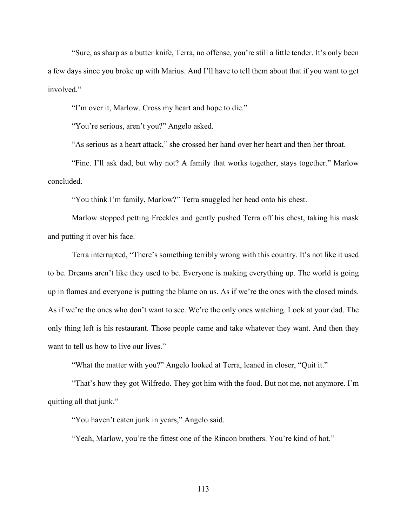"Sure, as sharp as a butter knife, Terra, no offense, you're still a little tender. It's only been a few days since you broke up with Marius. And I'll have to tell them about that if you want to get involved."

"I'm over it, Marlow. Cross my heart and hope to die."

"You're serious, aren't you?" Angelo asked.

"As serious as a heart attack," she crossed her hand over her heart and then her throat.

"Fine. I'll ask dad, but why not? A family that works together, stays together." Marlow concluded.

"You think I'm family, Marlow?" Terra snuggled her head onto his chest.

Marlow stopped petting Freckles and gently pushed Terra off his chest, taking his mask and putting it over his face.

Terra interrupted, "There's something terribly wrong with this country. It's not like it used to be. Dreams aren't like they used to be. Everyone is making everything up. The world is going up in flames and everyone is putting the blame on us. As if we're the ones with the closed minds. As if we're the ones who don't want to see. We're the only ones watching. Look at your dad. The only thing left is his restaurant. Those people came and take whatever they want. And then they want to tell us how to live our lives."

"What the matter with you?" Angelo looked at Terra, leaned in closer, "Quit it."

"That's how they got Wilfredo. They got him with the food. But not me, not anymore. I'm quitting all that junk."

"You haven't eaten junk in years," Angelo said.

"Yeah, Marlow, you're the fittest one of the Rincon brothers. You're kind of hot."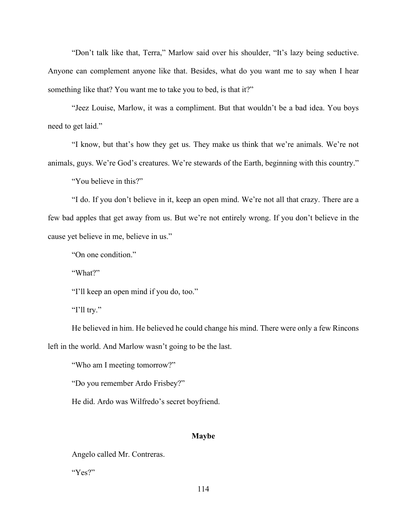"Don't talk like that, Terra," Marlow said over his shoulder, "It's lazy being seductive. Anyone can complement anyone like that. Besides, what do you want me to say when I hear something like that? You want me to take you to bed, is that it?"

"Jeez Louise, Marlow, it was a compliment. But that wouldn't be a bad idea. You boys need to get laid."

"I know, but that's how they get us. They make us think that we're animals. We're not animals, guys. We're God's creatures. We're stewards of the Earth, beginning with this country."

"You believe in this?"

"I do. If you don't believe in it, keep an open mind. We're not all that crazy. There are a few bad apples that get away from us. But we're not entirely wrong. If you don't believe in the cause yet believe in me, believe in us."

"On one condition."

"What?"

"I'll keep an open mind if you do, too."

"I'll try."

He believed in him. He believed he could change his mind. There were only a few Rincons left in the world. And Marlow wasn't going to be the last.

"Who am I meeting tomorrow?"

"Do you remember Ardo Frisbey?"

He did. Ardo was Wilfredo's secret boyfriend.

#### **Maybe**

Angelo called Mr. Contreras.

"Yes?"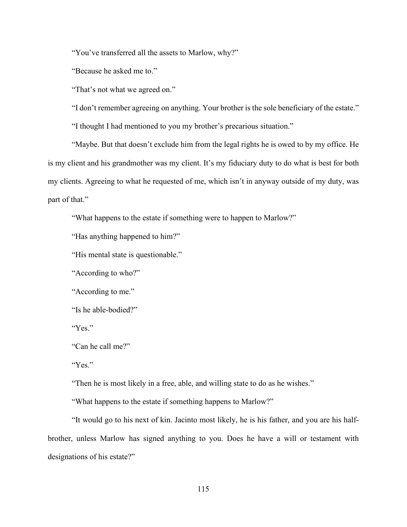"You've transferred all the assets to Marlow, why?"

"Because he asked me to."

"That's not what we agreed on."

"I don't remember agreeing on anything. Your brother is the sole beneficiary of the estate."

"I thought I had mentioned to you my brother's precarious situation."

"Maybe. But that doesn't exclude him from the legal rights he is owed to by my office. He is my client and his grandmother was my client. It's my fiduciary duty to do what is best for both my clients. Agreeing to what he requested of me, which isn't in anyway outside of my duty, was part of that."

"What happens to the estate if something were to happen to Marlow?"

"Has anything happened to him?"

"His mental state is questionable."

"According to who?"

"According to me."

"Is he able-bodied?"

"Yes."

"Can he call me?"

"Yes."

"Then he is most likely in a free, able, and willing state to do as he wishes."

"What happens to the estate if something happens to Marlow?"

"It would go to his next of kin. Jacinto most likely, he is his father, and you are his halfbrother, unless Marlow has signed anything to you. Does he have a will or testament with designations of his estate?"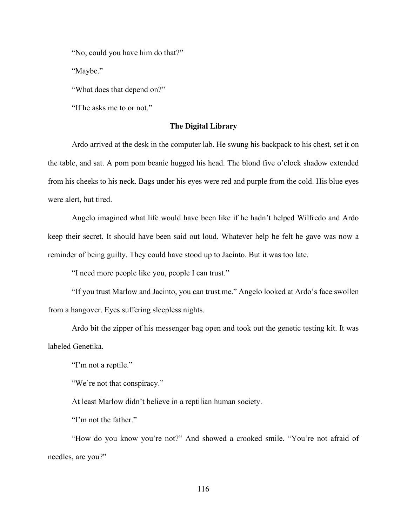"No, could you have him do that?"

"Maybe."

"What does that depend on?"

"If he asks me to or not."

## **The Digital Library**

Ardo arrived at the desk in the computer lab. He swung his backpack to his chest, set it on the table, and sat. A pom pom beanie hugged his head. The blond five o'clock shadow extended from his cheeks to his neck. Bags under his eyes were red and purple from the cold. His blue eyes were alert, but tired.

Angelo imagined what life would have been like if he hadn't helped Wilfredo and Ardo keep their secret. It should have been said out loud. Whatever help he felt he gave was now a reminder of being guilty. They could have stood up to Jacinto. But it was too late.

"I need more people like you, people I can trust."

"If you trust Marlow and Jacinto, you can trust me." Angelo looked at Ardo's face swollen from a hangover. Eyes suffering sleepless nights.

Ardo bit the zipper of his messenger bag open and took out the genetic testing kit. It was labeled Genetika.

"I'm not a reptile."

"We're not that conspiracy."

At least Marlow didn't believe in a reptilian human society.

"I'm not the father."

"How do you know you're not?" And showed a crooked smile. "You're not afraid of needles, are you?"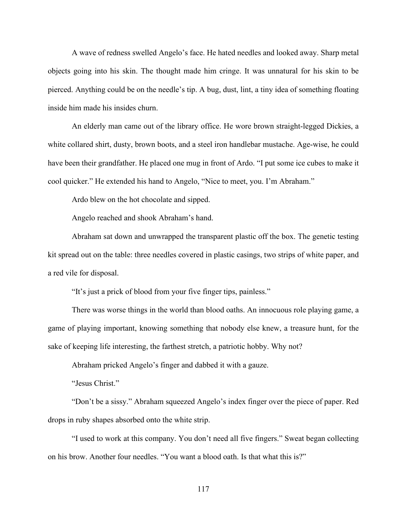A wave of redness swelled Angelo's face. He hated needles and looked away. Sharp metal objects going into his skin. The thought made him cringe. It was unnatural for his skin to be pierced. Anything could be on the needle's tip. A bug, dust, lint, a tiny idea of something floating inside him made his insides churn.

An elderly man came out of the library office. He wore brown straight-legged Dickies, a white collared shirt, dusty, brown boots, and a steel iron handlebar mustache. Age-wise, he could have been their grandfather. He placed one mug in front of Ardo. "I put some ice cubes to make it cool quicker." He extended his hand to Angelo, "Nice to meet, you. I'm Abraham."

Ardo blew on the hot chocolate and sipped.

Angelo reached and shook Abraham's hand.

Abraham sat down and unwrapped the transparent plastic off the box. The genetic testing kit spread out on the table: three needles covered in plastic casings, two strips of white paper, and a red vile for disposal.

"It's just a prick of blood from your five finger tips, painless."

There was worse things in the world than blood oaths. An innocuous role playing game, a game of playing important, knowing something that nobody else knew, a treasure hunt, for the sake of keeping life interesting, the farthest stretch, a patriotic hobby. Why not?

Abraham pricked Angelo's finger and dabbed it with a gauze.

"Jesus Christ."

"Don't be a sissy." Abraham squeezed Angelo's index finger over the piece of paper. Red drops in ruby shapes absorbed onto the white strip.

"I used to work at this company. You don't need all five fingers." Sweat began collecting on his brow. Another four needles. "You want a blood oath. Is that what this is?"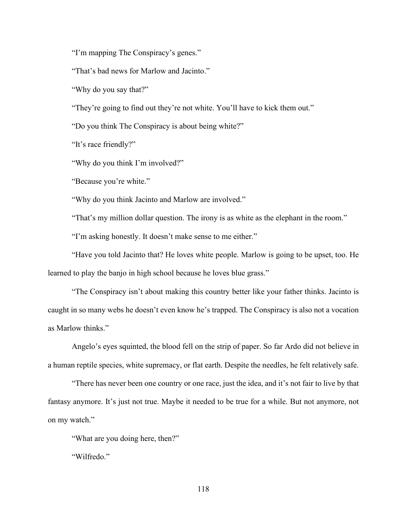"I'm mapping The Conspiracy's genes."

"That's bad news for Marlow and Jacinto."

"Why do you say that?"

"They're going to find out they're not white. You'll have to kick them out."

"Do you think The Conspiracy is about being white?"

"It's race friendly?"

"Why do you think I'm involved?"

"Because you're white."

"Why do you think Jacinto and Marlow are involved."

"That's my million dollar question. The irony is as white as the elephant in the room."

"I'm asking honestly. It doesn't make sense to me either."

"Have you told Jacinto that? He loves white people. Marlow is going to be upset, too. He learned to play the banjo in high school because he loves blue grass."

"The Conspiracy isn't about making this country better like your father thinks. Jacinto is caught in so many webs he doesn't even know he's trapped. The Conspiracy is also not a vocation as Marlow thinks."

Angelo's eyes squinted, the blood fell on the strip of paper. So far Ardo did not believe in a human reptile species, white supremacy, or flat earth. Despite the needles, he felt relatively safe.

"There has never been one country or one race, just the idea, and it's not fair to live by that fantasy anymore. It's just not true. Maybe it needed to be true for a while. But not anymore, not on my watch."

"What are you doing here, then?"

"Wilfredo."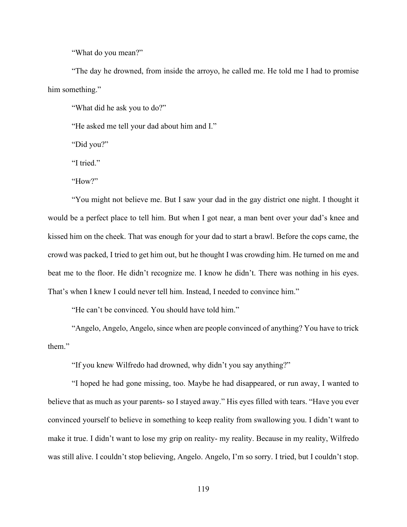"What do you mean?"

"The day he drowned, from inside the arroyo, he called me. He told me I had to promise him something."

"What did he ask you to do?"

"He asked me tell your dad about him and I."

"Did you?"

"I tried."

"How?"

"You might not believe me. But I saw your dad in the gay district one night. I thought it would be a perfect place to tell him. But when I got near, a man bent over your dad's knee and kissed him on the cheek. That was enough for your dad to start a brawl. Before the cops came, the crowd was packed, I tried to get him out, but he thought I was crowding him. He turned on me and beat me to the floor. He didn't recognize me. I know he didn't. There was nothing in his eyes. That's when I knew I could never tell him. Instead, I needed to convince him."

"He can't be convinced. You should have told him."

"Angelo, Angelo, Angelo, since when are people convinced of anything? You have to trick them."

"If you knew Wilfredo had drowned, why didn't you say anything?"

"I hoped he had gone missing, too. Maybe he had disappeared, or run away, I wanted to believe that as much as your parents- so I stayed away." His eyes filled with tears. "Have you ever convinced yourself to believe in something to keep reality from swallowing you. I didn't want to make it true. I didn't want to lose my grip on reality- my reality. Because in my reality, Wilfredo was still alive. I couldn't stop believing, Angelo. Angelo, I'm so sorry. I tried, but I couldn't stop.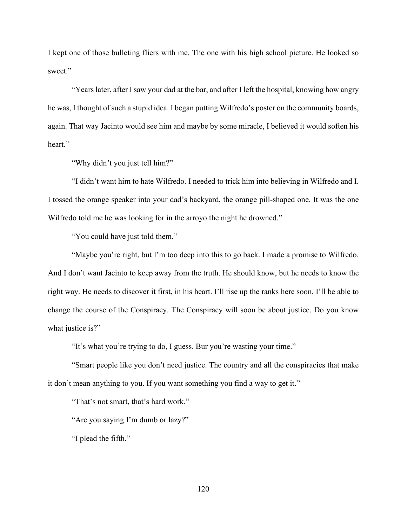I kept one of those bulleting fliers with me. The one with his high school picture. He looked so sweet."

"Years later, after I saw your dad at the bar, and after I left the hospital, knowing how angry he was, I thought of such a stupid idea. I began putting Wilfredo's poster on the community boards, again. That way Jacinto would see him and maybe by some miracle, I believed it would soften his heart."

"Why didn't you just tell him?"

"I didn't want him to hate Wilfredo. I needed to trick him into believing in Wilfredo and I. I tossed the orange speaker into your dad's backyard, the orange pill-shaped one. It was the one Wilfredo told me he was looking for in the arroyo the night he drowned."

"You could have just told them."

"Maybe you're right, but I'm too deep into this to go back. I made a promise to Wilfredo. And I don't want Jacinto to keep away from the truth. He should know, but he needs to know the right way. He needs to discover it first, in his heart. I'll rise up the ranks here soon. I'll be able to change the course of the Conspiracy. The Conspiracy will soon be about justice. Do you know what justice is?"

"It's what you're trying to do, I guess. Bur you're wasting your time."

"Smart people like you don't need justice. The country and all the conspiracies that make it don't mean anything to you. If you want something you find a way to get it."

"That's not smart, that's hard work."

"Are you saying I'm dumb or lazy?"

"I plead the fifth."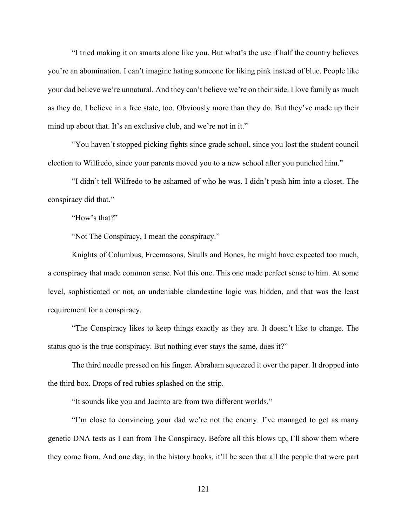"I tried making it on smarts alone like you. But what's the use if half the country believes you're an abomination. I can't imagine hating someone for liking pink instead of blue. People like your dad believe we're unnatural. And they can't believe we're on their side. I love family as much as they do. I believe in a free state, too. Obviously more than they do. But they've made up their mind up about that. It's an exclusive club, and we're not in it."

"You haven't stopped picking fights since grade school, since you lost the student council election to Wilfredo, since your parents moved you to a new school after you punched him."

"I didn't tell Wilfredo to be ashamed of who he was. I didn't push him into a closet. The conspiracy did that."

"How's that?"

"Not The Conspiracy, I mean the conspiracy."

Knights of Columbus, Freemasons, Skulls and Bones, he might have expected too much, a conspiracy that made common sense. Not this one. This one made perfect sense to him. At some level, sophisticated or not, an undeniable clandestine logic was hidden, and that was the least requirement for a conspiracy.

"The Conspiracy likes to keep things exactly as they are. It doesn't like to change. The status quo is the true conspiracy. But nothing ever stays the same, does it?"

The third needle pressed on his finger. Abraham squeezed it over the paper. It dropped into the third box. Drops of red rubies splashed on the strip.

"It sounds like you and Jacinto are from two different worlds."

"I'm close to convincing your dad we're not the enemy. I've managed to get as many genetic DNA tests as I can from The Conspiracy. Before all this blows up, I'll show them where they come from. And one day, in the history books, it'll be seen that all the people that were part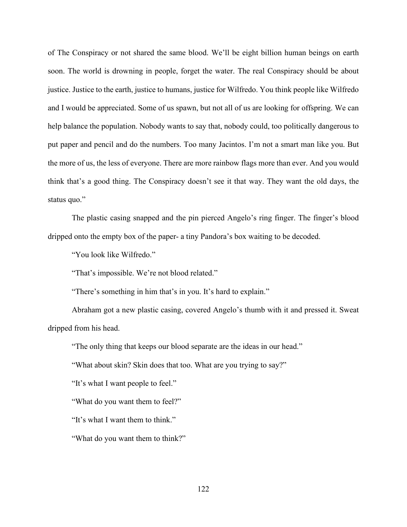of The Conspiracy or not shared the same blood. We'll be eight billion human beings on earth soon. The world is drowning in people, forget the water. The real Conspiracy should be about justice. Justice to the earth, justice to humans, justice for Wilfredo. You think people like Wilfredo and I would be appreciated. Some of us spawn, but not all of us are looking for offspring. We can help balance the population. Nobody wants to say that, nobody could, too politically dangerous to put paper and pencil and do the numbers. Too many Jacintos. I'm not a smart man like you. But the more of us, the less of everyone. There are more rainbow flags more than ever. And you would think that's a good thing. The Conspiracy doesn't see it that way. They want the old days, the status quo."

The plastic casing snapped and the pin pierced Angelo's ring finger. The finger's blood dripped onto the empty box of the paper- a tiny Pandora's box waiting to be decoded.

"You look like Wilfredo."

"That's impossible. We're not blood related."

"There's something in him that's in you. It's hard to explain."

Abraham got a new plastic casing, covered Angelo's thumb with it and pressed it. Sweat dripped from his head.

"The only thing that keeps our blood separate are the ideas in our head."

"What about skin? Skin does that too. What are you trying to say?"

"It's what I want people to feel."

"What do you want them to feel?"

"It's what I want them to think."

"What do you want them to think?"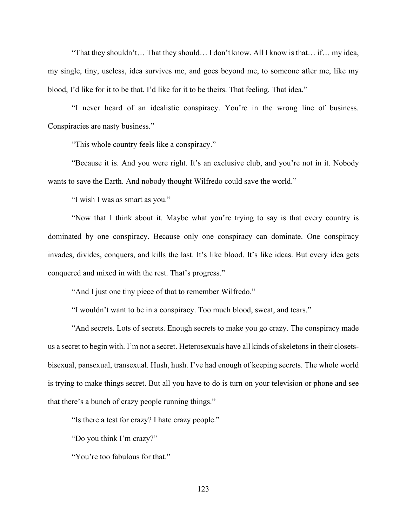"That they shouldn't… That they should… I don't know. All I know is that… if… my idea, my single, tiny, useless, idea survives me, and goes beyond me, to someone after me, like my blood, I'd like for it to be that. I'd like for it to be theirs. That feeling. That idea."

"I never heard of an idealistic conspiracy. You're in the wrong line of business. Conspiracies are nasty business."

"This whole country feels like a conspiracy."

"Because it is. And you were right. It's an exclusive club, and you're not in it. Nobody wants to save the Earth. And nobody thought Wilfredo could save the world."

"I wish I was as smart as you."

"Now that I think about it. Maybe what you're trying to say is that every country is dominated by one conspiracy. Because only one conspiracy can dominate. One conspiracy invades, divides, conquers, and kills the last. It's like blood. It's like ideas. But every idea gets conquered and mixed in with the rest. That's progress."

"And I just one tiny piece of that to remember Wilfredo."

"I wouldn't want to be in a conspiracy. Too much blood, sweat, and tears."

"And secrets. Lots of secrets. Enough secrets to make you go crazy. The conspiracy made us a secret to begin with. I'm not a secret. Heterosexuals have all kinds of skeletons in their closetsbisexual, pansexual, transexual. Hush, hush. I've had enough of keeping secrets. The whole world is trying to make things secret. But all you have to do is turn on your television or phone and see that there's a bunch of crazy people running things."

"Is there a test for crazy? I hate crazy people."

"Do you think I'm crazy?"

"You're too fabulous for that."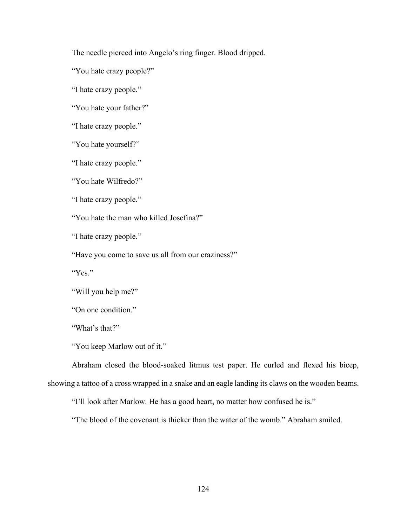The needle pierced into Angelo's ring finger. Blood dripped.

"You hate crazy people?"

"I hate crazy people."

"You hate your father?"

"I hate crazy people."

"You hate yourself?"

"I hate crazy people."

"You hate Wilfredo?"

"I hate crazy people."

"You hate the man who killed Josefina?"

"I hate crazy people."

"Have you come to save us all from our craziness?"

"Yes."

"Will you help me?"

"On one condition."

"What's that?"

"You keep Marlow out of it."

Abraham closed the blood-soaked litmus test paper. He curled and flexed his bicep,

showing a tattoo of a cross wrapped in a snake and an eagle landing its claws on the wooden beams.

"I'll look after Marlow. He has a good heart, no matter how confused he is."

"The blood of the covenant is thicker than the water of the womb." Abraham smiled.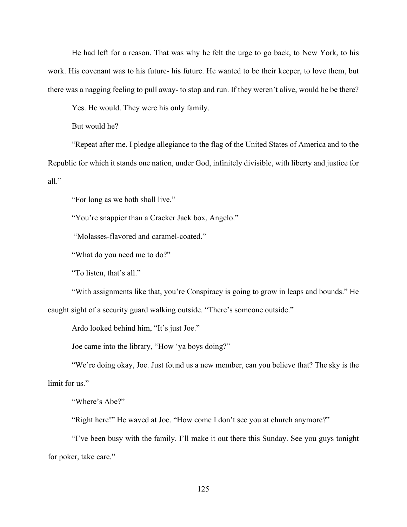He had left for a reason. That was why he felt the urge to go back, to New York, to his work. His covenant was to his future- his future. He wanted to be their keeper, to love them, but there was a nagging feeling to pull away- to stop and run. If they weren't alive, would he be there?

Yes. He would. They were his only family.

But would he?

"Repeat after me. I pledge allegiance to the flag of the United States of America and to the Republic for which it stands one nation, under God, infinitely divisible, with liberty and justice for all."

"For long as we both shall live."

"You're snappier than a Cracker Jack box, Angelo."

"Molasses-flavored and caramel-coated."

"What do you need me to do?"

"To listen, that's all."

"With assignments like that, you're Conspiracy is going to grow in leaps and bounds." He caught sight of a security guard walking outside. "There's someone outside."

Ardo looked behind him, "It's just Joe."

Joe came into the library, "How 'ya boys doing?"

"We're doing okay, Joe. Just found us a new member, can you believe that? The sky is the limit for us."

"Where's Abe?"

"Right here!" He waved at Joe. "How come I don't see you at church anymore?"

"I've been busy with the family. I'll make it out there this Sunday. See you guys tonight for poker, take care."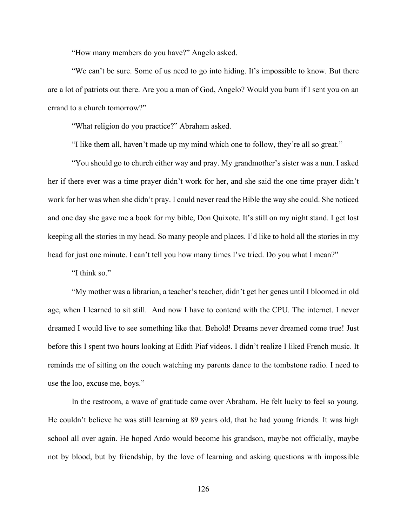"How many members do you have?" Angelo asked.

"We can't be sure. Some of us need to go into hiding. It's impossible to know. But there are a lot of patriots out there. Are you a man of God, Angelo? Would you burn if I sent you on an errand to a church tomorrow?"

"What religion do you practice?" Abraham asked.

"I like them all, haven't made up my mind which one to follow, they're all so great."

"You should go to church either way and pray. My grandmother's sister was a nun. I asked her if there ever was a time prayer didn't work for her, and she said the one time prayer didn't work for her was when she didn't pray. I could never read the Bible the way she could. She noticed and one day she gave me a book for my bible, Don Quixote. It's still on my night stand. I get lost keeping all the stories in my head. So many people and places. I'd like to hold all the stories in my head for just one minute. I can't tell you how many times I've tried. Do you what I mean?"

"I think so."

"My mother was a librarian, a teacher's teacher, didn't get her genes until I bloomed in old age, when I learned to sit still. And now I have to contend with the CPU. The internet. I never dreamed I would live to see something like that. Behold! Dreams never dreamed come true! Just before this I spent two hours looking at Edith Piaf videos. I didn't realize I liked French music. It reminds me of sitting on the couch watching my parents dance to the tombstone radio. I need to use the loo, excuse me, boys."

In the restroom, a wave of gratitude came over Abraham. He felt lucky to feel so young. He couldn't believe he was still learning at 89 years old, that he had young friends. It was high school all over again. He hoped Ardo would become his grandson, maybe not officially, maybe not by blood, but by friendship, by the love of learning and asking questions with impossible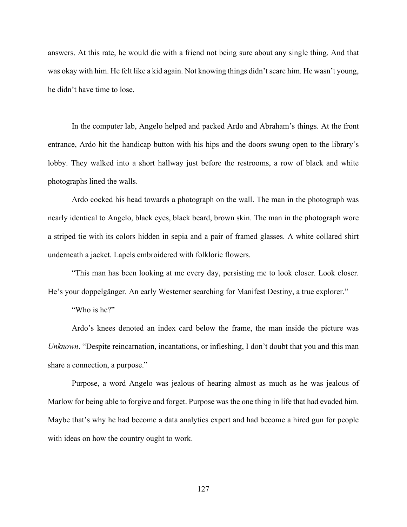answers. At this rate, he would die with a friend not being sure about any single thing. And that was okay with him. He felt like a kid again. Not knowing things didn't scare him. He wasn't young, he didn't have time to lose.

In the computer lab, Angelo helped and packed Ardo and Abraham's things. At the front entrance, Ardo hit the handicap button with his hips and the doors swung open to the library's lobby. They walked into a short hallway just before the restrooms, a row of black and white photographs lined the walls.

Ardo cocked his head towards a photograph on the wall. The man in the photograph was nearly identical to Angelo, black eyes, black beard, brown skin. The man in the photograph wore a striped tie with its colors hidden in sepia and a pair of framed glasses. A white collared shirt underneath a jacket. Lapels embroidered with folkloric flowers.

"This man has been looking at me every day, persisting me to look closer. Look closer. He's your doppelgänger. An early Westerner searching for Manifest Destiny, a true explorer."

"Who is he?"

Ardo's knees denoted an index card below the frame, the man inside the picture was *Unknown*. "Despite reincarnation, incantations, or infleshing, I don't doubt that you and this man share a connection, a purpose."

Purpose, a word Angelo was jealous of hearing almost as much as he was jealous of Marlow for being able to forgive and forget. Purpose was the one thing in life that had evaded him. Maybe that's why he had become a data analytics expert and had become a hired gun for people with ideas on how the country ought to work.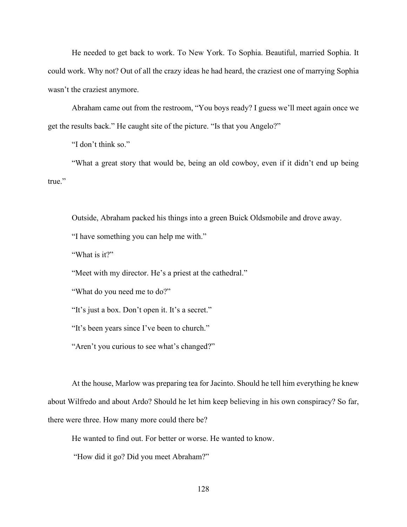He needed to get back to work. To New York. To Sophia. Beautiful, married Sophia. It could work. Why not? Out of all the crazy ideas he had heard, the craziest one of marrying Sophia wasn't the craziest anymore.

Abraham came out from the restroom, "You boys ready? I guess we'll meet again once we get the results back." He caught site of the picture. "Is that you Angelo?"

"I don't think so."

"What a great story that would be, being an old cowboy, even if it didn't end up being true."

Outside, Abraham packed his things into a green Buick Oldsmobile and drove away.

"I have something you can help me with."

"What is it?"

"Meet with my director. He's a priest at the cathedral."

"What do you need me to do?"

"It's just a box. Don't open it. It's a secret."

"It's been years since I've been to church."

"Aren't you curious to see what's changed?"

At the house, Marlow was preparing tea for Jacinto. Should he tell him everything he knew about Wilfredo and about Ardo? Should he let him keep believing in his own conspiracy? So far, there were three. How many more could there be?

He wanted to find out. For better or worse. He wanted to know.

"How did it go? Did you meet Abraham?"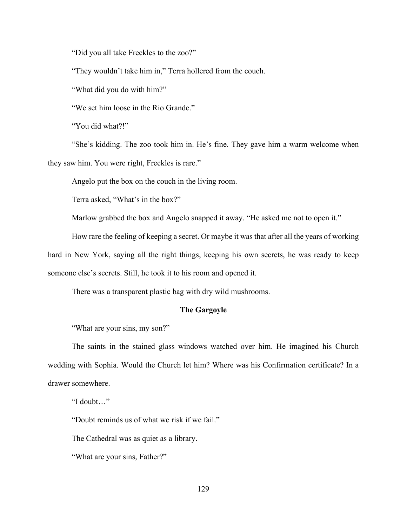"Did you all take Freckles to the zoo?"

"They wouldn't take him in," Terra hollered from the couch.

"What did you do with him?"

"We set him loose in the Rio Grande."

"You did what?!"

"She's kidding. The zoo took him in. He's fine. They gave him a warm welcome when they saw him. You were right, Freckles is rare."

Angelo put the box on the couch in the living room.

Terra asked, "What's in the box?"

Marlow grabbed the box and Angelo snapped it away. "He asked me not to open it."

How rare the feeling of keeping a secret. Or maybe it was that after all the years of working

hard in New York, saying all the right things, keeping his own secrets, he was ready to keep someone else's secrets. Still, he took it to his room and opened it.

There was a transparent plastic bag with dry wild mushrooms.

# **The Gargoyle**

"What are your sins, my son?"

The saints in the stained glass windows watched over him. He imagined his Church wedding with Sophia. Would the Church let him? Where was his Confirmation certificate? In a drawer somewhere.

"I doubt…"

"Doubt reminds us of what we risk if we fail."

The Cathedral was as quiet as a library.

"What are your sins, Father?"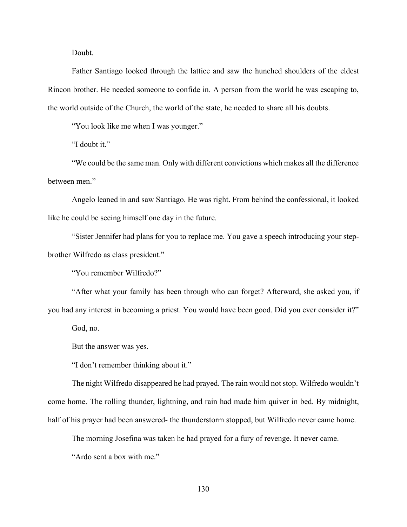Doubt.

Father Santiago looked through the lattice and saw the hunched shoulders of the eldest Rincon brother. He needed someone to confide in. A person from the world he was escaping to, the world outside of the Church, the world of the state, he needed to share all his doubts.

"You look like me when I was younger."

"I doubt it."

"We could be the same man. Only with different convictions which makes all the difference between men."

Angelo leaned in and saw Santiago. He was right. From behind the confessional, it looked like he could be seeing himself one day in the future.

"Sister Jennifer had plans for you to replace me. You gave a speech introducing your stepbrother Wilfredo as class president."

"You remember Wilfredo?"

"After what your family has been through who can forget? Afterward, she asked you, if you had any interest in becoming a priest. You would have been good. Did you ever consider it?"

God, no.

But the answer was yes.

"I don't remember thinking about it."

The night Wilfredo disappeared he had prayed. The rain would not stop. Wilfredo wouldn't come home. The rolling thunder, lightning, and rain had made him quiver in bed. By midnight, half of his prayer had been answered- the thunderstorm stopped, but Wilfredo never came home.

The morning Josefina was taken he had prayed for a fury of revenge. It never came.

"Ardo sent a box with me."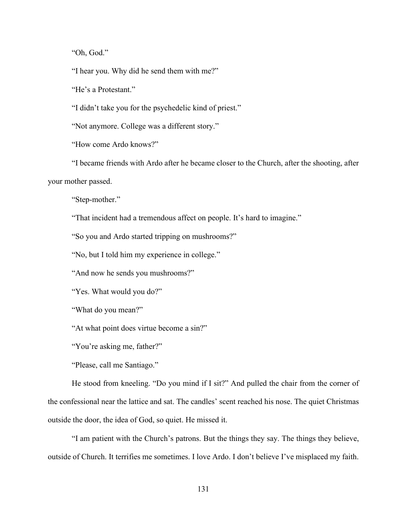"Oh, God."

"I hear you. Why did he send them with me?"

"He's a Protestant."

"I didn't take you for the psychedelic kind of priest."

"Not anymore. College was a different story."

"How come Ardo knows?"

"I became friends with Ardo after he became closer to the Church, after the shooting, after your mother passed.

"Step-mother."

"That incident had a tremendous affect on people. It's hard to imagine."

"So you and Ardo started tripping on mushrooms?"

"No, but I told him my experience in college."

"And now he sends you mushrooms?"

"Yes. What would you do?"

"What do you mean?"

"At what point does virtue become a sin?"

"You're asking me, father?"

"Please, call me Santiago."

He stood from kneeling. "Do you mind if I sit?" And pulled the chair from the corner of the confessional near the lattice and sat. The candles' scent reached his nose. The quiet Christmas outside the door, the idea of God, so quiet. He missed it.

"I am patient with the Church's patrons. But the things they say. The things they believe, outside of Church. It terrifies me sometimes. I love Ardo. I don't believe I've misplaced my faith.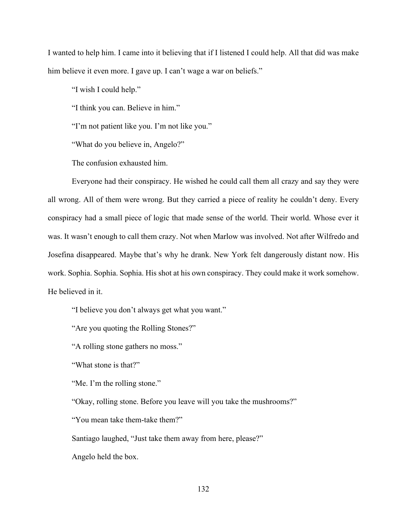I wanted to help him. I came into it believing that if I listened I could help. All that did was make him believe it even more. I gave up. I can't wage a war on beliefs."

"I wish I could help."

"I think you can. Believe in him."

"I'm not patient like you. I'm not like you."

"What do you believe in, Angelo?"

The confusion exhausted him.

Everyone had their conspiracy. He wished he could call them all crazy and say they were all wrong. All of them were wrong. But they carried a piece of reality he couldn't deny. Every conspiracy had a small piece of logic that made sense of the world. Their world. Whose ever it was. It wasn't enough to call them crazy. Not when Marlow was involved. Not after Wilfredo and Josefina disappeared. Maybe that's why he drank. New York felt dangerously distant now. His work. Sophia. Sophia. Sophia. His shot at his own conspiracy. They could make it work somehow. He believed in it.

"I believe you don't always get what you want."

"Are you quoting the Rolling Stones?"

"A rolling stone gathers no moss."

"What stone is that?"

"Me. I'm the rolling stone."

"Okay, rolling stone. Before you leave will you take the mushrooms?"

"You mean take them-take them?"

Santiago laughed, "Just take them away from here, please?"

Angelo held the box.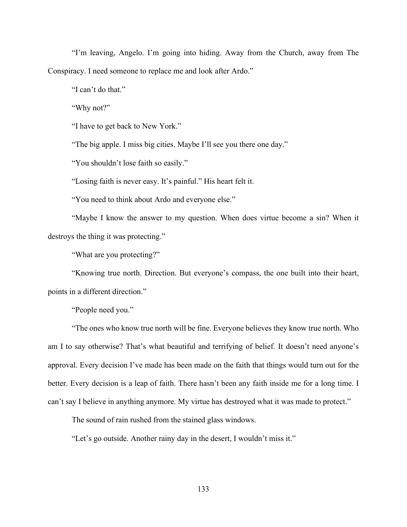"I'm leaving, Angelo. I'm going into hiding. Away from the Church, away from The Conspiracy. I need someone to replace me and look after Ardo."

"I can't do that."

"Why not?"

"I have to get back to New York."

"The big apple. I miss big cities. Maybe I'll see you there one day."

"You shouldn't lose faith so easily."

"Losing faith is never easy. It's painful." His heart felt it.

"You need to think about Ardo and everyone else."

"Maybe I know the answer to my question. When does virtue become a sin? When it destroys the thing it was protecting."

"What are you protecting?"

"Knowing true north. Direction. But everyone's compass, the one built into their heart, points in a different direction."

"People need you."

"The ones who know true north will be fine. Everyone believes they know true north. Who am I to say otherwise? That's what beautiful and terrifying of belief. It doesn't need anyone's approval. Every decision I've made has been made on the faith that things would turn out for the better. Every decision is a leap of faith. There hasn't been any faith inside me for a long time. I can't say I believe in anything anymore. My virtue has destroyed what it was made to protect."

The sound of rain rushed from the stained glass windows.

"Let's go outside. Another rainy day in the desert, I wouldn't miss it."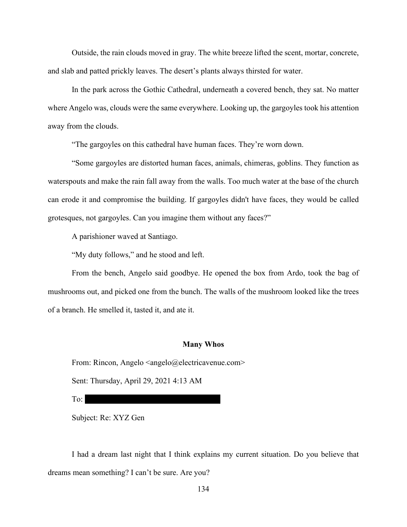Outside, the rain clouds moved in gray. The white breeze lifted the scent, mortar, concrete, and slab and patted prickly leaves. The desert's plants always thirsted for water.

In the park across the Gothic Cathedral, underneath a covered bench, they sat. No matter where Angelo was, clouds were the same everywhere. Looking up, the gargoyles took his attention away from the clouds.

"The gargoyles on this cathedral have human faces. They're worn down.

"Some gargoyles are distorted human faces, animals, chimeras, goblins. They function as waterspouts and make the rain fall away from the walls. Too much water at the base of the church can erode it and compromise the building. If gargoyles didn't have faces, they would be called grotesques, not gargoyles. Can you imagine them without any faces?"

A parishioner waved at Santiago.

"My duty follows," and he stood and left.

From the bench, Angelo said goodbye. He opened the box from Ardo, took the bag of mushrooms out, and picked one from the bunch. The walls of the mushroom looked like the trees of a branch. He smelled it, tasted it, and ate it.

#### **Many Whos**

From: Rincon, Angelo <angelo@electricavenue.com>

Sent: Thursday, April 29, 2021 4:13 AM

To:  $\Box$ 

Subject: Re: XYZ Gen

I had a dream last night that I think explains my current situation. Do you believe that dreams mean something? I can't be sure. Are you?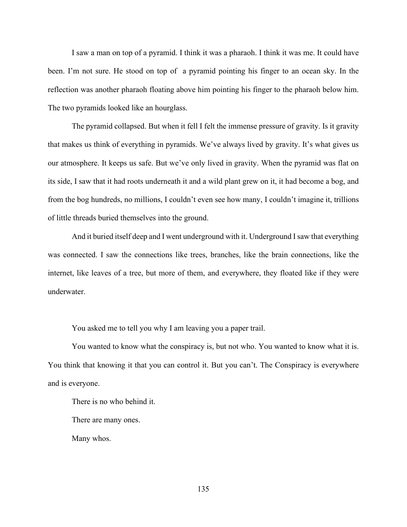I saw a man on top of a pyramid. I think it was a pharaoh. I think it was me. It could have been. I'm not sure. He stood on top of a pyramid pointing his finger to an ocean sky. In the reflection was another pharaoh floating above him pointing his finger to the pharaoh below him. The two pyramids looked like an hourglass.

The pyramid collapsed. But when it fell I felt the immense pressure of gravity. Is it gravity that makes us think of everything in pyramids. We've always lived by gravity. It's what gives us our atmosphere. It keeps us safe. But we've only lived in gravity. When the pyramid was flat on its side, I saw that it had roots underneath it and a wild plant grew on it, it had become a bog, and from the bog hundreds, no millions, I couldn't even see how many, I couldn't imagine it, trillions of little threads buried themselves into the ground.

And it buried itself deep and I went underground with it. Underground I saw that everything was connected. I saw the connections like trees, branches, like the brain connections, like the internet, like leaves of a tree, but more of them, and everywhere, they floated like if they were underwater.

You asked me to tell you why I am leaving you a paper trail.

You wanted to know what the conspiracy is, but not who. You wanted to know what it is. You think that knowing it that you can control it. But you can't. The Conspiracy is everywhere and is everyone.

There is no who behind it.

There are many ones.

Many whos.

135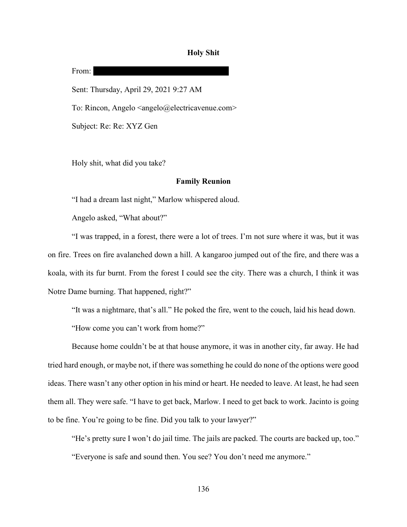#### **Holy Shit**

From: Sent: Thursday, April 29, 2021 9:27 AM To: Rincon, Angelo <angelo@electricavenue.com> Subject: Re: Re: XYZ Gen

Holy shit, what did you take?

## **Family Reunion**

"I had a dream last night," Marlow whispered aloud.

Angelo asked, "What about?"

"I was trapped, in a forest, there were a lot of trees. I'm not sure where it was, but it was on fire. Trees on fire avalanched down a hill. A kangaroo jumped out of the fire, and there was a koala, with its fur burnt. From the forest I could see the city. There was a church, I think it was Notre Dame burning. That happened, right?"

"It was a nightmare, that's all." He poked the fire, went to the couch, laid his head down.

"How come you can't work from home?"

Because home couldn't be at that house anymore, it was in another city, far away. He had tried hard enough, or maybe not, if there was something he could do none of the options were good ideas. There wasn't any other option in his mind or heart. He needed to leave. At least, he had seen them all. They were safe. "I have to get back, Marlow. I need to get back to work. Jacinto is going to be fine. You're going to be fine. Did you talk to your lawyer?"

"He's pretty sure I won't do jail time. The jails are packed. The courts are backed up, too." "Everyone is safe and sound then. You see? You don't need me anymore."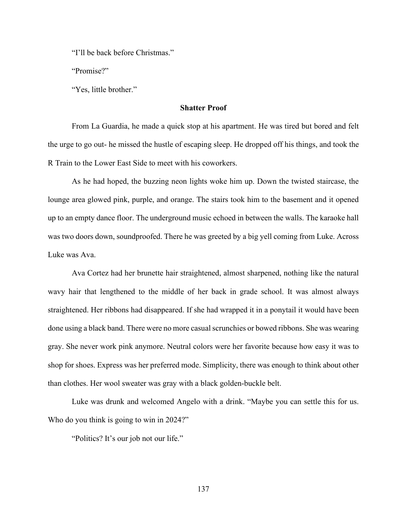"I'll be back before Christmas."

"Promise?"

"Yes, little brother."

## **Shatter Proof**

From La Guardia, he made a quick stop at his apartment. He was tired but bored and felt the urge to go out- he missed the hustle of escaping sleep. He dropped off his things, and took the R Train to the Lower East Side to meet with his coworkers.

As he had hoped, the buzzing neon lights woke him up. Down the twisted staircase, the lounge area glowed pink, purple, and orange. The stairs took him to the basement and it opened up to an empty dance floor. The underground music echoed in between the walls. The karaoke hall was two doors down, soundproofed. There he was greeted by a big yell coming from Luke. Across Luke was Ava.

Ava Cortez had her brunette hair straightened, almost sharpened, nothing like the natural wavy hair that lengthened to the middle of her back in grade school. It was almost always straightened. Her ribbons had disappeared. If she had wrapped it in a ponytail it would have been done using a black band. There were no more casual scrunchies or bowed ribbons. She was wearing gray. She never work pink anymore. Neutral colors were her favorite because how easy it was to shop for shoes. Express was her preferred mode. Simplicity, there was enough to think about other than clothes. Her wool sweater was gray with a black golden-buckle belt.

Luke was drunk and welcomed Angelo with a drink. "Maybe you can settle this for us. Who do you think is going to win in 2024?"

"Politics? It's our job not our life."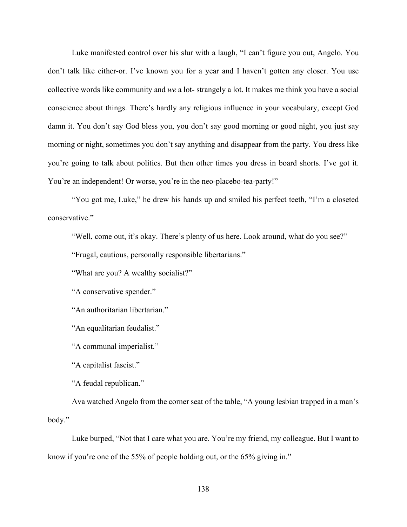Luke manifested control over his slur with a laugh, "I can't figure you out, Angelo. You don't talk like either-or. I've known you for a year and I haven't gotten any closer. You use collective words like community and *we* a lot- strangely a lot. It makes me think you have a social conscience about things. There's hardly any religious influence in your vocabulary, except God damn it. You don't say God bless you, you don't say good morning or good night, you just say morning or night, sometimes you don't say anything and disappear from the party. You dress like you're going to talk about politics. But then other times you dress in board shorts. I've got it. You're an independent! Or worse, you're in the neo-placebo-tea-party!"

"You got me, Luke," he drew his hands up and smiled his perfect teeth, "I'm a closeted conservative."

"Well, come out, it's okay. There's plenty of us here. Look around, what do you see?"

"Frugal, cautious, personally responsible libertarians."

"What are you? A wealthy socialist?"

"A conservative spender."

"An authoritarian libertarian."

"An equalitarian feudalist."

"A communal imperialist."

"A capitalist fascist."

"A feudal republican."

Ava watched Angelo from the corner seat of the table, "A young lesbian trapped in a man's body."

Luke burped, "Not that I care what you are. You're my friend, my colleague. But I want to know if you're one of the 55% of people holding out, or the 65% giving in."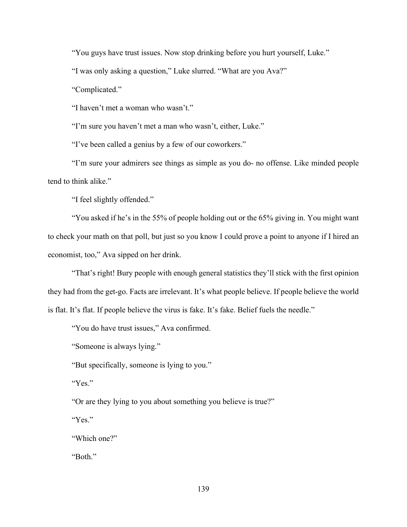"You guys have trust issues. Now stop drinking before you hurt yourself, Luke."

"I was only asking a question," Luke slurred. "What are you Ava?"

"Complicated."

"I haven't met a woman who wasn't."

"I'm sure you haven't met a man who wasn't, either, Luke."

"I've been called a genius by a few of our coworkers."

"I'm sure your admirers see things as simple as you do- no offense. Like minded people tend to think alike."

"I feel slightly offended."

"You asked if he's in the 55% of people holding out or the 65% giving in. You might want to check your math on that poll, but just so you know I could prove a point to anyone if I hired an economist, too," Ava sipped on her drink.

"That's right! Bury people with enough general statistics they'll stick with the first opinion they had from the get-go. Facts are irrelevant. It's what people believe. If people believe the world is flat. It's flat. If people believe the virus is fake. It's fake. Belief fuels the needle."

"You do have trust issues," Ava confirmed.

"Someone is always lying."

"But specifically, someone is lying to you."

"Yes."

"Or are they lying to you about something you believe is true?"

"Yes."

"Which one?"

"Both."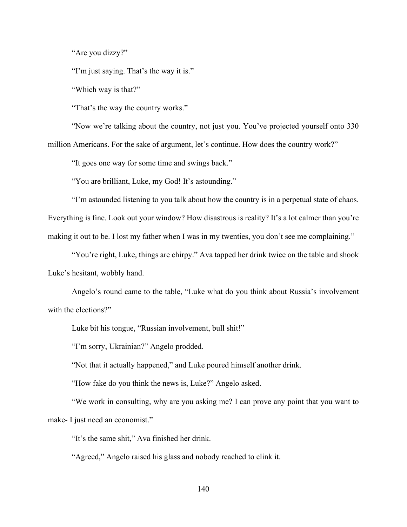"Are you dizzy?"

"I'm just saying. That's the way it is."

"Which way is that?"

"That's the way the country works."

"Now we're talking about the country, not just you. You've projected yourself onto 330 million Americans. For the sake of argument, let's continue. How does the country work?"

"It goes one way for some time and swings back."

"You are brilliant, Luke, my God! It's astounding."

"I'm astounded listening to you talk about how the country is in a perpetual state of chaos. Everything is fine. Look out your window? How disastrous is reality? It's a lot calmer than you're making it out to be. I lost my father when I was in my twenties, you don't see me complaining."

"You're right, Luke, things are chirpy." Ava tapped her drink twice on the table and shook Luke's hesitant, wobbly hand.

Angelo's round came to the table, "Luke what do you think about Russia's involvement with the elections?"

Luke bit his tongue, "Russian involvement, bull shit!"

"I'm sorry, Ukrainian?" Angelo prodded.

"Not that it actually happened," and Luke poured himself another drink.

"How fake do you think the news is, Luke?" Angelo asked.

"We work in consulting, why are you asking me? I can prove any point that you want to make- I just need an economist."

"It's the same shit," Ava finished her drink.

"Agreed," Angelo raised his glass and nobody reached to clink it.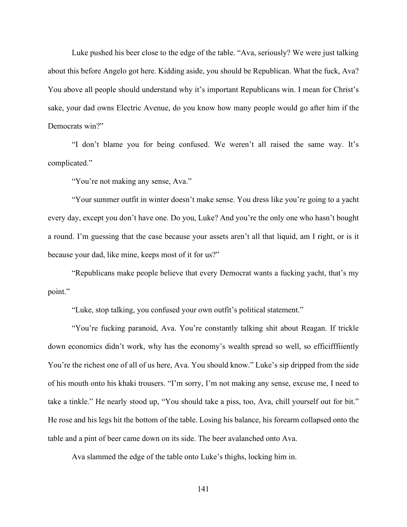Luke pushed his beer close to the edge of the table. "Ava, seriously? We were just talking about this before Angelo got here. Kidding aside, you should be Republican. What the fuck, Ava? You above all people should understand why it's important Republicans win. I mean for Christ's sake, your dad owns Electric Avenue, do you know how many people would go after him if the Democrats win?"

"I don't blame you for being confused. We weren't all raised the same way. It's complicated."

"You're not making any sense, Ava."

"Your summer outfit in winter doesn't make sense. You dress like you're going to a yacht every day, except you don't have one. Do you, Luke? And you're the only one who hasn't bought a round. I'm guessing that the case because your assets aren't all that liquid, am I right, or is it because your dad, like mine, keeps most of it for us?"

"Republicans make people believe that every Democrat wants a fucking yacht, that's my point."

"Luke, stop talking, you confused your own outfit's political statement."

"You're fucking paranoid, Ava. You're constantly talking shit about Reagan. If trickle down economics didn't work, why has the economy's wealth spread so well, so efficifffiiently You're the richest one of all of us here, Ava. You should know." Luke's sip dripped from the side of his mouth onto his khaki trousers. "I'm sorry, I'm not making any sense, excuse me, I need to take a tinkle." He nearly stood up, "You should take a piss, too, Ava, chill yourself out for bit." He rose and his legs hit the bottom of the table. Losing his balance, his forearm collapsed onto the table and a pint of beer came down on its side. The beer avalanched onto Ava.

Ava slammed the edge of the table onto Luke's thighs, locking him in.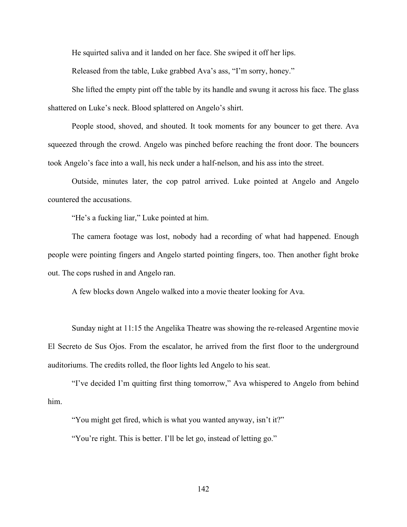He squirted saliva and it landed on her face. She swiped it off her lips.

Released from the table, Luke grabbed Ava's ass, "I'm sorry, honey."

She lifted the empty pint off the table by its handle and swung it across his face. The glass shattered on Luke's neck. Blood splattered on Angelo's shirt.

People stood, shoved, and shouted. It took moments for any bouncer to get there. Ava squeezed through the crowd. Angelo was pinched before reaching the front door. The bouncers took Angelo's face into a wall, his neck under a half-nelson, and his ass into the street.

Outside, minutes later, the cop patrol arrived. Luke pointed at Angelo and Angelo countered the accusations.

"He's a fucking liar," Luke pointed at him.

The camera footage was lost, nobody had a recording of what had happened. Enough people were pointing fingers and Angelo started pointing fingers, too. Then another fight broke out. The cops rushed in and Angelo ran.

A few blocks down Angelo walked into a movie theater looking for Ava.

Sunday night at 11:15 the Angelika Theatre was showing the re-released Argentine movie El Secreto de Sus Ojos. From the escalator, he arrived from the first floor to the underground auditoriums. The credits rolled, the floor lights led Angelo to his seat.

"I've decided I'm quitting first thing tomorrow," Ava whispered to Angelo from behind him.

"You might get fired, which is what you wanted anyway, isn't it?"

"You're right. This is better. I'll be let go, instead of letting go."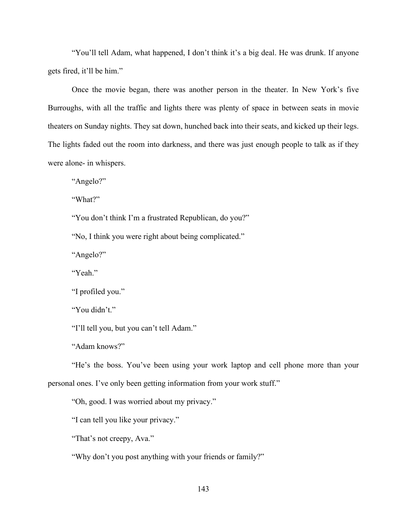"You'll tell Adam, what happened, I don't think it's a big deal. He was drunk. If anyone gets fired, it'll be him."

Once the movie began, there was another person in the theater. In New York's five Burroughs, with all the traffic and lights there was plenty of space in between seats in movie theaters on Sunday nights. They sat down, hunched back into their seats, and kicked up their legs. The lights faded out the room into darkness, and there was just enough people to talk as if they were alone- in whispers.

"Angelo?"

"What?"

"You don't think I'm a frustrated Republican, do you?"

"No, I think you were right about being complicated."

"Angelo?"

"Yeah."

"I profiled you."

"You didn't."

"I'll tell you, but you can't tell Adam."

"Adam knows?"

"He's the boss. You've been using your work laptop and cell phone more than your personal ones. I've only been getting information from your work stuff."

"Oh, good. I was worried about my privacy."

"I can tell you like your privacy."

"That's not creepy, Ava."

"Why don't you post anything with your friends or family?"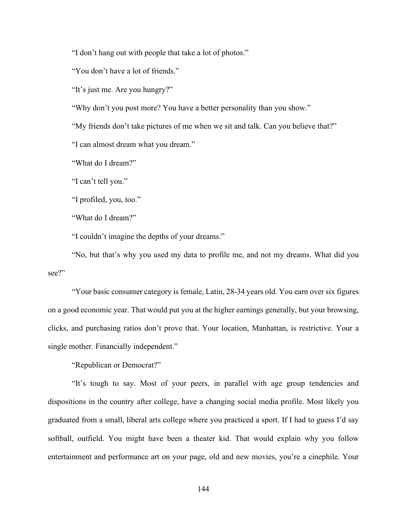"I don't hang out with people that take a lot of photos."

"You don't have a lot of friends."

"It's just me. Are you hungry?"

"Why don't you post more? You have a better personality than you show."

"My friends don't take pictures of me when we sit and talk. Can you believe that?"

"I can almost dream what you dream."

"What do I dream?"

"I can't tell you."

"I profiled, you, too."

"What do I dream?"

"I couldn't imagine the depths of your dreams."

"No, but that's why you used my data to profile me, and not my dreams. What did you see?"

"Your basic consumer category is female, Latin, 28-34 years old. You earn over six figures on a good economic year. That would put you at the higher earnings generally, but your browsing, clicks, and purchasing ratios don't prove that. Your location, Manhattan, is restrictive. Your a single mother. Financially independent."

"Republican or Democrat?"

"It's tough to say. Most of your peers, in parallel with age group tendencies and dispositions in the country after college, have a changing social media profile. Most likely you graduated from a small, liberal arts college where you practiced a sport. If I had to guess I'd say softball, outfield. You might have been a theater kid. That would explain why you follow entertainment and performance art on your page, old and new movies, you're a cinephile. Your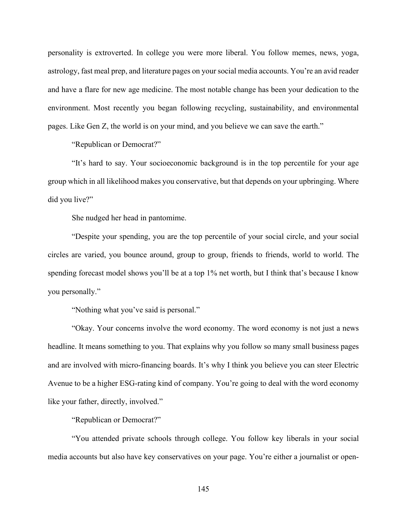personality is extroverted. In college you were more liberal. You follow memes, news, yoga, astrology, fast meal prep, and literature pages on your social media accounts. You're an avid reader and have a flare for new age medicine. The most notable change has been your dedication to the environment. Most recently you began following recycling, sustainability, and environmental pages. Like Gen Z, the world is on your mind, and you believe we can save the earth."

"Republican or Democrat?"

"It's hard to say. Your socioeconomic background is in the top percentile for your age group which in all likelihood makes you conservative, but that depends on your upbringing. Where did you live?"

She nudged her head in pantomime.

"Despite your spending, you are the top percentile of your social circle, and your social circles are varied, you bounce around, group to group, friends to friends, world to world. The spending forecast model shows you'll be at a top 1% net worth, but I think that's because I know you personally."

"Nothing what you've said is personal."

"Okay. Your concerns involve the word economy. The word economy is not just a news headline. It means something to you. That explains why you follow so many small business pages and are involved with micro-financing boards. It's why I think you believe you can steer Electric Avenue to be a higher ESG-rating kind of company. You're going to deal with the word economy like your father, directly, involved."

"Republican or Democrat?"

"You attended private schools through college. You follow key liberals in your social media accounts but also have key conservatives on your page. You're either a journalist or open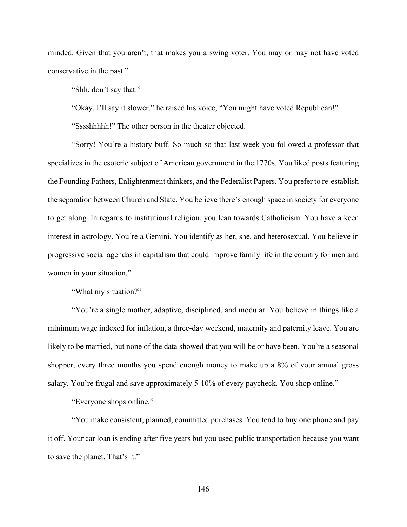minded. Given that you aren't, that makes you a swing voter. You may or may not have voted conservative in the past."

"Shh, don't say that."

"Okay, I'll say it slower," he raised his voice, "You might have voted Republican!"

"Sssshhhhh!" The other person in the theater objected.

"Sorry! You're a history buff. So much so that last week you followed a professor that specializes in the esoteric subject of American government in the 1770s. You liked posts featuring the Founding Fathers, Enlightenment thinkers, and the Federalist Papers. You prefer to re-establish the separation between Church and State. You believe there's enough space in society for everyone to get along. In regards to institutional religion, you lean towards Catholicism. You have a keen interest in astrology. You're a Gemini. You identify as her, she, and heterosexual. You believe in progressive social agendas in capitalism that could improve family life in the country for men and women in your situation."

"What my situation?"

"You're a single mother, adaptive, disciplined, and modular. You believe in things like a minimum wage indexed for inflation, a three-day weekend, maternity and paternity leave. You are likely to be married, but none of the data showed that you will be or have been. You're a seasonal shopper, every three months you spend enough money to make up a 8% of your annual gross salary. You're frugal and save approximately 5-10% of every paycheck. You shop online."

"Everyone shops online."

"You make consistent, planned, committed purchases. You tend to buy one phone and pay it off. Your car loan is ending after five years but you used public transportation because you want to save the planet. That's it."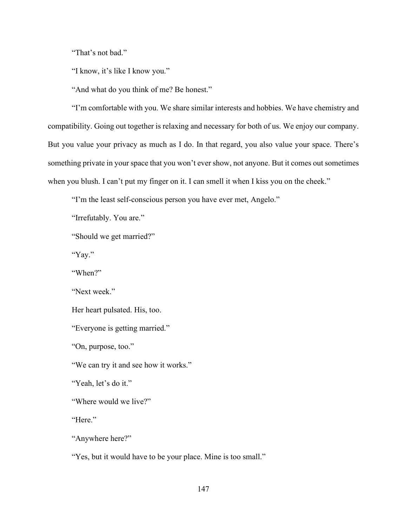"That's not bad."

"I know, it's like I know you."

"And what do you think of me? Be honest."

"I'm comfortable with you. We share similar interests and hobbies. We have chemistry and compatibility. Going out together is relaxing and necessary for both of us. We enjoy our company. But you value your privacy as much as I do. In that regard, you also value your space. There's something private in your space that you won't ever show, not anyone. But it comes out sometimes when you blush. I can't put my finger on it. I can smell it when I kiss you on the cheek."

"I'm the least self-conscious person you have ever met, Angelo."

"Irrefutably. You are."

"Should we get married?"

"Yay."

"When?"

"Next week."

Her heart pulsated. His, too.

"Everyone is getting married."

"On, purpose, too."

"We can try it and see how it works."

"Yeah, let's do it."

"Where would we live?"

"Here."

"Anywhere here?"

"Yes, but it would have to be your place. Mine is too small."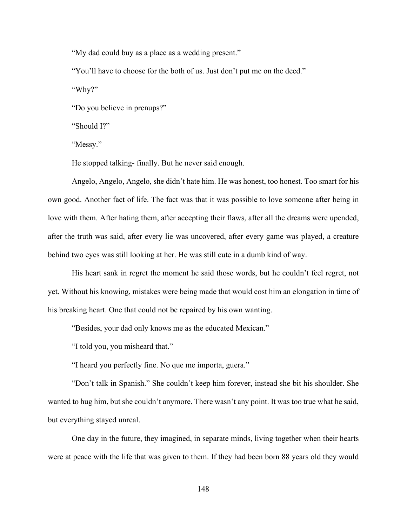"My dad could buy as a place as a wedding present."

"You'll have to choose for the both of us. Just don't put me on the deed."

"Why?"

"Do you believe in prenups?"

"Should I?"

"Messy."

He stopped talking- finally. But he never said enough.

Angelo, Angelo, Angelo, she didn't hate him. He was honest, too honest. Too smart for his own good. Another fact of life. The fact was that it was possible to love someone after being in love with them. After hating them, after accepting their flaws, after all the dreams were upended, after the truth was said, after every lie was uncovered, after every game was played, a creature behind two eyes was still looking at her. He was still cute in a dumb kind of way.

His heart sank in regret the moment he said those words, but he couldn't feel regret, not yet. Without his knowing, mistakes were being made that would cost him an elongation in time of his breaking heart. One that could not be repaired by his own wanting.

"Besides, your dad only knows me as the educated Mexican."

"I told you, you misheard that."

"I heard you perfectly fine. No que me importa, guera."

"Don't talk in Spanish." She couldn't keep him forever, instead she bit his shoulder. She wanted to hug him, but she couldn't anymore. There wasn't any point. It was too true what he said, but everything stayed unreal.

One day in the future, they imagined, in separate minds, living together when their hearts were at peace with the life that was given to them. If they had been born 88 years old they would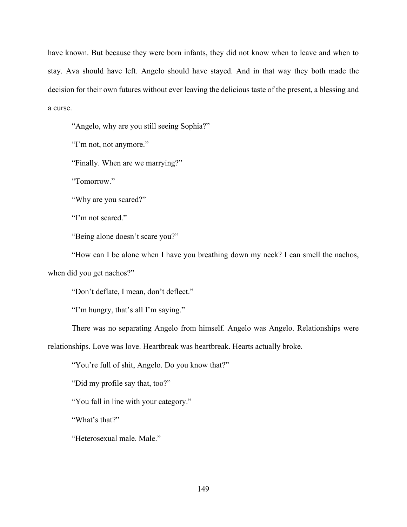have known. But because they were born infants, they did not know when to leave and when to stay. Ava should have left. Angelo should have stayed. And in that way they both made the decision for their own futures without ever leaving the delicious taste of the present, a blessing and a curse.

"Angelo, why are you still seeing Sophia?"

"I'm not, not anymore."

"Finally. When are we marrying?"

"Tomorrow."

"Why are you scared?"

"I'm not scared."

"Being alone doesn't scare you?"

"How can I be alone when I have you breathing down my neck? I can smell the nachos, when did you get nachos?"

"Don't deflate, I mean, don't deflect."

"I'm hungry, that's all I'm saying."

There was no separating Angelo from himself. Angelo was Angelo. Relationships were relationships. Love was love. Heartbreak was heartbreak. Hearts actually broke.

"You're full of shit, Angelo. Do you know that?"

"Did my profile say that, too?"

"You fall in line with your category."

"What's that?"

"Heterosexual male. Male."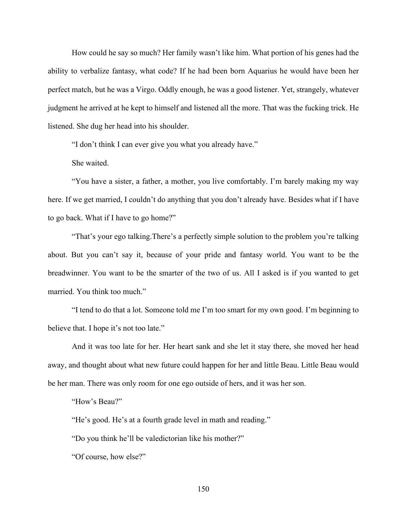How could he say so much? Her family wasn't like him. What portion of his genes had the ability to verbalize fantasy, what code? If he had been born Aquarius he would have been her perfect match, but he was a Virgo. Oddly enough, he was a good listener. Yet, strangely, whatever judgment he arrived at he kept to himself and listened all the more. That was the fucking trick. He listened. She dug her head into his shoulder.

"I don't think I can ever give you what you already have."

She waited.

"You have a sister, a father, a mother, you live comfortably. I'm barely making my way here. If we get married, I couldn't do anything that you don't already have. Besides what if I have to go back. What if I have to go home?"

"That's your ego talking.There's a perfectly simple solution to the problem you're talking about. But you can't say it, because of your pride and fantasy world. You want to be the breadwinner. You want to be the smarter of the two of us. All I asked is if you wanted to get married. You think too much."

"I tend to do that a lot. Someone told me I'm too smart for my own good. I'm beginning to believe that. I hope it's not too late."

And it was too late for her. Her heart sank and she let it stay there, she moved her head away, and thought about what new future could happen for her and little Beau. Little Beau would be her man. There was only room for one ego outside of hers, and it was her son.

"How's Beau?"

"He's good. He's at a fourth grade level in math and reading."

"Do you think he'll be valedictorian like his mother?"

"Of course, how else?"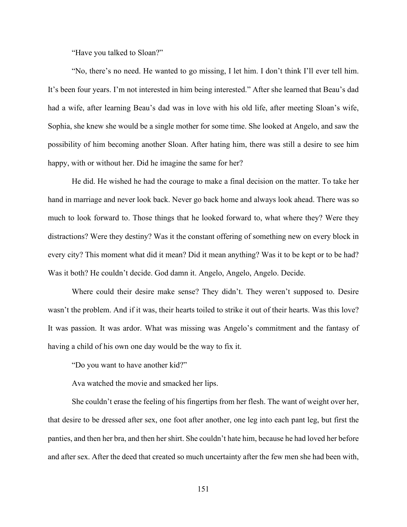"Have you talked to Sloan?"

"No, there's no need. He wanted to go missing, I let him. I don't think I'll ever tell him. It's been four years. I'm not interested in him being interested." After she learned that Beau's dad had a wife, after learning Beau's dad was in love with his old life, after meeting Sloan's wife, Sophia, she knew she would be a single mother for some time. She looked at Angelo, and saw the possibility of him becoming another Sloan. After hating him, there was still a desire to see him happy, with or without her. Did he imagine the same for her?

He did. He wished he had the courage to make a final decision on the matter. To take her hand in marriage and never look back. Never go back home and always look ahead. There was so much to look forward to. Those things that he looked forward to, what where they? Were they distractions? Were they destiny? Was it the constant offering of something new on every block in every city? This moment what did it mean? Did it mean anything? Was it to be kept or to be had? Was it both? He couldn't decide. God damn it. Angelo, Angelo, Angelo. Decide.

Where could their desire make sense? They didn't. They weren't supposed to. Desire wasn't the problem. And if it was, their hearts toiled to strike it out of their hearts. Was this love? It was passion. It was ardor. What was missing was Angelo's commitment and the fantasy of having a child of his own one day would be the way to fix it.

"Do you want to have another kid?"

Ava watched the movie and smacked her lips.

She couldn't erase the feeling of his fingertips from her flesh. The want of weight over her, that desire to be dressed after sex, one foot after another, one leg into each pant leg, but first the panties, and then her bra, and then her shirt. She couldn't hate him, because he had loved her before and after sex. After the deed that created so much uncertainty after the few men she had been with,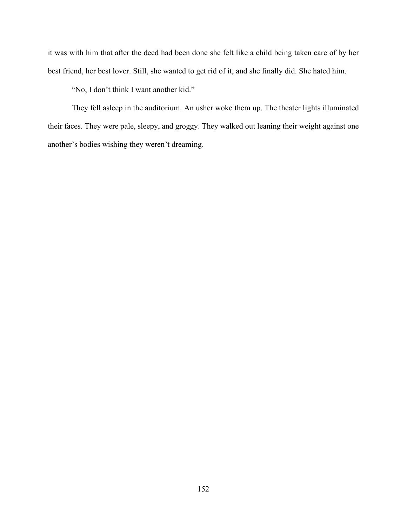it was with him that after the deed had been done she felt like a child being taken care of by her best friend, her best lover. Still, she wanted to get rid of it, and she finally did. She hated him.

"No, I don't think I want another kid."

They fell asleep in the auditorium. An usher woke them up. The theater lights illuminated their faces. They were pale, sleepy, and groggy. They walked out leaning their weight against one another's bodies wishing they weren't dreaming.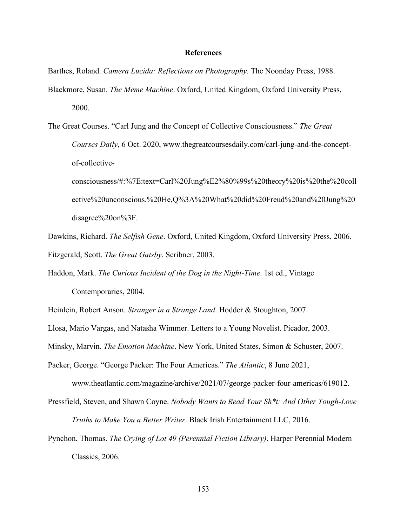## **References**

Barthes, Roland. *Camera Lucida: Reflections on Photography*. The Noonday Press, 1988. Blackmore, Susan. *The Meme Machine*. Oxford, United Kingdom, Oxford University Press, 2000.

The Great Courses. "Carl Jung and the Concept of Collective Consciousness." *The Great Courses Daily*, 6 Oct. 2020, www.thegreatcoursesdaily.com/carl-jung-and-the-conceptof-collectiveconsciousness/#:%7E:text=Carl%20Jung%E2%80%99s%20theory%20is%20the%20coll

ective%20unconscious.%20He,Q%3A%20What%20did%20Freud%20and%20Jung%20 disagree%20on%3F.

Dawkins, Richard. *The Selfish Gene*. Oxford, United Kingdom, Oxford University Press, 2006. Fitzgerald, Scott. *The Great Gatsby*. Scribner, 2003.

Haddon, Mark. *The Curious Incident of the Dog in the Night-Time*. 1st ed., Vintage Contemporaries, 2004.

Heinlein, Robert Anson. *Stranger in a Strange Land*. Hodder & Stoughton, 2007.

Llosa, Mario Vargas, and Natasha Wimmer. Letters to a Young Novelist. Picador, 2003.

Minsky, Marvin. *The Emotion Machine*. New York, United States, Simon & Schuster, 2007.

Packer, George. "George Packer: The Four Americas." *The Atlantic*, 8 June 2021,

www.theatlantic.com/magazine/archive/2021/07/george-packer-four-americas/619012.

Pressfield, Steven, and Shawn Coyne. *Nobody Wants to Read Your Sh\*t: And Other Tough-Love Truths to Make You a Better Writer*. Black Irish Entertainment LLC, 2016.

Pynchon, Thomas. *The Crying of Lot 49 (Perennial Fiction Library)*. Harper Perennial Modern Classics, 2006.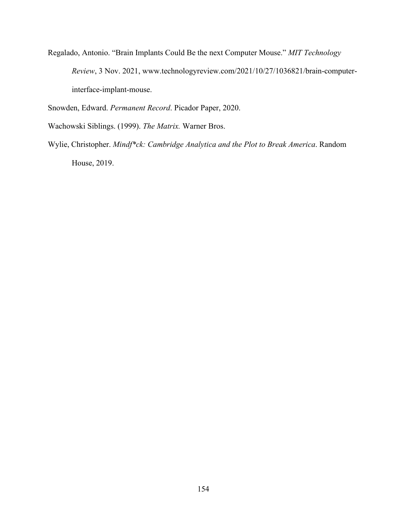Regalado, Antonio. "Brain Implants Could Be the next Computer Mouse." *MIT Technology Review*, 3 Nov. 2021, www.technologyreview.com/2021/10/27/1036821/brain-computerinterface-implant-mouse.

Snowden, Edward. *Permanent Record*. Picador Paper, 2020.

Wachowski Siblings. (1999). *The Matrix.* Warner Bros.

Wylie, Christopher. *Mindf\*ck: Cambridge Analytica and the Plot to Break America*. Random House, 2019.